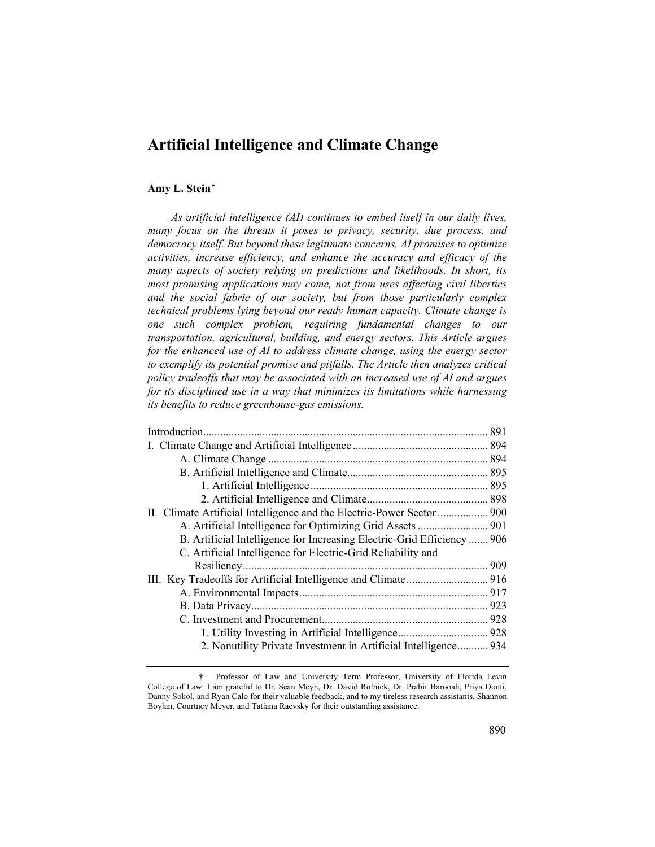# **Artificial Intelligence and Climate Change**

# **Amy L. Stein[†](#page-0-0)**

*As artificial intelligence (AI) continues to embed itself in our daily lives, many focus on the threats it poses to privacy, security, due process, and democracy itself. But beyond these legitimate concerns, AI promises to optimize activities, increase efficiency, and enhance the accuracy and efficacy of the many aspects of society relying on predictions and likelihoods. In short, its most promising applications may come, not from uses affecting civil liberties and the social fabric of our society, but from those particularly complex technical problems lying beyond our ready human capacity. Climate change is one such complex problem, requiring fundamental changes to our transportation, agricultural, building, and energy sectors. This Article argues for the enhanced use of AI to address climate change, using the energy sector to exemplify its potential promise and pitfalls. The Article then analyzes critical policy tradeoffs that may be associated with an increased use of AI and argues for its disciplined use in a way that minimizes its limitations while harnessing its benefits to reduce greenhouse-gas emissions.*

| II. Climate Artificial Intelligence and the Electric-Power Sector  900 |  |
|------------------------------------------------------------------------|--|
| A. Artificial Intelligence for Optimizing Grid Assets  901             |  |
| B. Artificial Intelligence for Increasing Electric-Grid Efficiency 906 |  |
| C. Artificial Intelligence for Electric-Grid Reliability and           |  |
|                                                                        |  |
|                                                                        |  |
|                                                                        |  |
|                                                                        |  |
|                                                                        |  |
|                                                                        |  |
| 2. Nonutility Private Investment in Artificial Intelligence 934        |  |
|                                                                        |  |

<span id="page-0-0"></span><sup>†</sup> Professor of Law and University Term Professor, University of Florida Levin College of Law. I am grateful to Dr. Sean Meyn, Dr. David Rolnick, Dr. Prabir Barooah, Priya Donti, Danny Sokol, and Ryan Calo for their valuable feedback, and to my tireless research assistants, Shannon Boylan, Courtney Meyer, and Tatiana Raevsky for their outstanding assistance.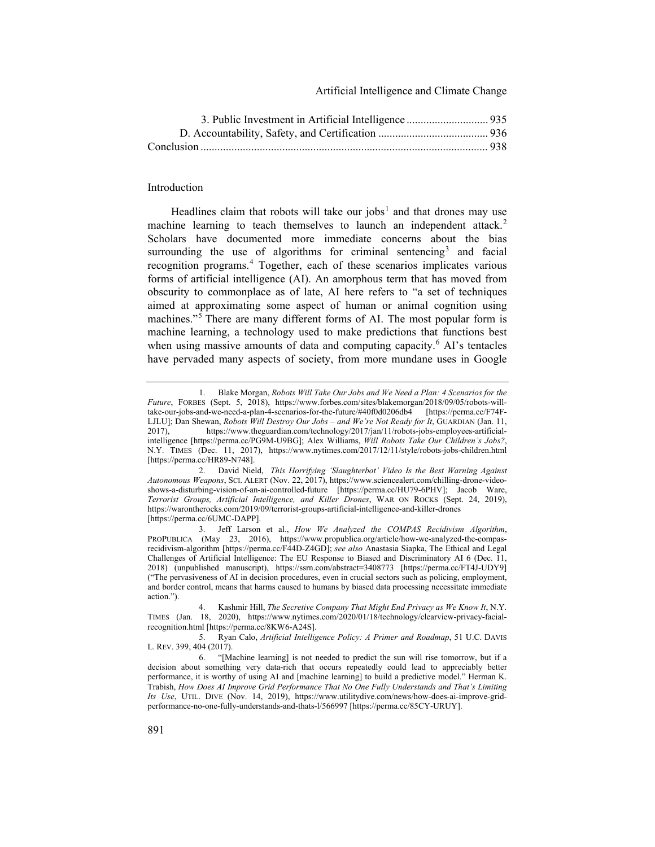<span id="page-1-7"></span>Artificial Intelligence and Climate Change

# Introduction

Headlines claim that robots will take our jobs<sup>[1](#page-1-0)</sup> and that drones may use machine learning to teach themselves to launch an independent attack.<sup>[2](#page-1-1)</sup> Scholars have documented more immediate concerns about the bias surrounding the use of algorithms for criminal sentencing<sup>[3](#page-1-2)</sup> and facial recognition programs.[4](#page-1-3) Together, each of these scenarios implicates various forms of artificial intelligence (AI). An amorphous term that has moved from obscurity to commonplace as of late, AI here refers to "a set of techniques aimed at approximating some aspect of human or animal cognition using machines."<sup>[5](#page-1-4)</sup> There are many different forms of AI. The most popular form is machine learning, a technology used to make predictions that functions best when using massive amounts of data and computing capacity. $6$  AI's tentacles have pervaded many aspects of society, from more mundane uses in Google

<span id="page-1-6"></span><span id="page-1-0"></span><sup>1.</sup> Blake Morgan, *Robots Will Take Our Jobs and We Need a Plan: 4 Scenarios for the Future*, FORBES (Sept. 5, 2018), https://www.forbes.com/sites/blakemorgan/2018/09/05/robots-willtake-our-jobs-and-we-need-a-plan-4-scenarios-for-the-future/#40f0d0206db4 LJLU]; Dan Shewan, *Robots Will Destroy Our Jobs – and We're Not Ready for It*, GUARDIAN (Jan. 11, 2017), https://www.theguardian.com/technology/2017/jan/11/robots-jobs-employees-artificial-2017), https://www.theguardian.com/technology/2017/jan/11/robots-jobs-employees-artificialintelligence [https://perma.cc/PG9M-U9BG]; Alex Williams, *Will Robots Take Our Children's Jobs?*, N.Y. TIMES (Dec. 11, 2017), https://www.nytimes.com/2017/12/11/style/robots-jobs-children.html [https://perma.cc/HR89-N748].

<span id="page-1-1"></span><sup>2.</sup> David Nield, *This Horrifying 'Slaughterbot' Video Is the Best Warning Against Autonomous Weapons*, SCI. ALERT (Nov. 22, 2017), https://www.sciencealert.com/chilling-drone-videoshows-a-disturbing-vision-of-an-ai-controlled-future [https://perma.cc/HU79-6PHV]; Jacob Ware, *Terrorist Groups, Artificial Intelligence, and Killer Drones*, WAR ON ROCKS (Sept. 24, 2019), https://warontherocks.com/2019/09/terrorist-groups-artificial-intelligence-and-killer-drones [https://perma.cc/6UMC-DAPP].

<span id="page-1-2"></span><sup>3.</sup> Jeff Larson et al., *How We Analyzed the COMPAS Recidivism Algorithm*, PROPUBLICA (May 23, 2016), https://www.propublica.org/article/how-we-analyzed-the-compasrecidivism-algorithm [https://perma.cc/F44D-Z4GD]; *see also* Anastasia Siapka, The Ethical and Legal Challenges of Artificial Intelligence: The EU Response to Biased and Discriminatory AI 6 (Dec. 11, 2018) (unpublished manuscript), https://ssrn.com/abstract=3408773 [https://perma.cc/FT4J-UDY9] ("The pervasiveness of AI in decision procedures, even in crucial sectors such as policing, employment, and border control, means that harms caused to humans by biased data processing necessitate immediate action.").

<span id="page-1-3"></span><sup>4.</sup> Kashmir Hill, *The Secretive Company That Might End Privacy as We Know It*, N.Y. TIMES (Jan. 18, 2020), https://www.nytimes.com/2020/01/18/technology/clearview-privacy-facialrecognition.html [https://perma.cc/8KW6-A24S].

<span id="page-1-4"></span><sup>5.</sup> Ryan Calo, *Artificial Intelligence Policy: A Primer and Roadmap*, 51 U.C. DAVIS L. REV. 399, 404 (2017).

<span id="page-1-5"></span><sup>6.</sup> "[Machine learning] is not needed to predict the sun will rise tomorrow, but if a decision about something very data-rich that occurs repeatedly could lead to appreciably better performance, it is worthy of using AI and [machine learning] to build a predictive model." Herman K. Trabish, *How Does AI Improve Grid Performance That No One Fully Understands and That's Limiting Its Use*, UTIL. DIVE (Nov. 14, 2019), https://www.utilitydive.com/news/how-does-ai-improve-gridperformance-no-one-fully-understands-and-thats-l/566997 [https://perma.cc/85CY-URUY].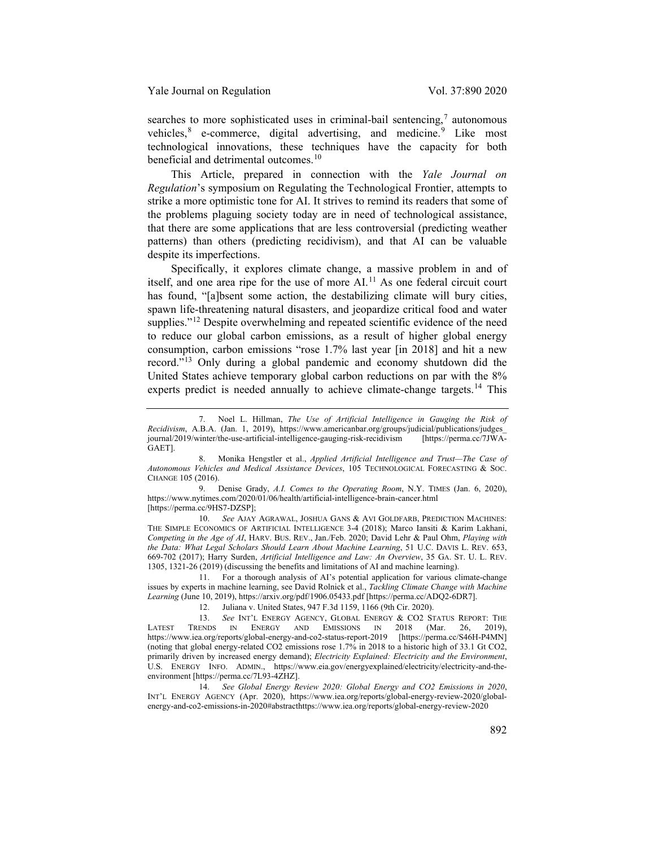searches to more sophisticated uses in criminal-bail sentencing, $\alpha$  autonomous vehicles, $8$  e-commerce, digital advertising, and medicine.<sup>[9](#page-2-2)</sup> Like most technological innovations, these techniques have the capacity for both beneficial and detrimental outcomes.<sup>[10](#page-2-3)</sup>

This Article, prepared in connection with the *Yale Journal on Regulation*'s symposium on Regulating the Technological Frontier, attempts to strike a more optimistic tone for AI. It strives to remind its readers that some of the problems plaguing society today are in need of technological assistance, that there are some applications that are less controversial (predicting weather patterns) than others (predicting recidivism), and that AI can be valuable despite its imperfections.

<span id="page-2-8"></span>Specifically, it explores climate change, a massive problem in and of itself, and one area ripe for the use of more AI.<sup>[11](#page-2-4)</sup> As one federal circuit court has found, "[a]bsent some action, the destabilizing climate will bury cities, spawn life-threatening natural disasters, and jeopardize critical food and water supplies."<sup>[12](#page-2-5)</sup> Despite overwhelming and repeated scientific evidence of the need to reduce our global carbon emissions, as a result of higher global energy consumption, carbon emissions "rose 1.7% last year [in 2018] and hit a new record."<sup>[13](#page-2-6)</sup> Only during a global pandemic and economy shutdown did the United States achieve temporary global carbon reductions on par with the 8% experts predict is needed annually to achieve climate-change targets.[14](#page-2-7) This

<span id="page-2-3"></span>10. *See* AJAY AGRAWAL, JOSHUA GANS & AVI GOLDFARB, PREDICTION MACHINES: THE SIMPLE ECONOMICS OF ARTIFICIAL INTELLIGENCE 3-4 (2018); Marco Iansiti & Karim Lakhani, *Competing in the Age of AI*, HARV. BUS. REV., Jan./Feb. 2020; David Lehr & Paul Ohm, *Playing with the Data: What Legal Scholars Should Learn About Machine Learning*, 51 U.C. DAVIS L. REV. 653, 669-702 (2017); Harry Surden, *Artificial Intelligence and Law: An Overview*, 35 GA. ST. U. L. REV. 1305, 1321-26 (2019) (discussing the benefits and limitations of AI and machine learning).

<span id="page-2-4"></span>11. For a thorough analysis of AI's potential application for various climate-change issues by experts in machine learning, see David Rolnick et al., *Tackling Climate Change with Machine Learning* (June 10, 2019), https://arxiv.org/pdf/1906.05433.pdf [https://perma.cc/ADQ2-6DR7].

<span id="page-2-7"></span>14. *See Global Energy Review 2020: Global Energy and CO2 Emissions in 2020*, INT'L ENERGY AGENCY (Apr. 2020), https://www.iea.org/reports/global-energy-review-2020/globalenergy-and-co2-emissions-in-2020#abstracthttps://www.iea.org/reports/global-energy-review-2020

<span id="page-2-9"></span><span id="page-2-0"></span><sup>7.</sup> Noel L. Hillman, *The Use of Artificial Intelligence in Gauging the Risk of Recidivism*, A.B.A. (Jan. 1, 2019), https://www.americanbar.org/groups/judicial/publications/judges\_ journal/2019/winter/the-use-artificial-intelligence-gauging-risk-recidivism GAET].

<span id="page-2-1"></span><sup>8.</sup> Monika Hengstler et al., *Applied Artificial Intelligence and Trust—The Case of Autonomous Vehicles and Medical Assistance Devices*, 105 TECHNOLOGICAL FORECASTING & SOC. CHANGE 105 (2016).

<span id="page-2-2"></span><sup>9.</sup> Denise Grady, *A.I. Comes to the Operating Room*, N.Y. TIMES (Jan. 6, 2020), https://www.nytimes.com/2020/01/06/health/artificial-intelligence-brain-cancer.html [https://perma.cc/9HS7-DZSP];

<sup>12.</sup> Juliana v. United States, 947 F.3d 1159, 1166 (9th Cir. 2020).

<span id="page-2-6"></span><span id="page-2-5"></span><sup>13.</sup> *See* INT'L ENERGY AGENCY, GLOBAL ENERGY & CO2 STATUS REPORT: THE LATEST TRENDS IN ENERGY AND EMISSIONS IN 2018 (Mar. 26, 2019), https://www.iea.org/reports/global-energy-and-co2-status-report-2019 [https://perma.cc/S46H-P4MN] (noting that global energy-related CO2 emissions rose 1.7% in 2018 to a historic high of 33.1 Gt CO2, primarily driven by increased energy demand); *Electricity Explained: Electricity and the Environment*, U.S. ENERGY INFO. ADMIN., https://www.eia.gov/energyexplained/electricity/electricity-and-theenvironment [https://perma.cc/7L93-4ZHZ].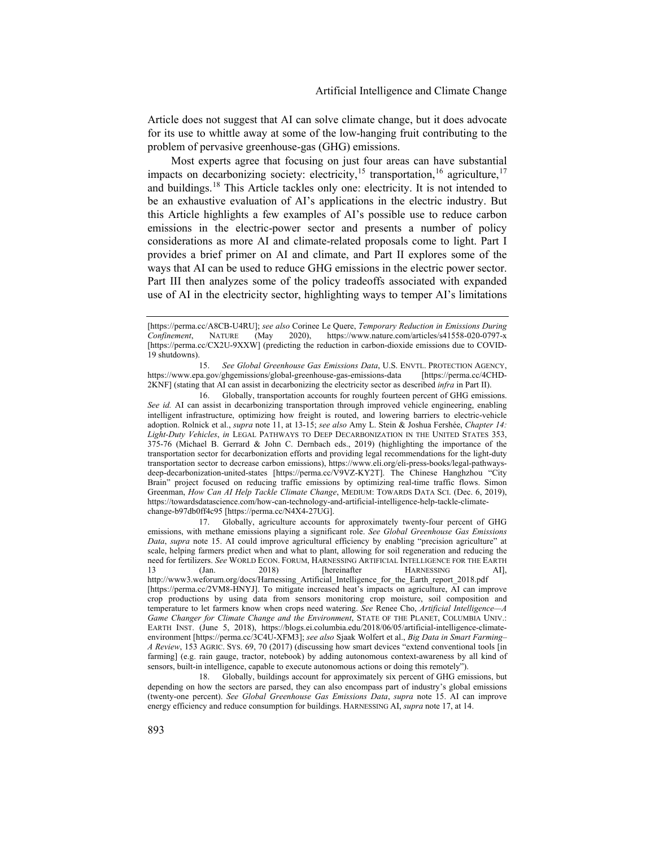Article does not suggest that AI can solve climate change, but it does advocate for its use to whittle away at some of the low-hanging fruit contributing to the problem of pervasive greenhouse-gas (GHG) emissions.

<span id="page-3-6"></span><span id="page-3-1"></span><span id="page-3-0"></span>Most experts agree that focusing on just four areas can have substantial impacts on decarbonizing society: electricity,<sup>[15](#page-3-2)</sup> transportation,<sup>[16](#page-3-3)</sup> agriculture,<sup>[17](#page-3-4)</sup> and buildings.[18](#page-3-5) This Article tackles only one: electricity. It is not intended to be an exhaustive evaluation of AI's applications in the electric industry. But this Article highlights a few examples of AI's possible use to reduce carbon emissions in the electric-power sector and presents a number of policy considerations as more AI and climate-related proposals come to light. Part I provides a brief primer on AI and climate, and Part II explores some of the ways that AI can be used to reduce GHG emissions in the electric power sector. Part III then analyzes some of the policy tradeoffs associated with expanded use of AI in the electricity sector, highlighting ways to temper AI's limitations

<span id="page-3-2"></span>15. *See Global Greenhouse Gas Emissions Data*, U.S. ENVTL. PROTECTION AGENCY, https://www.epa.gov/ghgemissions/global-greenhouse-gas-emissions-data 2KNF] (stating that AI can assist in decarbonizing the electricity sector as described *infra* in Part II).

<span id="page-3-3"></span>16. Globally, transportation accounts for roughly fourteen percent of GHG emissions. *See id.* AI can assist in decarbonizing transportation through improved vehicle engineering, enabling intelligent infrastructure, optimizing how freight is routed, and lowering barriers to electric-vehicle adoption. Rolnick et al., *supra* note [11,](#page-2-8) at 13-15; *see also* Amy L. Stein & Joshua Fershée, *Chapter 14: Light-Duty Vehicles*, *in* LEGAL PATHWAYS TO DEEP DECARBONIZATION IN THE UNITED STATES 353, 375-76 (Michael B. Gerrard & John C. Dernbach eds., 2019) (highlighting the importance of the transportation sector for decarbonization efforts and providing legal recommendations for the light-duty transportation sector to decrease carbon emissions), https://www.eli.org/eli-press-books/legal-pathwaysdeep-decarbonization-united-states [https://perma.cc/V9VZ-KY2T]. The Chinese Hanghzhou "City Brain" project focused on reducing traffic emissions by optimizing real-time traffic flows. Simon Greenman, *How Can AI Help Tackle Climate Change*, MEDIUM: TOWARDS DATA SCI. (Dec. 6, 2019), https://towardsdatascience.com/how-can-technology-and-artificial-intelligence-help-tackle-climatechange-b97db0ff4c95 [https://perma.cc/N4X4-27UG].

<span id="page-3-4"></span>17. Globally, agriculture accounts for approximately twenty-four percent of GHG emissions, with methane emissions playing a significant role. *See Global Greenhouse Gas Emissions Data*, *supra* note [15.](#page-3-0) AI could improve agricultural efficiency by enabling "precision agriculture" at scale, helping farmers predict when and what to plant, allowing for soil regeneration and reducing the need for fertilizers. *See* WORLD ECON. FORUM, HARNESSING ARTIFICIAL INTELLIGENCE FOR THE EARTH 13 (Jan. 2018) [hereinafter HARNESSING AI], 13 (Jan. 2018) [hereinafter HARNESSING http://www3.weforum.org/docs/Harnessing\_Artificial\_Intelligence\_for\_the\_Earth\_report\_2018.pdf [https://perma.cc/2VM8-HNYJ]. To mitigate increased heat's impacts on agriculture, AI can improve crop productions by using data from sensors monitoring crop moisture, soil composition and temperature to let farmers know when crops need watering. *See* Renee Cho, *Artificial Intelligence—A Game Changer for Climate Change and the Environment*, STATE OF THE PLANET, COLUMBIA UNIV.: EARTH INST. (June 5, 2018), https://blogs.ei.columbia.edu/2018/06/05/artificial-intelligence-climateenvironment [https://perma.cc/3C4U-XFM3]; *see also* Sjaak Wolfert et al., *Big Data in Smart Farming– A Review*, 153 AGRIC. SYS. 69, 70 (2017) (discussing how smart devices "extend conventional tools [in farming] (e.g. rain gauge, tractor, notebook) by adding autonomous context-awareness by all kind of sensors, built-in intelligence, capable to execute autonomous actions or doing this remotely").

<span id="page-3-5"></span>18. Globally, buildings account for approximately six percent of GHG emissions, but depending on how the sectors are parsed, they can also encompass part of industry's global emissions (twenty-one percent). *See Global Greenhouse Gas Emissions Data*, *supra* note [15.](#page-3-0) AI can improve energy efficiency and reduce consumption for buildings. HARNESSING AI, *supra* not[e 17,](#page-3-1) at 14.

<sup>[</sup>https://perma.cc/A8CB-U4RU]; *see also* Corinee Le Quere, *Temporary Reduction in Emissions During Confinement*, NATURE (May 2020), https://www.nature.com/articles/s41558-020-0797-x [https://perma.cc/CX2U-9XXW] (predicting the reduction in carbon-dioxide emissions due to COVID-19 shutdowns).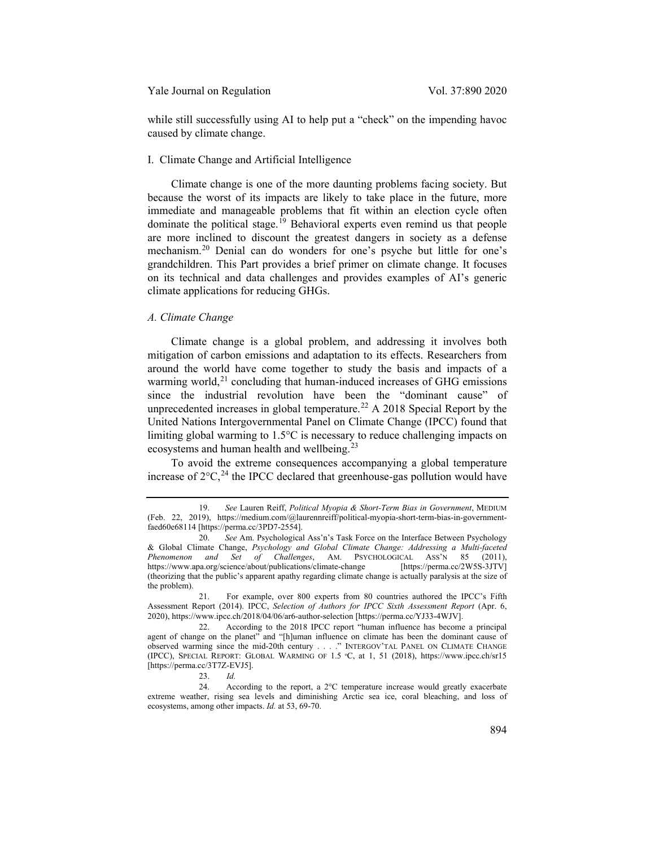while still successfully using AI to help put a "check" on the impending havoc caused by climate change.

#### I. Climate Change and Artificial Intelligence

Climate change is one of the more daunting problems facing society. But because the worst of its impacts are likely to take place in the future, more immediate and manageable problems that fit within an election cycle often dominate the political stage.[19](#page-4-0) Behavioral experts even remind us that people are more inclined to discount the greatest dangers in society as a defense mechanism.[20](#page-4-1) Denial can do wonders for one's psyche but little for one's grandchildren. This Part provides a brief primer on climate change. It focuses on its technical and data challenges and provides examples of AI's generic climate applications for reducing GHGs.

# *A. Climate Change*

Climate change is a global problem, and addressing it involves both mitigation of carbon emissions and adaptation to its effects. Researchers from around the world have come together to study the basis and impacts of a warming world, $21$  concluding that human-induced increases of GHG emissions since the industrial revolution have been the "dominant cause" of unprecedented increases in global temperature.<sup>[22](#page-4-3)</sup> A 2018 Special Report by the United Nations Intergovernmental Panel on Climate Change (IPCC) found that limiting global warming to 1.5°C is necessary to reduce challenging impacts on ecosystems and human health and wellbeing.<sup>[23](#page-4-4)</sup>

To avoid the extreme consequences accompanying a global temperature increase of  $2^{\circ}C^{24}$  $2^{\circ}C^{24}$  $2^{\circ}C^{24}$  the IPCC declared that greenhouse-gas pollution would have

23. *Id.*

<span id="page-4-0"></span><sup>19.</sup> *See* Lauren Reiff, *Political Myopia & Short-Term Bias in Government*, MEDIUM (Feb. 22, 2019), https://medium.com/@laurennreiff/political-myopia-short-term-bias-in-governmentfaed60e68114 [https://perma.cc/3PD7-2554].

<span id="page-4-1"></span><sup>20.</sup> *See* Am. Psychological Ass'n's Task Force on the Interface Between Psychology & Global Climate Change, *Psychology and Global Climate Change: Addressing a Multi-faceted Phenomenon and Set of Challenges*, AM. PSYCHOLOGICAL ASS'N 85 (2011), https://www.apa.org/science/about/publications/climate-change [https://perma.cc/2W5S-3JTV] (theorizing that the public's apparent apathy regarding climate change is actually paralysis at the size of the problem).

<span id="page-4-2"></span><sup>21.</sup> For example, over 800 experts from 80 countries authored the IPCC's Fifth Assessment Report (2014). IPCC, *Selection of Authors for IPCC Sixth Assessment Report* (Apr. 6, 2020), https://www.ipcc.ch/2018/04/06/ar6-author-selection [https://perma.cc/YJ33-4WJV].

<span id="page-4-3"></span><sup>22.</sup> According to the 2018 IPCC report "human influence has become a principal agent of change on the planet" and "[h]uman influence on climate has been the dominant cause of observed warming since the mid-20th century . . . ." INTERGOV'TAL PANEL ON CLIMATE CHANGE (IPCC), SPECIAL REPORT: GLOBAL WARMING OF 1.5 ºC, at 1, 51 (2018), https://www.ipcc.ch/sr15 [https://perma.cc/3T7Z-EVJ5].

<span id="page-4-5"></span><span id="page-4-4"></span><sup>24.</sup> According to the report, a 2°C temperature increase would greatly exacerbate extreme weather, rising sea levels and diminishing Arctic sea ice, coral bleaching, and loss of ecosystems, among other impacts. *Id.* at 53, 69-70.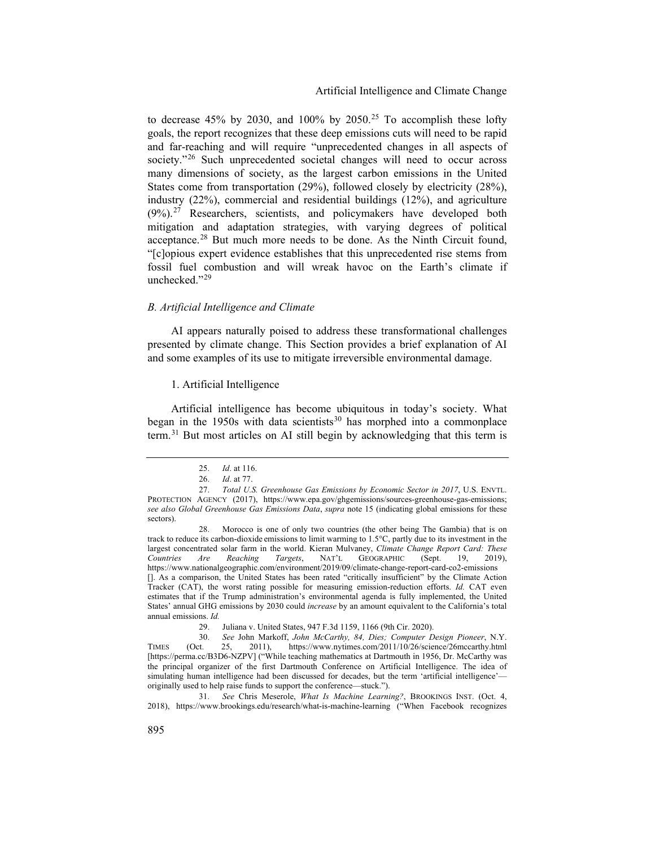<span id="page-5-8"></span>to decrease 45% by 2030, and 100% by 2050.<sup>[25](#page-5-0)</sup> To accomplish these lofty goals, the report recognizes that these deep emissions cuts will need to be rapid and far-reaching and will require "unprecedented changes in all aspects of society."<sup>[26](#page-5-1)</sup> Such unprecedented societal changes will need to occur across many dimensions of society, as the largest carbon emissions in the United States come from transportation (29%), followed closely by electricity (28%), industry (22%), commercial and residential buildings (12%), and agriculture  $(9\%)$ <sup>[27](#page-5-2)</sup> Researchers, scientists, and policymakers have developed both mitigation and adaptation strategies, with varying degrees of political acceptance.<sup>[28](#page-5-3)</sup> But much more needs to be done. As the Ninth Circuit found, "[c]opious expert evidence establishes that this unprecedented rise stems from fossil fuel combustion and will wreak havoc on the Earth's climate if unchecked."<sup>[29](#page-5-4)</sup>

#### *B. Artificial Intelligence and Climate*

AI appears naturally poised to address these transformational challenges presented by climate change. This Section provides a brief explanation of AI and some examples of its use to mitigate irreversible environmental damage.

## 1. Artificial Intelligence

<span id="page-5-7"></span>Artificial intelligence has become ubiquitous in today's society. What began in the 1950s with data scientists<sup>[30](#page-5-5)</sup> has morphed into a commonplace term.<sup>[31](#page-5-6)</sup> But most articles on AI still begin by acknowledging that this term is

<span id="page-5-6"></span>31. *See* Chris Meserole, *What Is Machine Learning?*, BROOKINGS INST. (Oct. 4, 2018), https://www.brookings.edu/research/what-is-machine-learning ("When Facebook recognizes

<sup>25.</sup> *Id*. at 116.

<sup>26.</sup> *Id*. at 77.

<span id="page-5-2"></span><span id="page-5-1"></span><span id="page-5-0"></span><sup>27.</sup> *Total U.S. Greenhouse Gas Emissions by Economic Sector in 2017*, U.S. ENVTL. PROTECTION AGENCY (2017), https://www.epa.gov/ghgemissions/sources-greenhouse-gas-emissions; *see also Global Greenhouse Gas Emissions Data*, *supra* note [15](#page-3-0) (indicating global emissions for these sectors).

<span id="page-5-3"></span><sup>28.</sup> Morocco is one of only two countries (the other being The Gambia) that is on track to reduce its carbon-dioxide emissions to limit warming to 1.5°C, partly due to its investment in the largest concentrated solar farm in the world. Kieran Mulvaney, *Climate Change Report Card: These Countries Are Reaching Targets*, NAT'L GEOGRAPHIC (Sept. 19, 2019), https://www.nationalgeographic.com/environment/2019/09/climate-change-report-card-co2-emissions []. As a comparison, the United States has been rated "critically insufficient" by the Climate Action Tracker (CAT), the worst rating possible for measuring emission-reduction efforts. *Id.* CAT even estimates that if the Trump administration's environmental agenda is fully implemented, the United States' annual GHG emissions by 2030 could *increase* by an amount equivalent to the California's total annual emissions. *Id.*

<sup>29.</sup> Juliana v. United States, 947 F.3d 1159, 1166 (9th Cir. 2020).

<span id="page-5-5"></span><span id="page-5-4"></span><sup>30.</sup> *See* John Markoff, *John McCarthy, 84, Dies; Computer Design Pioneer*, N.Y. TIMES (Oct. 25, 2011), https://www.nytimes.com/2011/10/26/science/26mccarthy.html [https://perma.cc/B3D6-NZPV] ("While teaching mathematics at Dartmouth in 1956, Dr. McCarthy was the principal organizer of the first Dartmouth Conference on Artificial Intelligence. The idea of simulating human intelligence had been discussed for decades, but the term 'artificial intelligence' originally used to help raise funds to support the conference—stuck.").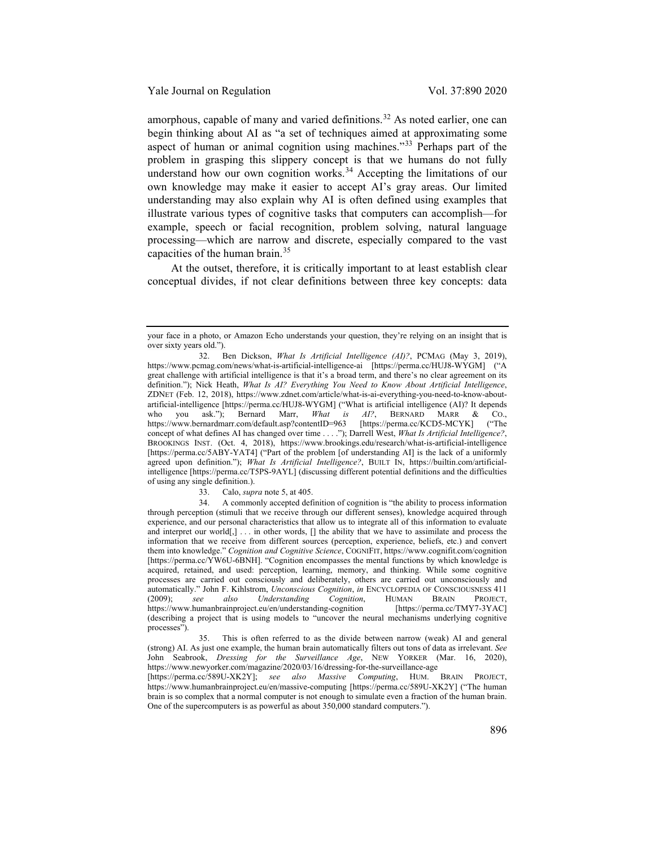amorphous, capable of many and varied definitions.<sup>[32](#page-6-0)</sup> As noted earlier, one can begin thinking about AI as "a set of techniques aimed at approximating some aspect of human or animal cognition using machines."[33](#page-6-1) Perhaps part of the problem in grasping this slippery concept is that we humans do not fully understand how our own cognition works.<sup>[34](#page-6-2)</sup> Accepting the limitations of our own knowledge may make it easier to accept AI's gray areas. Our limited understanding may also explain why AI is often defined using examples that illustrate various types of cognitive tasks that computers can accomplish—for example, speech or facial recognition, problem solving, natural language processing—which are narrow and discrete, especially compared to the vast capacities of the human brain.[35](#page-6-3)

At the outset, therefore, it is critically important to at least establish clear conceptual divides, if not clear definitions between three key concepts: data

33. Calo, *supra* not[e 5,](#page-1-6) at 405.

<span id="page-6-2"></span><span id="page-6-1"></span>34. A commonly accepted definition of cognition is "the ability to process information through perception (stimuli that we receive through our different senses), knowledge acquired through experience, and our personal characteristics that allow us to integrate all of this information to evaluate and interpret our world $[]$ ... in other words,  $[]$  the ability that we have to assimilate and process the information that we receive from different sources (perception, experience, beliefs, etc.) and convert them into knowledge." *Cognition and Cognitive Science*, COGNIFIT, https://www.cognifit.com/cognition [https://perma.cc/YW6U-6BNH]. "Cognition encompasses the mental functions by which knowledge is acquired, retained, and used: perception, learning, memory, and thinking. While some cognitive processes are carried out consciously and deliberately, others are carried out unconsciously and automatically." John F. Kihlstrom, *Unconscious Cognition*, *in* ENCYCLOPEDIA OF CONSCIOUSNESS 411 (2009); see also Understanding Cognition, HUMAN BRAIN PROJECT, Understanding Cognition, HUMAN BRAIN PROJECT,<br>t.eu/en/understanding-cognition [https://perma.cc/TMY7-3YAC] https://www.humanbrainproject.eu/en/understanding-cognition (describing a project that is using models to "uncover the neural mechanisms underlying cognitive processes").

<span id="page-6-3"></span>35. This is often referred to as the divide between narrow (weak) AI and general (strong) AI. As just one example, the human brain automatically filters out tons of data as irrelevant. *See*  John Seabrook, *Dressing for the Surveillance Age*, NEW YORKER (Mar. 16, 2020), <https://www.newyorker.com/magazine/2020/03/16/dressing-for-the-surveillance-age><br>[https://perma.cc/589U-XK2Y]; see also Massive Computing, HUM. BRAIN PROJECT, [https://perma.cc/589U-XK2Y]; see also Massive https://www.humanbrainproject.eu/en/massive-computing [https://perma.cc/589U-XK2Y] ("The human brain is so complex that a normal computer is not enough to simulate even a fraction of the human brain. One of the supercomputers is as powerful as about 350,000 standard computers.").

your face in a photo, or Amazon Echo understands your question, they're relying on an insight that is over sixty years old.").

<span id="page-6-0"></span><sup>32.</sup> Ben Dickson, *What Is Artificial Intelligence (AI)?*, PCMAG (May 3, 2019), https://www.pcmag.com/news/what-is-artificial-intelligence-ai [https://perma.cc/HUJ8-WYGM] ("A great challenge with artificial intelligence is that it's a broad term, and there's no clear agreement on its definition."); Nick Heath, *What Is AI? Everything You Need to Know About Artificial Intelligence*, ZDNET (Feb. 12, 2018), https://www.zdnet.com/article/what-is-ai-everything-you-need-to-know-aboutartificial-intelligence [https://perma.cc/HUJ8-WYGM] ("What is artificial intelligence (AI)? It depends who you ask."); Bernard Marr, *What is AI?*, BERNARD MARR & CO., https://www.bernardmarr.com/default.asp?contentID=963 [https://perma.cc/KCD5-MCYK] ("The https://www.bernardmarr.com/default.asp?contentID=963 [https://perma.cc/KCD5-MCYK] ("The concept of what defines AI has changed over time . . . ."); Darrell West, *What Is Artificial Intelligence?*, BROOKINGS INST. (Oct. 4, 2018), https://www.brookings.edu/research/what-is-artificial-intelligence [https://perma.cc/5ABY-YAT4] ("Part of the problem [of understanding AI] is the lack of a uniformly agreed upon definition."); *What Is Artificial Intelligence?*, BUILT IN, https://builtin.com/artificialintelligence [https://perma.cc/T5PS-9AYL] (discussing different potential definitions and the difficulties of using any single definition.).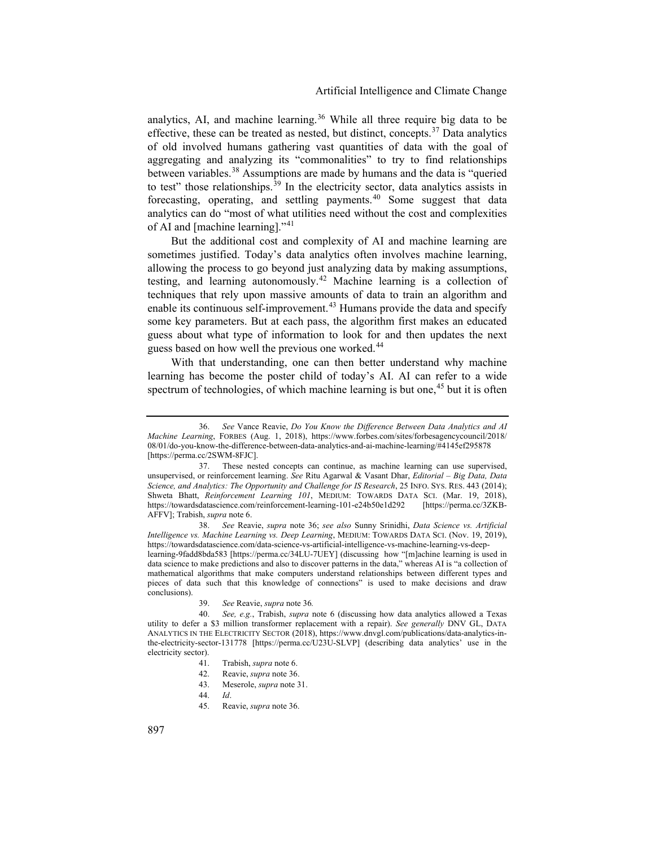<span id="page-7-0"></span>analytics, AI, and machine learning.<sup>[36](#page-7-1)</sup> While all three require big data to be effective, these can be treated as nested, but distinct, concepts.<sup>[37](#page-7-2)</sup> Data analytics of old involved humans gathering vast quantities of data with the goal of aggregating and analyzing its "commonalities" to try to find relationships between variables.[38](#page-7-3) Assumptions are made by humans and the data is "queried to test" those relationships.<sup>[39](#page-7-4)</sup> In the electricity sector, data analytics assists in forecasting, operating, and settling payments.<sup>[40](#page-7-5)</sup> Some suggest that data analytics can do "most of what utilities need without the cost and complexities of AI and [machine learning]."[41](#page-7-6)

But the additional cost and complexity of AI and machine learning are sometimes justified. Today's data analytics often involves machine learning, allowing the process to go beyond just analyzing data by making assumptions, testing, and learning autonomously.<sup>[42](#page-7-7)</sup> Machine learning is a collection of techniques that rely upon massive amounts of data to train an algorithm and enable its continuous self-improvement.<sup>[43](#page-7-8)</sup> Humans provide the data and specify some key parameters. But at each pass, the algorithm first makes an educated guess about what type of information to look for and then updates the next guess based on how well the previous one worked.<sup>[44](#page-7-9)</sup>

With that understanding, one can then better understand why machine learning has become the poster child of today's AI. AI can refer to a wide spectrum of technologies, of which machine learning is but one,<sup>[45](#page-7-10)</sup> but it is often

<span id="page-7-3"></span>38. *See* Reavie, *supra* note [36;](#page-7-0) *see also* Sunny Srinidhi, *Data Science vs. Artificial Intelligence vs. Machine Learning vs. Deep Learning*, MEDIUM: TOWARDS DATA SCI. (Nov. 19, 2019), https://towardsdatascience.com/data-science-vs-artificial-intelligence-vs-machine-learning-vs-deeplearning-9fadd8bda583 [https://perma.cc/34LU-7UEY] (discussing how "[m]achine learning is used in data science to make predictions and also to discover patterns in the data," whereas AI is "a collection of mathematical algorithms that make computers understand relationships between different types and pieces of data such that this knowledge of connections" is used to make decisions and draw conclusions).

39. *See* Reavie, *supra* not[e 36](#page-7-0)*.*

<span id="page-7-1"></span><sup>36.</sup> *See* Vance Reavie, *Do You Know the Difference Between Data Analytics and AI Machine Learning*, FORBES (Aug. 1, 2018), https://www.forbes.com/sites/forbesagencycouncil/2018/ 08/01/do-you-know-the-difference-between-data-analytics-and-ai-machine-learning/#4145ef295878 [https://perma.cc/2SWM-8FJC].

<span id="page-7-2"></span><sup>37.</sup> These nested concepts can continue, as machine learning can use supervised, unsupervised, or reinforcement learning. *See* Ritu Agarwal & Vasant Dhar, *Editorial – Big Data, Data Science, and Analytics: The Opportunity and Challenge for IS Research*, 25 INFO. SYS. RES. 443 (2014); Shweta Bhatt, *Reinforcement Learning 101*, MEDIUM: TOWARDS DATA SCI. (Mar. 19, 2018), https://towardsdatascience.com/reinforcement-learning-101-e24b50e1d292 [https://perma.cc/3ZKBhttps://towardsdatascience.com/reinforcement-learning-101-e24b50e1d292 AFFV]; Trabish, *supra* note [6.](#page-1-7)

<span id="page-7-10"></span><span id="page-7-9"></span><span id="page-7-8"></span><span id="page-7-7"></span><span id="page-7-6"></span><span id="page-7-5"></span><span id="page-7-4"></span><sup>40.</sup> *See, e.g.*, Trabish, *supra* note [6](#page-1-7) (discussing how data analytics allowed a Texas utility to defer a \$3 million transformer replacement with a repair). *See generally* DNV GL, DATA ANALYTICS IN THE ELECTRICITY SECTOR (2018), https://www.dnvgl.com/publications/data-analytics-inthe-electricity-sector-131778 [https://perma.cc/U23U-SLVP] (describing data analytics' use in the electricity sector).

<sup>41.</sup> Trabish, *supra* not[e 6.](#page-1-7)

<sup>42.</sup> Reavie, *supra* not[e 36.](#page-7-0)

<sup>43.</sup> Meserole, *supra* note [31.](#page-5-7) 

<sup>44.</sup> *Id*.

<sup>45.</sup> Reavie, *supra* not[e 36.](#page-7-0)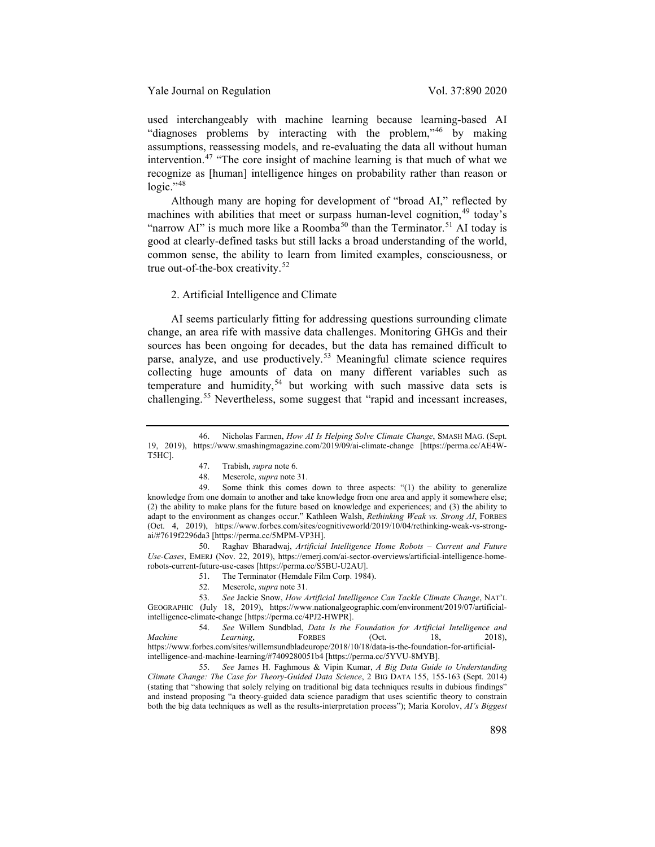used interchangeably with machine learning because learning-based AI "diagnoses problems by interacting with the problem,"[46](#page-8-0) by making assumptions, reassessing models, and re-evaluating the data all without human intervention.[47](#page-8-1) "The core insight of machine learning is that much of what we recognize as [human] intelligence hinges on probability rather than reason or  $logic.$ "<sup>[48](#page-8-2)</sup>

Although many are hoping for development of "broad AI," reflected by machines with abilities that meet or surpass human-level cognition.<sup>[49](#page-8-3)</sup> today's "narrow AI" is much more like a Roomba<sup>[50](#page-8-4)</sup> than the Terminator.<sup>[51](#page-8-5)</sup> AI today is good at clearly-defined tasks but still lacks a broad understanding of the world, common sense, the ability to learn from limited examples, consciousness, or true out-of-the-box creativity.<sup>[52](#page-8-6)</sup>

# <span id="page-8-10"></span>2. Artificial Intelligence and Climate

AI seems particularly fitting for addressing questions surrounding climate change, an area rife with massive data challenges. Monitoring GHGs and their sources has been ongoing for decades, but the data has remained difficult to parse, analyze, and use productively.<sup>[53](#page-8-7)</sup> Meaningful climate science requires collecting huge amounts of data on many different variables such as temperature and humidity,<sup>[54](#page-8-8)</sup> but working with such massive data sets is challenging.<sup>[55](#page-8-9)</sup> Nevertheless, some suggest that "rapid and incessant increases,

<span id="page-8-4"></span>50. Raghav Bharadwaj, *Artificial Intelligence Home Robots – Current and Future Use-Cases*, EMERJ (Nov. 22, 2019), https://emerj.com/ai-sector-overviews/artificial-intelligence-homerobots-current-future-use-cases [https://perma.cc/S5BU-U2AU].

51. The Terminator (Hemdale Film Corp. 1984).

52. Meserole, *supra* note [31.](#page-5-7) 

<span id="page-8-0"></span><sup>46.</sup> Nicholas Farmen, *How AI Is Helping Solve Climate Change*, SMASH MAG. (Sept. 19, 2019), https://www.smashingmagazine.com/2019/09/ai-climate-change [https://perma.cc/AE4W-T5HC].

<sup>47.</sup> Trabish, *supra* not[e 6.](#page-1-7)

<sup>48.</sup> Meserole, *supra* note [31.](#page-5-7) 

<span id="page-8-3"></span><span id="page-8-2"></span><span id="page-8-1"></span><sup>49.</sup> Some think this comes down to three aspects: "(1) the ability to generalize knowledge from one domain to another and take knowledge from one area and apply it somewhere else; (2) the ability to make plans for the future based on knowledge and experiences; and (3) the ability to adapt to the environment as changes occur." Kathleen Walsh, *Rethinking Weak vs. Strong AI*, FORBES (Oct. 4, 2019), https://www.forbes.com/sites/cognitiveworld/2019/10/04/rethinking-weak-vs-strongai/#7619f2296da3 [https://perma.cc/5MPM-VP3H].

<span id="page-8-7"></span><span id="page-8-6"></span><span id="page-8-5"></span><sup>53.</sup> *See* Jackie Snow, *How Artificial Intelligence Can Tackle Climate Change*, NAT'L GEOGRAPHIC (July 18, 2019), https://www.nationalgeographic.com/environment/2019/07/artificialintelligence-climate-change [https://perma.cc/4PJ2-HWPR].

<span id="page-8-8"></span><sup>54.</sup> *See* Willem Sundblad, *Data Is the Foundation for Artificial Intelligence and Machine Learning*, FORBES (Oct. 18, 2018), https://www.forbes.com/sites/willemsundbladeurope/2018/10/18/data-is-the-foundation-for-artificialintelligence-and-machine-learning/#7409280051b4 [https://perma.cc/5YVU-8MYB].

<span id="page-8-9"></span><sup>55.</sup> *See* James H. Faghmous & Vipin Kumar, *A Big Data Guide to Understanding Climate Change: The Case for Theory-Guided Data Science*, 2 BIG DATA 155, 155-163 (Sept. 2014) (stating that "showing that solely relying on traditional big data techniques results in dubious findings" and instead proposing "a theory-guided data science paradigm that uses scientific theory to constrain both the big data techniques as well as the results-interpretation process"); Maria Korolov, *AI's Biggest*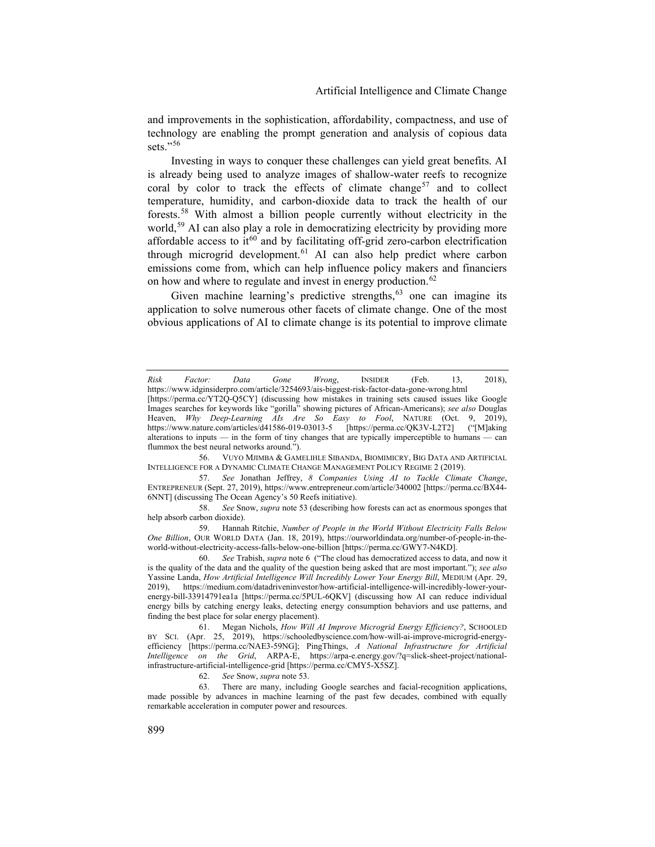and improvements in the sophistication, affordability, compactness, and use of technology are enabling the prompt generation and analysis of copious data sets." $56$ 

<span id="page-9-9"></span><span id="page-9-8"></span>Investing in ways to conquer these challenges can yield great benefits. AI is already being used to analyze images of shallow-water reefs to recognize coral by color to track the effects of climate change<sup>[57](#page-9-1)</sup> and to collect temperature, humidity, and carbon-dioxide data to track the health of our forests.[58](#page-9-2) With almost a billion people currently without electricity in the world,<sup>[59](#page-9-3)</sup> AI can also play a role in democratizing electricity by providing more affordable access to it<sup>[60](#page-9-4)</sup> and by facilitating off-grid zero-carbon electrification through microgrid development.<sup>[61](#page-9-5)</sup> AI can also help predict where carbon emissions come from, which can help influence policy makers and financiers on how and where to regulate and invest in energy production.<sup>[62](#page-9-6)</sup>

Given machine learning's predictive strengths,  $63$  one can imagine its application to solve numerous other facets of climate change. One of the most obvious applications of AI to climate change is its potential to improve climate

<span id="page-9-1"></span>57. *See* Jonathan Jeffrey, *8 Companies Using AI to Tackle Climate Change*, ENTREPRENEUR (Sept. 27, 2019), https://www.entrepreneur.com/article/340002 [https://perma.cc/BX44- 6NNT] (discussing The Ocean Agency's 50 Reefs initiative).

<span id="page-9-2"></span>58. *See* Snow, *supra* not[e 53](#page-8-10) (describing how forests can act as enormous sponges that help absorb carbon dioxide).

<span id="page-9-3"></span>59. Hannah Ritchie, *Number of People in the World Without Electricity Falls Below One Billion*, OUR WORLD DATA (Jan. 18, 2019), https://ourworldindata.org/number-of-people-in-theworld-without-electricity-access-falls-below-one-billion [https://perma.cc/GWY7-N4KD].

<span id="page-9-4"></span>60. *See* Trabish, *supra* not[e 6](#page-1-7) ("The cloud has democratized access to data, and now it is the quality of the data and the quality of the question being asked that are most important."); *see also* Yassine Landa, *How Artificial Intelligence Will Incredibly Lower Your Energy Bill*, MEDIUM (Apr. 29, 2019), https://medium.com/datadriveninvestor/how-artificial-intelligence-will-incredibly-lower-yourenergy-bill-33914791ea1a [https://perma.cc/5PUL-6QKV] (discussing how AI can reduce individual energy bills by catching energy leaks, detecting energy consumption behaviors and use patterns, and finding the best place for solar energy placement).

<span id="page-9-5"></span>61. Megan Nichols, *How Will AI Improve Microgrid Energy Efficiency?*, SCHOOLED BY SCI. (Apr. 25, 2019), https://schooledbyscience.com/how-will-ai-improve-microgrid-energyefficiency [https://perma.cc/NAE3-59NG]; PingThings, *A National Infrastructure for Artificial Intelligence on the Grid*, ARPA-E, https://arpa-e.energy.gov/?q=slick-sheet-project/nationalinfrastructure-artificial-intelligence-grid [https://perma.cc/CMY5-X5SZ].

62. *See* Snow, *supra* not[e 53.](#page-8-10)

<span id="page-9-7"></span><span id="page-9-6"></span>63. There are many, including Google searches and facial-recognition applications, made possible by advances in machine learning of the past few decades, combined with equally remarkable acceleration in computer power and resources.

*Risk Factor: Data Gone Wrong*, INSIDER (Feb. 13, 2018), https://www.idginsiderpro.com/article/3254693/ais-biggest-risk-factor-data-gone-wrong.html

<sup>[</sup>https://perma.cc/YT2Q-Q5CY] (discussing how mistakes in training sets caused issues like Google Images searches for keywords like "gorilla" showing pictures of African-Americans); *see also* Douglas Heaven, *Why Deep-Learning AIs Are So Easy to Fool*, NATURE (Oct. 9, 2019), https://www.nature.com/articles/d41586-019-03013-5 [https://perma.cc/QK3V-L2T2] ("[M]aking alterations to inputs — in the form of tiny changes that are typically imperceptible to humans — can flummox the best neural networks around.").

<span id="page-9-0"></span><sup>56.</sup> VUYO MJIMBA & GAMELIHLE SIBANDA, BIOMIMICRY, BIG DATA AND ARTIFICIAL INTELLIGENCE FOR A DYNAMIC CLIMATE CHANGE MANAGEMENT POLICY REGIME 2 (2019).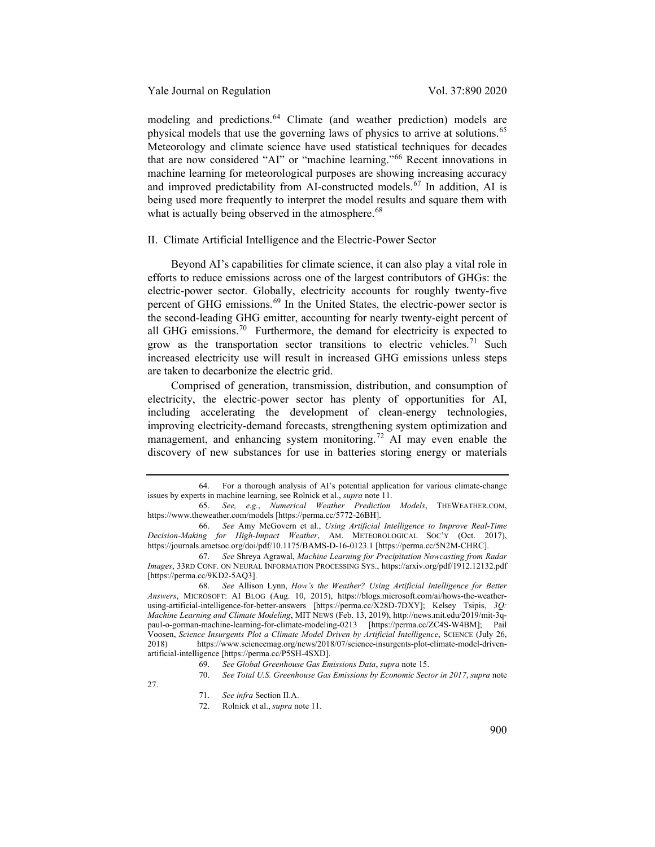modeling and predictions. [64](#page-10-0) Climate (and weather prediction) models are physical models that use the governing laws of physics to arrive at solutions.<sup>[65](#page-10-1)</sup> Meteorology and climate science have used statistical techniques for decades that are now considered "AI" or "machine learning."[66](#page-10-2) Recent innovations in machine learning for meteorological purposes are showing increasing accuracy and improved predictability from AI-constructed models.<sup>[67](#page-10-3)</sup> In addition, AI is being used more frequently to interpret the model results and square them with what is actually being observed in the atmosphere.<sup>[68](#page-10-4)</sup>

# II. Climate Artificial Intelligence and the Electric-Power Sector

Beyond AI's capabilities for climate science, it can also play a vital role in efforts to reduce emissions across one of the largest contributors of GHGs: the electric-power sector. Globally, electricity accounts for roughly twenty-five percent of GHG emissions.<sup>[69](#page-10-5)</sup> In the United States, the electric-power sector is the second-leading GHG emitter, accounting for nearly twenty-eight percent of all GHG emissions.<sup>70</sup> Furthermore, the demand for electricity is expected to grow as the transportation sector transitions to electric vehicles.<sup>[71](#page-10-7)</sup> Such increased electricity use will result in increased GHG emissions unless steps are taken to decarbonize the electric grid.

Comprised of generation, transmission, distribution, and consumption of electricity, the electric-power sector has plenty of opportunities for AI, including accelerating the development of clean-energy technologies, improving electricity-demand forecasts, strengthening system optimization and management, and enhancing system monitoring.<sup>[72](#page-10-8)</sup> AI may even enable the discovery of new substances for use in batteries storing energy or materials

<span id="page-10-0"></span><sup>64.</sup> For a thorough analysis of AI's potential application for various climate-change issues by experts in machine learning, see Rolnick et al., *supra* note [11.](#page-2-8)

<span id="page-10-1"></span><sup>65.</sup> *See, e.g.*, *Numerical Weather Prediction Models*, THEWEATHER.COM, https://www.theweather.com/models [https://perma.cc/5772-26BH].

<span id="page-10-2"></span><sup>66.</sup> *See* Amy McGovern et al., *Using Artificial Intelligence to Improve Real-Time Decision-Making for High-Impact Weather*, AM. METEOROLOGICAL SOC'Y (Oct. 2017), https://journals.ametsoc.org/doi/pdf/10.1175/BAMS-D-16-0123.1 [https://perma.cc/5N2M-CHRC].

<span id="page-10-3"></span><sup>67.</sup> *See* Shreya Agrawal, *Machine Learning for Precipitation Nowcasting from Radar Images*, 33RD CONF. ON NEURAL INFORMATION PROCESSING SYS., https://arxiv.org/pdf/1912.12132.pdf [https://perma.cc/9KD2-5AQ3].

<span id="page-10-4"></span><sup>68.</sup> *See* Allison Lynn, *How's the Weather? Using Artificial Intelligence for Better Answers*, MICROSOFT: AI BLOG (Aug. 10, 2015), https://blogs.microsoft.com/ai/hows-the-weatherusing-artificial-intelligence-for-better-answers [https://perma.cc/X28D-7DXY]; Kelsey Tsipis, *3Q: Machine Learning and Climate Modeling*, MIT NEWS (Feb. 13, 2019), http://news.mit.edu/2019/mit-3qpaul-o-gorman-machine-learning-for-climate-modeling-0213 [https://perma.cc/ZC4S-W4BM]; Pail Voosen, *Science Insurgents Plot a Climate Model Driven by Artificial Intelligence*, SCIENCE (July 26, 2018) https://www.sciencemag.org/news/2018/07/science-insurgents-plot-climate-model-drivenartificial-intelligence [https://perma.cc/P5SH-4SXD].

<sup>69.</sup> *See Global Greenhouse Gas Emissions Data*, *supra* not[e 15.](#page-3-0)

<sup>70.</sup> *See Total U.S. Greenhouse Gas Emissions by Economic Sector in 2017*, *supra* note

<span id="page-10-8"></span><span id="page-10-7"></span><span id="page-10-6"></span><span id="page-10-5"></span>[<sup>27.</sup>](#page-5-8)

<sup>71.</sup> *See infra* Section II.A.

<sup>72.</sup> Rolnick et al., *supra* note [11.](#page-2-8)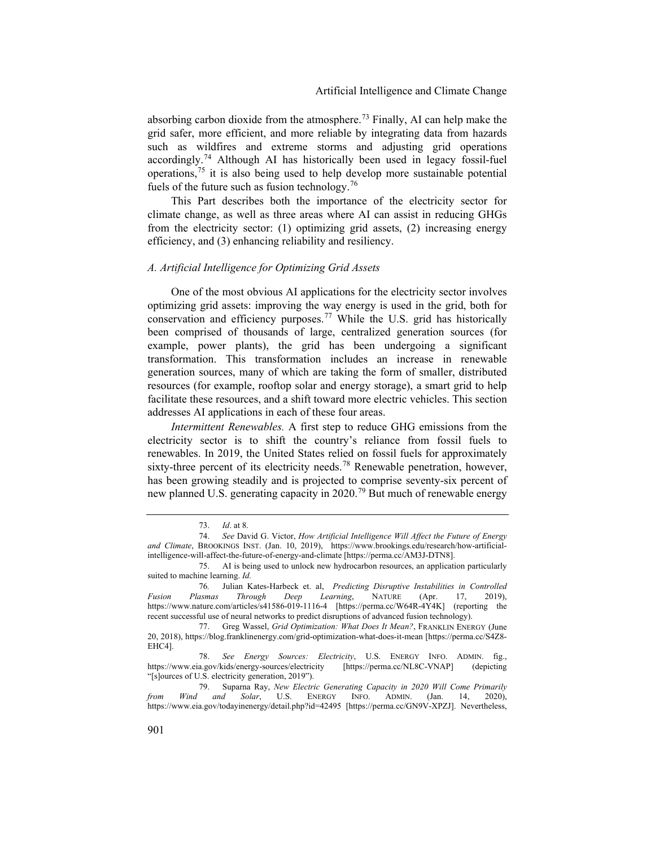<span id="page-11-8"></span>absorbing carbon dioxide from the atmosphere.<sup>[73](#page-11-0)</sup> Finally, AI can help make the grid safer, more efficient, and more reliable by integrating data from hazards such as wildfires and extreme storms and adjusting grid operations accordingly.<sup>[74](#page-11-1)</sup> Although AI has historically been used in legacy fossil-fuel operations,[75](#page-11-2) it is also being used to help develop more sustainable potential fuels of the future such as fusion technology.<sup>[76](#page-11-3)</sup>

This Part describes both the importance of the electricity sector for climate change, as well as three areas where AI can assist in reducing GHGs from the electricity sector: (1) optimizing grid assets, (2) increasing energy efficiency, and (3) enhancing reliability and resiliency.

#### *A. Artificial Intelligence for Optimizing Grid Assets*

One of the most obvious AI applications for the electricity sector involves optimizing grid assets: improving the way energy is used in the grid, both for conservation and efficiency purposes.<sup>[77](#page-11-4)</sup> While the U.S. grid has historically been comprised of thousands of large, centralized generation sources (for example, power plants), the grid has been undergoing a significant transformation. This transformation includes an increase in renewable generation sources, many of which are taking the form of smaller, distributed resources (for example, rooftop solar and energy storage), a smart grid to help facilitate these resources, and a shift toward more electric vehicles. This section addresses AI applications in each of these four areas.

*Intermittent Renewables.* A first step to reduce GHG emissions from the electricity sector is to shift the country's reliance from fossil fuels to renewables. In 2019, the United States relied on fossil fuels for approximately sixty-three percent of its electricity needs.<sup>[78](#page-11-5)</sup> Renewable penetration, however, has been growing steadily and is projected to comprise seventy-six percent of new planned U.S. generating capacity in 2020.[79](#page-11-6) But much of renewable energy

<span id="page-11-7"></span><sup>73.</sup> *Id*. at 8.

<span id="page-11-1"></span><span id="page-11-0"></span><sup>74.</sup> *See* David G. Victor, *How Artificial Intelligence Will Affect the Future of Energy and Climate*, BROOKINGS INST. (Jan. 10, 2019), https://www.brookings.edu/research/how-artificialintelligence-will-affect-the-future-of-energy-and-climate [https://perma.cc/AM3J-DTN8].

<span id="page-11-2"></span><sup>75.</sup> AI is being used to unlock new hydrocarbon resources, an application particularly suited to machine learning. *Id.*

<span id="page-11-3"></span><sup>76</sup>*.* Julian Kates-Harbeck et. al, *Predicting Disruptive Instabilities in Controlled Fusion Plasmas Through Deep Learning*, NATURE (Apr. 17, 2019), https://www.nature.com/articles/s41586-019-1116-4 [https://perma.cc/W64R-4Y4K] (reporting the recent successful use of neural networks to predict disruptions of advanced fusion technology).

<span id="page-11-4"></span><sup>77.</sup> Greg Wassel, *Grid Optimization: What Does It Mean?*, FRANKLIN ENERGY (June 20, 2018), https://blog.franklinenergy.com/grid-optimization-what-does-it-mean [https://perma.cc/S4Z8- EHC4].

<span id="page-11-5"></span><sup>78.</sup> *See Energy Sources: Electricity*, U.S. ENERGY INFO. ADMIN. fig., https://www.eia.gov/kids/energy-sources/electricity [https://perma.cc/NL8C-VNAP] (depicting "[s]ources of U.S. electricity generation, 2019").

<span id="page-11-6"></span><sup>79.</sup> Suparna Ray, *New Electric Generating Capacity in 2020 Will Come Primarily from Wind and Solar*, U.S. ENERGY INFO. ADMIN. (Jan. 14, 2020), https://www.eia.gov/todayinenergy/detail.php?id=42495 [https://perma.cc/GN9V-XPZJ]. Nevertheless,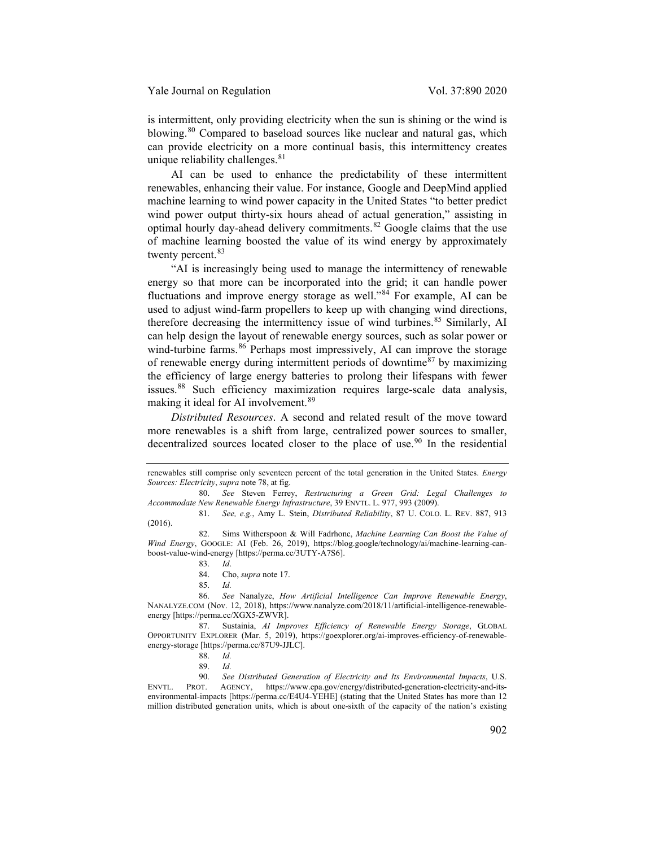is intermittent, only providing electricity when the sun is shining or the wind is blowing.<sup>[80](#page-12-0)</sup> Compared to baseload sources like nuclear and natural gas, which can provide electricity on a more continual basis, this intermittency creates unique reliability challenges. $81$ 

<span id="page-12-11"></span>AI can be used to enhance the predictability of these intermittent renewables, enhancing their value. For instance, Google and DeepMind applied machine learning to wind power capacity in the United States "to better predict wind power output thirty-six hours ahead of actual generation," assisting in optimal hourly day-ahead delivery commitments. $82$  Google claims that the use of machine learning boosted the value of its wind energy by approximately twenty percent.<sup>[83](#page-12-3)</sup>

"AI is increasingly being used to manage the intermittency of renewable energy so that more can be incorporated into the grid; it can handle power fluctuations and improve energy storage as well."[84](#page-12-4) For example, AI can be used to adjust wind-farm propellers to keep up with changing wind directions, therefore decreasing the intermittency issue of wind turbines.<sup>[85](#page-12-5)</sup> Similarly, AI can help design the layout of renewable energy sources, such as solar power or wind-turbine farms.<sup>[86](#page-12-6)</sup> Perhaps most impressively, AI can improve the storage of renewable energy during intermittent periods of downtime $87$  by maximizing the efficiency of large energy batteries to prolong their lifespans with fewer issues.[88](#page-12-8) Such efficiency maximization requires large-scale data analysis, making it ideal for AI involvement.<sup>[89](#page-12-9)</sup>

*Distributed Resources*. A second and related result of the move toward more renewables is a shift from large, centralized power sources to smaller, decentralized sources located closer to the place of use.<sup>[90](#page-12-10)</sup> In the residential

<span id="page-12-6"></span><span id="page-12-5"></span><span id="page-12-4"></span>86. *See* Nanalyze, *How Artificial Intelligence Can Improve Renewable Energy*, NANALYZE.COM (Nov. 12, 2018), https://www.nanalyze.com/2018/11/artificial-intelligence-renewableenergy [https://perma.cc/XGX5-ZWVR].

<span id="page-12-7"></span>87. Sustainia, *AI Improves Efficiency of Renewable Energy Storage*, GLOBAL OPPORTUNITY EXPLORER (Mar. 5, 2019), https://goexplorer.org/ai-improves-efficiency-of-renewableenergy-storage [https://perma.cc/87U9-JJLC].

<span id="page-12-10"></span><span id="page-12-9"></span><span id="page-12-8"></span>90. *See Distributed Generation of Electricity and Its Environmental Impacts*, U.S. ENVTL. PROT. AGENCY, https://www.epa.gov/energy/distributed-generation-electricity-and-itsenvironmental-impacts [https://perma.cc/E4U4-YEHE] (stating that the United States has more than 12 million distributed generation units, which is about one-sixth of the capacity of the nation's existing

renewables still comprise only seventeen percent of the total generation in the United States. *Energy Sources: Electricity*, *supra* not[e 78,](#page-11-7) at fig.

<span id="page-12-0"></span><sup>80.</sup> *See* Steven Ferrey, *Restructuring a Green Grid: Legal Challenges to Accommodate New Renewable Energy Infrastructure*, 39 ENVTL. L. 977, 993 (2009).

<span id="page-12-1"></span><sup>81.</sup> *See, e.g.*, Amy L. Stein, *Distributed Reliability*, 87 U. COLO. L. REV. 887, 913 (2016).

<span id="page-12-3"></span><span id="page-12-2"></span><sup>82.</sup> Sims Witherspoon & Will Fadrhonc, *Machine Learning Can Boost the Value of Wind Energy*, GOOGLE: AI (Feb. 26, 2019), https://blog.google/technology/ai/machine-learning-canboost-value-wind-energy [https://perma.cc/3UTY-A7S6].

<sup>83.</sup> *Id*.

<sup>84.</sup> Cho, *supra* not[e 17.](#page-3-1)

<sup>85.</sup> *Id.*

<sup>88.</sup> *Id.*

<sup>89.</sup> *Id.*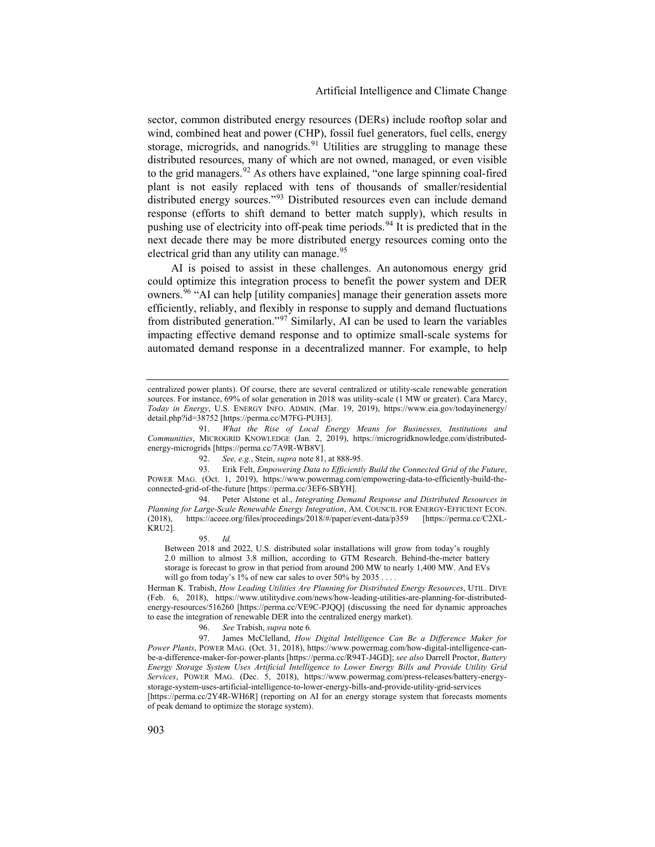sector, common distributed energy resources (DERs) include rooftop solar and wind, combined heat and power (CHP), fossil fuel generators, fuel cells, energy storage, microgrids, and nanogrids.<sup>[91](#page-13-0)</sup> Utilities are struggling to manage these distributed resources, many of which are not owned, managed, or even visible to the grid managers.[92](#page-13-1) As others have explained, "one large spinning coal-fired plant is not easily replaced with tens of thousands of smaller/residential distributed energy sources."<sup>[93](#page-13-2)</sup> Distributed resources even can include demand response (efforts to shift demand to better match supply), which results in pushing use of electricity into off-peak time periods.<sup>[94](#page-13-3)</sup> It is predicted that in the next decade there may be more distributed energy resources coming onto the electrical grid than any utility can manage.<sup>[95](#page-13-4)</sup>

<span id="page-13-7"></span>AI is poised to assist in these challenges. An [autonomous energy grid](https://www.nrel.gov/news/features/2019/from-the-bottom-up-designing-a-decentralized-power-system.html) could optimize this integration process to benefit the power system and DER owners.<sup>[96](#page-13-5)</sup> "AI can help [utility companies] manage their generation assets more efficiently, reliably, and flexibly in response to supply and demand fluctuations from distributed generation."[97](#page-13-6) Similarly, AI can be used to learn the variables impacting effective demand response and to optimize small-scale systems for automated demand response in a decentralized manner. For example, to help

<span id="page-13-4"></span><span id="page-13-3"></span>94. Peter Alstone et al., *Integrating Demand Response and Distributed Resources in Planning for Large-Scale Renewable Energy Integration*, AM. COUNCIL FOR ENERGY-EFFICIENT ECON. (2018), https://aceee.org/files/proceedings/2018/#/paper/event-data/p359 [https://perma.cc/C2XL-KRU2].

Between 2018 and 2022, U.S. distributed solar installations will grow from today's roughly 2.0 million to almost 3.8 million, according to GTM Research. Behind-the-meter battery storage is forecast to grow in that period from around 200 MW to nearly 1,400 MW. And EVs will go from today's 1% of new car sales to over 50% by 2035 . . . .

Herman K. Trabish, *How Leading Utilities Are Planning for Distributed Energy Resources*, UTIL. DIVE (Feb. 6, 2018), https://www.utilitydive.com/news/how-leading-utilities-are-planning-for-distributedenergy-resources/516260 [https://perma.cc/VE9C-PJQQ] (discussing the need for dynamic approaches to ease the integration of renewable DER into the centralized energy market).

96. *See* Trabish, *supra* note 6*.*

<span id="page-13-6"></span><span id="page-13-5"></span>97. James McClelland, *How Digital Intelligence Can Be a Difference Maker for Power Plants*, POWER MAG. (Oct. 31, 2018), https://www.powermag.com/how-digital-intelligence-canbe-a-difference-maker-for-power-plants [https://perma.cc/R94T-J4GD]; *see also* Darrell Proctor, *Battery Energy Storage System Uses Artificial Intelligence to Lower Energy Bills and Provide Utility Grid Services*, POWER MAG. (Dec. 5, 2018), https://www.powermag.com/press-releases/battery-energystorage-system-uses-artificial-intelligence-to-lower-energy-bills-and-provide-utility-grid-services [https://perma.cc/2Y4R-WH6R] (reporting on AI for an energy storage system that forecasts moments of peak demand to optimize the storage system).

centralized power plants). Of course, there are several centralized or utility-scale renewable generation sources. For instance, 69% of solar generation in 2018 was utility-scale (1 MW or greater). Cara Marcy, *Today in Energy*, U.S. ENERGY INFO. ADMIN. (Mar. 19, 2019), https://www.eia.gov/todayinenergy/ detail.php?id=38752 [https://perma.cc/M7FG-PUH3].

<span id="page-13-0"></span><sup>91.</sup> *What the Rise of Local Energy Means for Businesses, Institutions and Communities*, MICROGRID KNOWLEDGE (Jan. 2, 2019), https://microgridknowledge.com/distributedenergy-microgrids [https://perma.cc/7A9R-WB8V].

<sup>92.</sup> *See, e.g.*, Stein, *supra* not[e 81,](#page-12-11) at 888-95.

<span id="page-13-2"></span><span id="page-13-1"></span><sup>93.</sup> Erik Felt, *Empowering Data to Efficiently Build the Connected Grid of the Future*, POWER MAG. (Oct. 1, 2019), https://www.powermag.com/empowering-data-to-efficiently-build-theconnected-grid-of-the-future [https://perma.cc/3EF6-SBYH].

<sup>95.</sup> *Id.*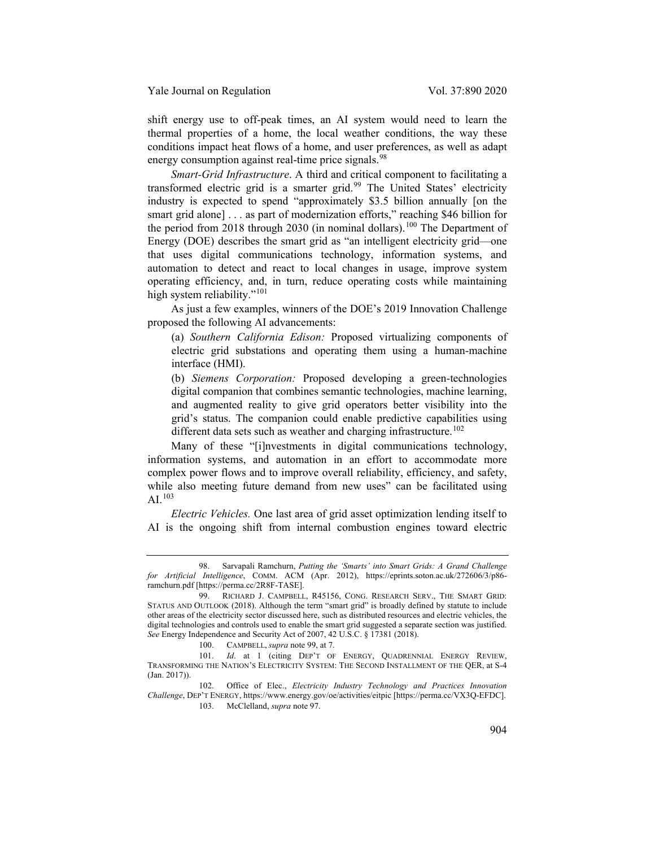shift energy use to off-peak times, an AI system would need to learn the thermal properties of a home, the local weather conditions, the way these conditions impact heat flows of a home, and user preferences, as well as adapt energy consumption against real-time price signals.<sup>[98](#page-14-1)</sup>

<span id="page-14-7"></span><span id="page-14-0"></span>*Smart-Grid Infrastructure*. A third and critical component to facilitating a transformed electric grid is a smarter grid.<sup>[99](#page-14-2)</sup> The United States' electricity industry is expected to spend "approximately \$3.5 billion annually [on the smart grid alone] . . . as part of modernization efforts," reaching \$46 billion for the period from 2018 through 2030 (in nominal dollars).<sup>[100](#page-14-3)</sup> The Department of Energy (DOE) describes the smart grid as "an intelligent electricity grid—one that uses digital communications technology, information systems, and automation to detect and react to local changes in usage, improve system operating efficiency, and, in turn, reduce operating costs while maintaining high system reliability."<sup>[101](#page-14-4)</sup>

As just a few examples, winners of the DOE's 2019 Innovation Challenge proposed the following AI advancements:

(a) *Southern California Edison:* Proposed virtualizing components of electric grid substations and operating them using a human-machine interface (HMI).

(b) *Siemens Corporation:* Proposed developing a green-technologies digital companion that combines semantic technologies, machine learning, and augmented reality to give grid operators better visibility into the grid's status. The companion could enable predictive capabilities using different data sets such as weather and charging infrastructure.<sup>[102](#page-14-5)</sup>

Many of these "[i]nvestments in digital communications technology, information systems, and automation in an effort to accommodate more complex power flows and to improve overall reliability, efficiency, and safety, while also meeting future demand from new uses" can be facilitated using  $AI.<sup>103</sup>$  $AI.<sup>103</sup>$  $AI.<sup>103</sup>$ 

*Electric Vehicles.* One last area of grid asset optimization lending itself to AI is the ongoing shift from internal combustion engines toward electric

<span id="page-14-1"></span><sup>98.</sup> Sarvapali Ramchurn, *Putting the 'Smarts' into Smart Grids: A Grand Challenge for Artificial Intelligence*, COMM. ACM (Apr. 2012), https://eprints.soton.ac.uk/272606/3/p86 ramchurn.pdf [https://perma.cc/2R8F-TASE].

<span id="page-14-2"></span><sup>99.</sup> RICHARD J. CAMPBELL, R45156, CONG. RESEARCH SERV., THE SMART GRID: STATUS AND OUTLOOK (2018). Although the term "smart grid" is broadly defined by statute to include other areas of the electricity sector discussed here, such as distributed resources and electric vehicles, the digital technologies and controls used to enable the smart grid suggested a separate section was justified. *See* Energy Independence and Security Act of 2007, 42 U.S.C. § 17381 (2018).

<sup>100.</sup> CAMPBELL, *supra* not[e 99,](#page-14-0) at 7.

<span id="page-14-4"></span><span id="page-14-3"></span><sup>101.</sup> *Id*. at 1 (citing DEP'T OF ENERGY, QUADRENNIAL ENERGY REVIEW, TRANSFORMING THE NATION'S ELECTRICITY SYSTEM: THE SECOND INSTALLMENT OF THE QER, at S-4 (Jan. 2017)).

<span id="page-14-6"></span><span id="page-14-5"></span><sup>102.</sup> Office of Elec., *Electricity Industry Technology and Practices Innovation Challenge*, DEP'T ENERGY, https://www.energy.gov/oe/activities/eitpic [https://perma.cc/VX3Q-EFDC]. 103. McClelland, *supra* note [97.](#page-13-7)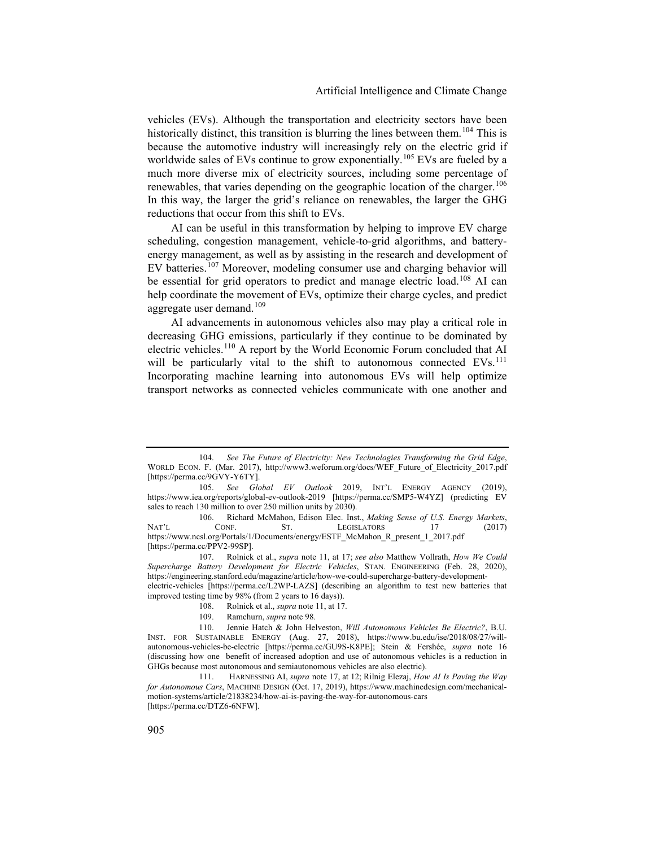vehicles (EVs). Although the transportation and electricity sectors have been historically distinct, this transition is blurring the lines between them.<sup>[104](#page-15-0)</sup> This is because the automotive industry will increasingly rely on the electric grid if worldwide sales of EVs continue to grow exponentially.<sup>[105](#page-15-1)</sup> EVs are fueled by a much more diverse mix of electricity sources, including some percentage of renewables, that varies depending on the geographic location of the charger.<sup>[106](#page-15-2)</sup> In this way, the larger the grid's reliance on renewables, the larger the GHG reductions that occur from this shift to EVs.

AI can be useful in this transformation by helping to improve EV charge scheduling, congestion management, vehicle-to-grid algorithms, and batteryenergy management, as well as by assisting in the research and development of EV batteries.<sup>[107](#page-15-3)</sup> Moreover, modeling consumer use and charging behavior will be essential for grid operators to predict and manage electric load.<sup>[108](#page-15-4)</sup> AI can help coordinate the movement of EVs, optimize their charge cycles, and predict aggregate user demand.<sup>[109](#page-15-5)</sup>

AI advancements in autonomous vehicles also may play a critical role in decreasing GHG emissions, particularly if they continue to be dominated by electric vehicles.[110](#page-15-6) A report by the World Economic Forum concluded that AI will be particularly vital to the shift to autonomous connected EVs.<sup>[111](#page-15-7)</sup> Incorporating machine learning into autonomous EVs will help optimize transport networks as connected vehicles communicate with one another and

<span id="page-15-3"></span>107. Rolnick et al., *supra* note [11,](#page-2-8) at 17; *see also* Matthew Vollrath, *How We Could Supercharge Battery Development for Electric Vehicles*, STAN. ENGINEERING (Feb. 28, 2020), https://engineering.stanford.edu/magazine/article/how-we-could-supercharge-battery-developmentelectric-vehicles [https://perma.cc/L2WP-LAZS] (describing an algorithm to test new batteries that

<span id="page-15-4"></span>improved testing time by 98% (from 2 years to 16 days)).

109. Ramchurn, *supra* not[e 98.](#page-14-7)

<span id="page-15-0"></span><sup>104.</sup> *See The Future of Electricity: New Technologies Transforming the Grid Edge*, WORLD ECON. F. (Mar. 2017), http://www3.weforum.org/docs/WEF\_Future\_of\_Electricity\_2017.pdf [https://perma.cc/9GVY-Y6TY].

<span id="page-15-1"></span><sup>105.</sup> *See Global EV Outlook* 2019, INT'L ENERGY AGENCY (2019), https://www.iea.org/reports/global-ev-outlook-2019 [https://perma.cc/SMP5-W4YZ] (predicting EV sales to reach 130 million to over 250 million units by 2030).

<span id="page-15-2"></span><sup>106.</sup> Richard McMahon, Edison Elec. Inst., *Making Sense of U.S. Energy Markets*, NAT'L CONF. ST. LEGISLATORS 17 (2017) https://www.ncsl.org/Portals/1/Documents/energy/ESTF\_McMahon\_R\_present\_1\_2017.pdf [https://perma.cc/PPV2-99SP].

<sup>108.</sup> Rolnick et al., *supra* note [11,](#page-2-8) at 17.

<span id="page-15-6"></span><span id="page-15-5"></span><sup>110.</sup> Jennie Hatch & John Helveston, *Will Autonomous Vehicles Be Electric?*, B.U. INST. FOR SUSTAINABLE ENERGY (Aug. 27, 2018), https://www.bu.edu/ise/2018/08/27/willautonomous-vehicles-be-electric [https://perma.cc/GU9S-K8PE]; Stein & Fershée, *supra* note 16 (discussing how one benefit of increased adoption and use of autonomous vehicles is a reduction in GHGs because most autonomous and semiautonomous vehicles are also electric).

<span id="page-15-7"></span><sup>111.</sup> HARNESSING AI, *supra* note [17,](#page-3-1) at 12; Rilnig Elezaj, *How AI Is Paving the Way for Autonomous Cars*, MACHINE DESIGN (Oct. 17, 2019), https://www.machinedesign.com/mechanicalmotion-systems/article/21838234/how-ai-is-paving-the-way-for-autonomous-cars [https://perma.cc/DTZ6-6NFW].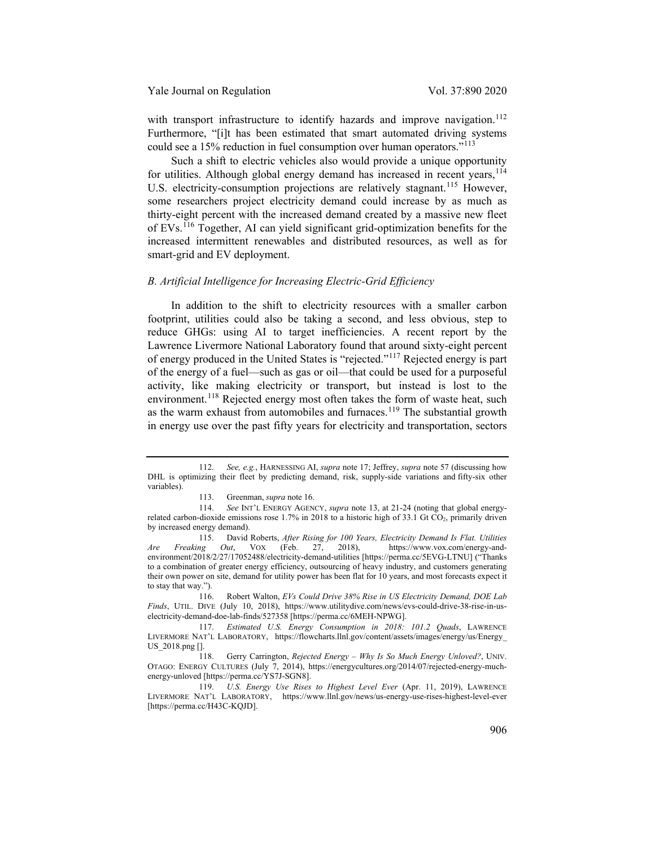with transport infrastructure to identify hazards and improve navigation.<sup>[112](#page-16-0)</sup> Furthermore, "[i]t has been estimated that smart automated driving systems could see a 15% reduction in fuel consumption over human operators."<sup>[113](#page-16-1)</sup>

Such a shift to electric vehicles also would provide a unique opportunity for utilities. Although global energy demand has increased in recent years,  $114$ U.S. electricity-consumption projections are relatively stagnant.<sup>[115](#page-16-3)</sup> However, some researchers project electricity demand could increase by as much as thirty-eight percent with the increased demand created by a massive new fleet of EVs.[116](#page-16-4) Together, AI can yield significant grid-optimization benefits for the increased intermittent renewables and distributed resources, as well as for smart-grid and EV deployment.

# *B. Artificial Intelligence for Increasing Electric-Grid Efficiency*

In addition to the shift to electricity resources with a smaller carbon footprint, utilities could also be taking a second, and less obvious, step to reduce GHGs: using AI to target inefficiencies. A recent report by the Lawrence Livermore National Laboratory found that around sixty-eight percent of energy produced in the United States is "rejected."[117](#page-16-5) Rejected energy is part of the energy of a fuel—such as gas or oil—that could be used for a purposeful activity, like making electricity or transport, but instead is lost to the environment.<sup>[118](#page-16-6)</sup> Rejected energy most often takes the form of waste heat, such as the warm exhaust from automobiles and furnaces.<sup>[119](#page-16-7)</sup> The substantial growth in energy use over the past fifty years for electricity and transportation, sectors

<span id="page-16-0"></span><sup>112.</sup> *See, e.g.*, HARNESSING AI, *supra* not[e 17;](#page-3-1) Jeffrey, *supra* note [57](#page-9-8) (discussing how DHL is optimizing their fleet by predicting demand, risk, supply-side variations and fifty-six other variables).

<span id="page-16-8"></span><sup>113.</sup> Greenman, *supra* not[e 16.](#page-3-6)

<span id="page-16-2"></span><span id="page-16-1"></span><sup>114.</sup> *See* INT'L ENERGY AGENCY, *supra* note [13,](#page-2-9) at 21-24 (noting that global energyrelated carbon-dioxide emissions rose 1.7% in 2018 to a historic high of 33.1 Gt CO<sub>2</sub>, primarily driven by increased energy demand).

<span id="page-16-3"></span><sup>115.</sup> David Roberts, *After Rising for 100 Years, Electricity Demand Is Flat. Utilities Are Freaking Out*, VOX (Feb. 27, 2018), https://www.vox.com/energy-andenvironment/2018/2/27/17052488/electricity-demand-utilities [https://perma.cc/5EVG-LTNU] ("Thanks to a combination of greater energy efficiency, outsourcing of heavy industry, and customers generating their own power on site, demand for utility power has been flat for 10 years, and most forecasts expect it to stay that way.").

<span id="page-16-4"></span><sup>116.</sup> Robert Walton, *EVs Could Drive 38% Rise in US Electricity Demand, DOE Lab Finds*, UTIL. DIVE (July 10, 2018), https://www.utilitydive.com/news/evs-could-drive-38-rise-in-uselectricity-demand-doe-lab-finds/527358 [https://perma.cc/6MEH-NPWG].

<span id="page-16-5"></span><sup>117.</sup> *Estimated U.S. Energy Consumption in 2018: 101.2 Quads*, LAWRENCE LIVERMORE NAT'L LABORATORY, https://flowcharts.llnl.gov/content/assets/images/energy/us/Energy\_ US\_2018.png [].

<span id="page-16-6"></span><sup>118.</sup> Gerry Carrington, *Rejected Energy – Why Is So Much Energy Unloved?*, UNIV. OTAGO: ENERGY CULTURES (July 7, 2014), https://energycultures.org/2014/07/rejected-energy-muchenergy-unloved [https://perma.cc/YS7J-SGN8].

<span id="page-16-7"></span><sup>119.</sup> *U.S. Energy Use Rises to Highest Level Ever* (Apr. 11, 2019), LAWRENCE LIVERMORE NAT'L LABORATORY, https://www.llnl.gov/news/us-energy-use-rises-highest-level-ever [https://perma.cc/H43C-KQJD].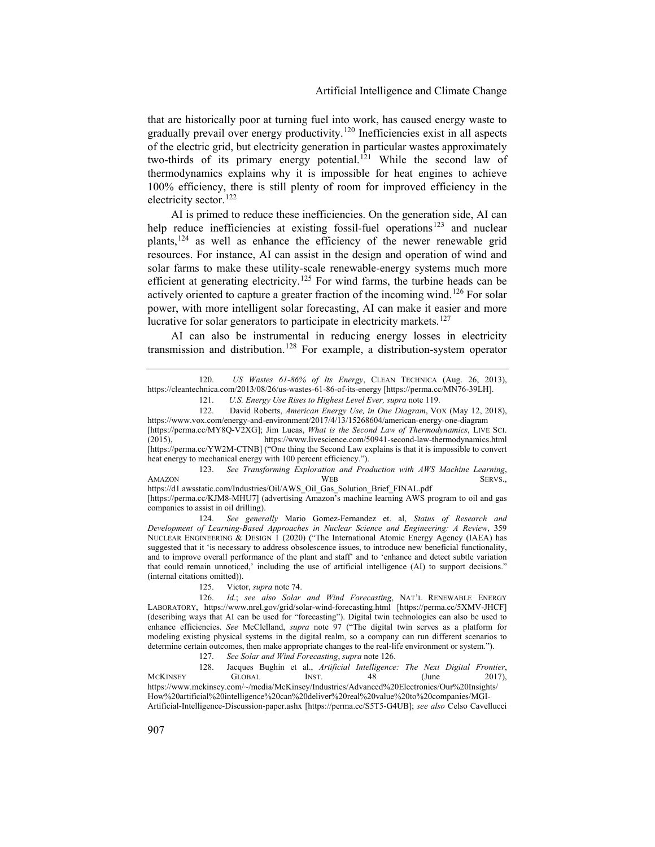that are historically poor at turning fuel into work, has caused energy waste to gradually prevail over energy productivity.[120](#page-17-1) Inefficiencies exist in all aspects of the electric grid, but electricity generation in particular wastes approximately two-thirds of its primary energy potential.<sup>[121](#page-17-2)</sup> While the second law of thermodynamics explains why it is impossible for heat engines to achieve 100% efficiency, there is still plenty of room for improved efficiency in the electricity sector.<sup>[122](#page-17-3)</sup>

AI is primed to reduce these inefficiencies. On the generation side, AI can help reduce inefficiencies at existing fossil-fuel operations<sup>[123](#page-17-4)</sup> and nuclear plants,[124](#page-17-5) as well as enhance the efficiency of the newer renewable grid resources. For instance, AI can assist in the design and operation of wind and solar farms to make these utility-scale renewable-energy systems much more efficient at generating electricity.<sup>[125](#page-17-6)</sup> For wind farms, the turbine heads can be actively oriented to capture a greater fraction of the incoming wind.<sup>[126](#page-17-7)</sup> For solar power, with more intelligent solar forecasting, AI can make it easier and more lucrative for solar generators to participate in electricity markets.<sup>[127](#page-17-8)</sup>

AI can also be instrumental in reducing energy losses in electricity transmission and distribution.[128](#page-17-9) For example, a distribution-system operator

123. *See Transforming Exploration and Production with AWS Machine Learning*, AMAZON SERVS.,

<span id="page-17-4"></span>https://d1.awsstatic.com/Industries/Oil/AWS\_Oil\_Gas\_Solution\_Brief\_FINAL.pdf [https://perma.cc/KJM8-MHU7] (advertising Amazon's machine learning AWS program to oil and gas companies to assist in oil drilling).

<span id="page-17-5"></span>124. *See generally* Mario Gomez-Fernandez et. al, *Status of Research and Development of Learning-Based Approaches in Nuclear Science and Engineering: A Review*, 359 NUCLEAR ENGINEERING & DESIGN 1 (2020) ("The International Atomic Energy Agency (IAEA) has suggested that it 'is necessary to address obsolescence issues, to introduce new beneficial functionality, and to improve overall performance of the plant and staff' and to 'enhance and detect subtle variation that could remain unnoticed,' including the use of artificial intelligence (AI) to support decisions." (internal citations omitted)).

125. Victor, *supra* not[e 74.](#page-11-8)

127. *See Solar and Wind Forecasting*, *supra* not[e 126.](#page-17-0)

<span id="page-17-9"></span><span id="page-17-8"></span>128. Jacques Bughin et al., *Artificial Intelligence: The Next Digital Frontier*, MCKINSEY GLOBAL INST. 48 (June 2017), https://www.mckinsey.com/~/media/McKinsey/Industries/Advanced%20Electronics/Our%20Insights/ How%20artificial%20intelligence%20can%20deliver%20real%20value%20to%20companies/MGI-Artificial-Intelligence-Discussion-paper.ashx [https://perma.cc/S5T5-G4UB]; *see also* Celso Cavellucci

<span id="page-17-2"></span><span id="page-17-1"></span><sup>120.</sup> *US Wastes 61-86% of Its Energy*, CLEAN TECHNICA (Aug. 26, 2013), https://cleantechnica.com/2013/08/26/us-wastes-61-86-of-its-energy [https://perma.cc/MN76-39LH].

<span id="page-17-10"></span><span id="page-17-0"></span><sup>121.</sup> *U.S. Energy Use Rises to Highest Level Ever, supra* not[e 119.](#page-16-8) 122. David Roberts, *American Energy Use, in One Diagram*, VOX (May 12, 2018),

<span id="page-17-3"></span>https://www.vox.com/energy-and-environment/2017/4/13/15268604/american-energy-one-diagram [https://perma.cc/MY8Q-V2XG]; Jim Lucas, *What is the Second Law of Thermodynamics*, LIVE SCI. https://www.livescience.com/50941-second-law-thermodynamics.html [https://perma.cc/YW2M-CTNB] ("One thing the Second Law explains is that it is impossible to convert heat energy to mechanical energy with 100 percent efficiency.").

<span id="page-17-7"></span><span id="page-17-6"></span><sup>126.</sup> *Id*.; *see also Solar and Wind Forecasting*, NAT'L RENEWABLE ENERGY LABORATORY, https://www.nrel.gov/grid/solar-wind-forecasting.html [https://perma.cc/5XMV-JHCF] (describing ways that AI can be used for "forecasting"). Digital twin technologies can also be used to enhance efficiencies. *See* McClelland, *supra* note [97](#page-13-7) ("The digital twin serves as a platform for modeling existing physical systems in the digital realm, so a company can run different scenarios to determine certain outcomes, then make appropriate changes to the real-life environment or system.").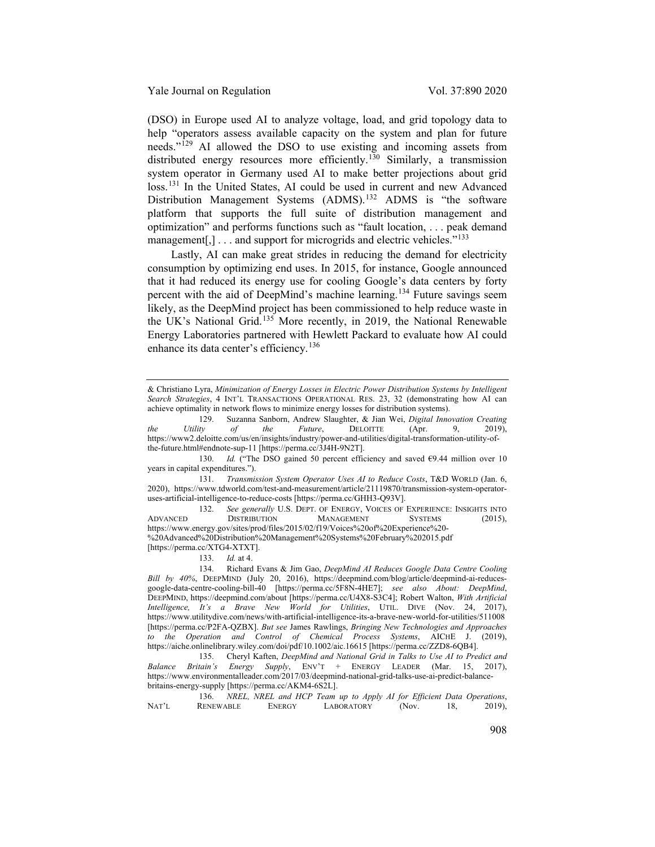(DSO) in Europe used AI to analyze voltage, load, and grid topology data to help "operators assess available capacity on the system and plan for future needs."<sup>[129](#page-18-0)</sup> AI allowed the DSO to use existing and incoming assets from distributed energy resources more efficiently.<sup>[130](#page-18-1)</sup> Similarly, a transmission system operator in Germany used AI to make better projections about grid loss.<sup>[131](#page-18-2)</sup> In the United States, AI could be used in current and new Advanced Distribution Management Systems (ADMS).<sup>[132](#page-18-3)</sup> ADMS is "the software platform that supports the full suite of distribution management and optimization" and performs functions such as "fault location, . . . peak demand management[,]  $\dots$  and support for microgrids and electric vehicles."<sup>[133](#page-18-4)</sup>

<span id="page-18-8"></span>Lastly, AI can make great strides in reducing the demand for electricity consumption by optimizing end uses. In 2015, for instance, Google announced that it had reduced its energy use for cooling Google's data centers by forty percent with the aid of DeepMind's machine learning.<sup>[134](#page-18-5)</sup> Future savings seem likely, as the DeepMind project has been commissioned to help reduce waste in the UK's National Grid.[135](#page-18-6) More recently, in 2019, the National Renewable Energy Laboratories partnered with Hewlett Packard to evaluate how AI could enhance its data center's efficiency.<sup>[136](#page-18-7)</sup>

<span id="page-18-2"></span>131. *Transmission System Operator Uses AI to Reduce Costs*, T&D WORLD (Jan. 6, 2020), https://www.tdworld.com/test-and-measurement/article/21119870/transmission-system-operatoruses-artificial-intelligence-to-reduce-costs [https://perma.cc/GHH3-Q93V].

<span id="page-18-3"></span>132. *See generally* U.S. DEPT. OF ENERGY, VOICES OF EXPERIENCE: INSIGHTS INTO ADVANCED DISTRIBUTION MANAGEMENT SYSTEMS (2015), https://www.energy.gov/sites/prod/files/2015/02/f19/Voices%20of%20Experience%20- %20Advanced%20Distribution%20Management%20Systems%20February%202015.pdf [https://perma.cc/XTG4-XTXT].

# 133. *Id.* at 4.

<span id="page-18-5"></span><span id="page-18-4"></span>134. Richard Evans & Jim Gao, *DeepMind AI Reduces Google Data Centre Cooling Bill by 40%*, DEEPMIND (July 20, 2016), https://deepmind.com/blog/article/deepmind-ai-reducesgoogle-data-centre-cooling-bill-40 [https://perma.cc/5F8N-4HE7]; *see also About: DeepMind*, DEEPMIND, https://deepmind.com/about [https://perma.cc/U4X8-S3C4]; Robert Walton, *With Artificial Intelligence, It's a Brave New World for Utilities*, UTIL. DIVE (Nov. 24, 2017), https://www.utilitydive.com/news/with-artificial-intelligence-its-a-brave-new-world-for-utilities/511008 [https://perma.cc/P2FA-QZBX]. *But see* James Rawlings, *Bringing New Technologies and Approaches to the Operation and Control of Chemical Process Systems*, AICHE J. (2019), https://aiche.onlinelibrary.wiley.com/doi/pdf/10.1002/aic.16615 [https://perma.cc/ZZD8-6QB4].

<span id="page-18-6"></span>135. Cheryl Kaften, *DeepMind and National Grid in Talks to Use AI to Predict and Balance Britain's Energy Supply*, ENV'T + ENERGY LEADER (Mar. 15, 2017), https://www.environmentalleader.com/2017/03/deepmind-national-grid-talks-use-ai-predict-balancebritains-energy-supply [https://perma.cc/AKM4-6S2L].

<span id="page-18-7"></span>

|       |           |  |               |                   |  |  |       |     | NREL, NREL and HCP Team up to Apply AI for Efficient Data Operations, |
|-------|-----------|--|---------------|-------------------|--|--|-------|-----|-----------------------------------------------------------------------|
| NAT'L | RENEWABLE |  | <b>ENERGY</b> | <b>LABORATORY</b> |  |  | (Nov. | 18. | $2019$ ,                                                              |

<sup>&</sup>amp; Christiano Lyra, *Minimization of Energy Losses in Electric Power Distribution Systems by Intelligent Search Strategies*, 4 INT'L TRANSACTIONS OPERATIONAL RES. 23, 32 (demonstrating how AI can achieve optimality in network flows to minimize energy losses for distribution systems).

<span id="page-18-0"></span><sup>129.</sup> Suzanna Sanborn, Andrew Slaughter, & Jian Wei, *Digital Innovation Creating the Utility of the Future*, DELOITTE (Apr. 9, 2019), https://www2.deloitte.com/us/en/insights/industry/power-and-utilities/digital-transformation-utility-ofthe-future.html#endnote-sup-11 [https://perma.cc/3J4H-9N2T].

<span id="page-18-1"></span><sup>130.</sup> *Id.* ("The DSO gained 50 percent efficiency and saved €9.44 million over 10 years in capital expenditures.").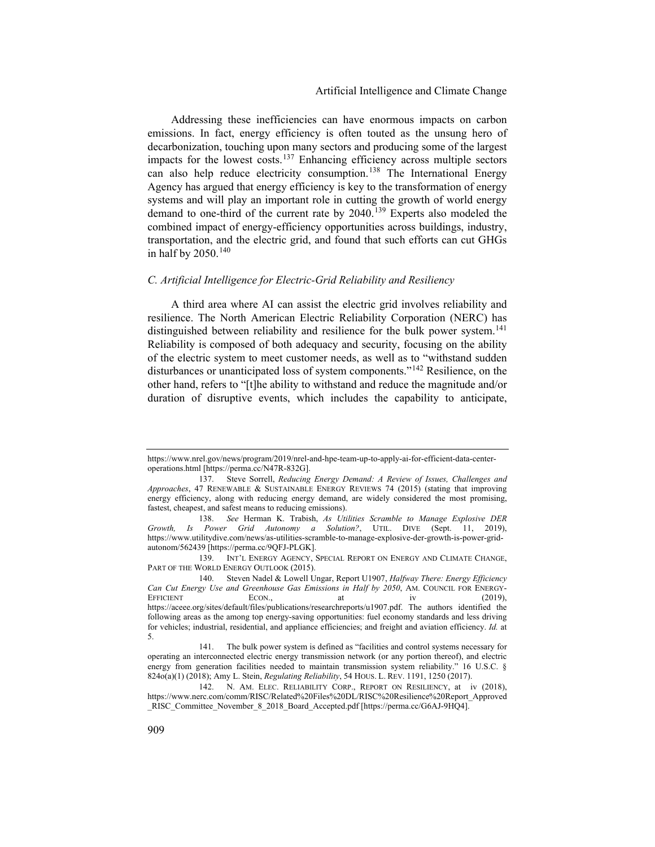Addressing these inefficiencies can have enormous impacts on carbon emissions. In fact, energy efficiency is often touted as the unsung hero of decarbonization, touching upon many sectors and producing some of the largest impacts for the lowest costs.[137](#page-19-0) Enhancing efficiency across multiple sectors can also help reduce electricity consumption.<sup>[138](#page-19-1)</sup> The International Energy Agency has argued that energy efficiency is key to the transformation of energy systems and will play an important role in cutting the growth of world energy demand to one-third of the current rate by 2040.<sup>[139](#page-19-2)</sup> Experts also modeled the combined impact of energy-efficiency opportunities across buildings, industry, transportation, and the electric grid, and found that such efforts can cut GHGs in half by 2050.<sup>[140](#page-19-3)</sup>

#### *C. Artificial Intelligence for Electric-Grid Reliability and Resiliency*

A third area where AI can assist the electric grid involves reliability and resilience. The North American Electric Reliability Corporation (NERC) has distinguished between reliability and resilience for the bulk power system.<sup>[141](#page-19-4)</sup> Reliability is composed of both adequacy and security, focusing on the ability of the electric system to meet customer needs, as well as to "withstand sudden disturbances or unanticipated loss of system components."[142](#page-19-5) Resilience, on the other hand, refers to "[t]he ability to withstand and reduce the magnitude and/or duration of disruptive events, which includes the capability to anticipate,

https://www.nrel.gov/news/program/2019/nrel-and-hpe-team-up-to-apply-ai-for-efficient-data-centeroperations.html [https://perma.cc/N47R-832G].

<span id="page-19-0"></span><sup>137.</sup> Steve Sorrell, *Reducing Energy Demand: A Review of Issues, Challenges and Approaches*, 47 RENEWABLE & SUSTAINABLE ENERGY REVIEWS 74 (2015) (stating that improving energy efficiency, along with reducing energy demand, are widely considered the most promising, fastest, cheapest, and safest means to reducing emissions).

<span id="page-19-1"></span><sup>138.</sup> *See* Herman K. Trabish, *As Utilities Scramble to Manage Explosive DER Growth, Is Power Grid Autonomy a Solution?*, UTIL. DIVE (Sept. 11, 2019), https://www.utilitydive.com/news/as-utilities-scramble-to-manage-explosive-der-growth-is-power-gridautonom/562439 [https://perma.cc/9QFJ-PLGK].

<span id="page-19-2"></span><sup>139.</sup> INT'L ENERGY AGENCY, SPECIAL REPORT ON ENERGY AND CLIMATE CHANGE, PART OF THE WORLD ENERGY OUTLOOK (2015).

<span id="page-19-3"></span><sup>140.</sup> Steven Nadel & Lowell Ungar, Report U1907, *Halfway There: Energy Efficiency Can Cut Energy Use and Greenhouse Gas Emissions in Half by 2050*, AM. COUNCIL FOR ENERGY-EFFICIENT ECON., at iv (2019), https://aceee.org/sites/default/files/publications/researchreports/u1907.pdf. The authors identified the following areas as the among top energy-saving opportunities: fuel economy standards and less driving for vehicles; industrial, residential, and appliance efficiencies; and freight and aviation efficiency. *Id.* at 5.

<span id="page-19-4"></span><sup>141.</sup> The bulk power system is defined as "facilities and control systems necessary for operating an interconnected electric energy transmission network (or any portion thereof), and electric energy from generation facilities needed to maintain transmission system reliability." 16 U.S.C. § 824o(a)(1) (2018); Amy L. Stein, *Regulating Reliability*, 54 HOUS. L. REV. 1191, 1250 (2017).

<span id="page-19-5"></span><sup>142.</sup> N. AM. ELEC. RELIABILITY CORP., REPORT ON RESILIENCY, at iv (2018), https://www.nerc.com/comm/RISC/Related%20Files%20DL/RISC%20Resilience%20Report\_Approved \_RISC\_Committee\_November\_8\_2018\_Board\_Accepted.pdf [https://perma.cc/G6AJ-9HQ4].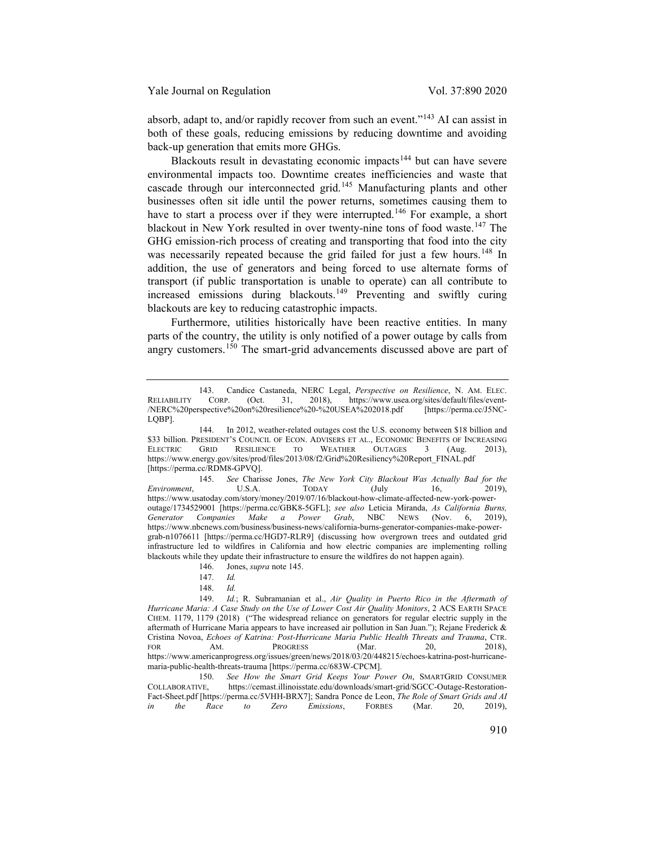absorb, adapt to, and/or rapidly recover from such an event."[143](#page-20-1) AI can assist in both of these goals, reducing emissions by reducing downtime and avoiding back-up generation that emits more GHGs.

<span id="page-20-9"></span><span id="page-20-0"></span>Blackouts result in devastating economic impacts<sup>[144](#page-20-2)</sup> but can have severe environmental impacts too. Downtime creates inefficiencies and waste that cascade through our interconnected grid.[145](#page-20-3) Manufacturing plants and other businesses often sit idle until the power returns, sometimes causing them to have to start a process over if they were interrupted.<sup>[146](#page-20-4)</sup> For example, a short blackout in New York resulted in over twenty-nine tons of food waste.<sup>[147](#page-20-5)</sup> The GHG emission-rich process of creating and transporting that food into the city was necessarily repeated because the grid failed for just a few hours.<sup>[148](#page-20-6)</sup> In addition, the use of generators and being forced to use alternate forms of transport (if public transportation is unable to operate) can all contribute to increased emissions during blackouts.<sup>[149](#page-20-7)</sup> Preventing and swiftly curing blackouts are key to reducing catastrophic impacts.

Furthermore, utilities historically have been reactive entities. In many parts of the country, the utility is only notified of a power outage by calls from angry customers.<sup>[150](#page-20-8)</sup> The smart-grid advancements discussed above are part of

<span id="page-20-1"></span><sup>143.</sup> Candice Castaneda, NERC Legal, *Perspective on Resilience*, N. AM. ELEC. RELIABILITY CORP. (Oct. 31, 2018), https://www.usea.org/sites/default/files/event- /NERC%20perspective%20on%20resilience%20-%20USEA%202018.pdf [https://perma.cc/J5NC-LQBP].

<span id="page-20-2"></span><sup>144.</sup> In 2012, weather-related outages cost the U.S. economy between \$18 billion and \$33 billion. President's Council of Econ. Advisers et al., Economic Benefits of Increasing<br>Electric Grid Resilience to Weather Outages 3 (Aug. 2013). ELECTRIC GRID RESILIENCE TO WEATHER OUTAGES 3 (Aug. 2013), https://www.energy.gov/sites/prod/files/2013/08/f2/Grid%20Resiliency%20Report\_FINAL.pdf [https://perma.cc/RDM8-GPVQ].

<span id="page-20-3"></span><sup>145.</sup> *See* Charisse Jones, *The New York City Blackout Was Actually Bad for the Environment*, U.S.A. TODAY (July 16, 2019), https://www.usatoday.com/story/money/2019/07/16/blackout-how-climate-affected-new-york-poweroutage/1734529001 [https://perma.cc/GBK8-5GFL]; *see also* Leticia Miranda, *As California Burns, Generator Companies Make a Power Grab*, NBC NEWS (Nov. 6, 2019), https://www.nbcnews.com/business/business-news/california-burns-generator-companies-make-powergrab-n1076611 [https://perma.cc/HGD7-RLR9] (discussing how overgrown trees and outdated grid infrastructure led to wildfires in California and how electric companies are implementing rolling blackouts while they update their infrastructure to ensure the wildfires do not happen again).

<sup>146.</sup> Jones, *supra* note [145.](#page-20-0)

<sup>147.</sup> *Id.*

<sup>148.</sup> *Id.* 

<span id="page-20-7"></span><span id="page-20-6"></span><span id="page-20-5"></span><span id="page-20-4"></span>Id.; R. Subramanian et al., *Air Quality in Puerto Rico in the Aftermath of Hurricane Maria: A Case Study on the Use of Lower Cost Air Quality Monitors*, 2 ACS EARTH SPACE CHEM. 1179, 1179 (2018) ("The widespread reliance on generators for regular electric supply in the aftermath of Hurricane Maria appears to have increased air pollution in San Juan."); Rejane Frederick & Cristina Novoa, *Echoes of Katrina: Post-Hurricane Maria Public Health Threats and Trauma*, CTR. FOR AM. PROGRESS (Mar. 20, 2018), https://www.americanprogress.org/issues/green/news/2018/03/20/448215/echoes-katrina-post-hurricanemaria-public-health-threats-trauma [https://perma.cc/683W-CPCM].

<span id="page-20-8"></span><sup>150.</sup> *See How the Smart Grid Keeps Your Power On*, SMARTGRID CONSUMER COLLABORATIVE, https://cemast.illinoisstate.edu/downloads/smart-grid/SGCC-Outage-Restorationhttps://cemast.illinoisstate.edu/downloads/smart-grid/SGCC-Outage-Restoration-Fact-Sheet.pdf [https://perma.cc/5VHH-BRX7]; Sandra Ponce de Leon, *The Role of Smart Grids and AI in the Race to Zero Emissions*, FORBES (Mar. 20, 2019), *in the Race to Zero Emissions*, FORBES (Mar. 20, 2019),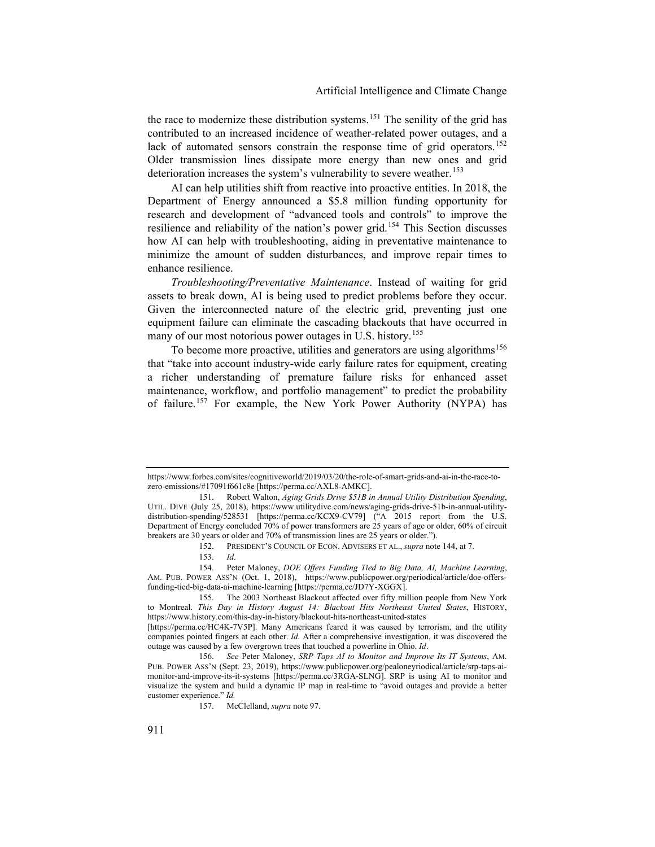the race to modernize these distribution systems.<sup>[151](#page-21-0)</sup> The senility of the grid has contributed to an increased incidence of weather-related power outages, and a lack of automated sensors constrain the response time of grid operators.<sup>[152](#page-21-1)</sup> Older transmission lines dissipate more energy than new ones and grid deterioration increases the system's vulnerability to severe weather.<sup>[153](#page-21-2)</sup>

<span id="page-21-7"></span>AI can help utilities shift from reactive into proactive entities. In 2018, the Department of Energy announced a \$5.8 million funding opportunity for research and development of "advanced tools and controls" to improve the resilience and reliability of the nation's power grid.[154](#page-21-3) This Section discusses how AI can help with troubleshooting, aiding in preventative maintenance to minimize the amount of sudden disturbances, and improve repair times to enhance resilience.

*Troubleshooting/Preventative Maintenance*. Instead of waiting for grid assets to break down, AI is being used to predict problems before they occur. Given the interconnected nature of the electric grid, preventing just one equipment failure can eliminate the cascading blackouts that have occurred in many of our most notorious power outages in U.S. history. [155](#page-21-4)

<span id="page-21-8"></span>To become more proactive, utilities and generators are using algorithms<sup>[156](#page-21-5)</sup> that "take into account industry-wide early failure rates for equipment, creating a richer understanding of premature failure risks for enhanced asset maintenance, workflow, and portfolio management" to predict the probability of failure.<sup>[157](#page-21-6)</sup> For example, the New York Power Authority (NYPA) has

https://www.forbes.com/sites/cognitiveworld/2019/03/20/the-role-of-smart-grids-and-ai-in-the-race-tozero-emissions/#17091f661c8e [https://perma.cc/AXL8-AMKC].

<span id="page-21-0"></span><sup>151.</sup> Robert Walton, *Aging Grids Drive \$51B in Annual Utility Distribution Spending*, UTIL. DIVE (July 25, 2018), https://www.utilitydive.com/news/aging-grids-drive-51b-in-annual-utilitydistribution-spending/528531 [https://perma.cc/KCX9-CV79] ("A 2015 report from the U.S. Department of Energy concluded 70% of power transformers are 25 years of age or older, 60% of circuit breakers are 30 years or older and 70% of transmission lines are 25 years or older.").

<sup>152.</sup> PRESIDENT'S COUNCIL OF ECON. ADVISERS ET AL., *supra* note [144,](#page-20-9) at 7.

<sup>153.</sup> *Id*.

<span id="page-21-3"></span><span id="page-21-2"></span><span id="page-21-1"></span><sup>154.</sup> Peter Maloney, *DOE Offers Funding Tied to Big Data, AI, Machine Learning*, AM. PUB. POWER ASS'N (Oct. 1, 2018), https://www.publicpower.org/periodical/article/doe-offersfunding-tied-big-data-ai-machine-learning [https://perma.cc/JD7Y-XGGX].

<span id="page-21-4"></span><sup>155.</sup> The 2003 Northeast Blackout affected over fifty million people from New York to Montreal. *This Day in History August 14: Blackout Hits Northeast United States*, HISTORY, https://www.history.com/this-day-in-history/blackout-hits-northeast-united-states

<sup>[</sup>https://perma.cc/HC4K-7V5P]. Many Americans feared it was caused by terrorism, and the utility companies pointed fingers at each other. *Id.* After a comprehensive investigation, it was discovered the outage was caused by a few overgrown trees that touched a powerline in Ohio. *Id*.

<span id="page-21-6"></span><span id="page-21-5"></span><sup>156.</sup> *See* Peter Maloney, *SRP Taps AI to Monitor and Improve Its IT Systems*, AM. PUB. POWER ASS'N (Sept. 23, 2019), https://www.publicpower.org/pealoneyriodical/article/srp-taps-aimonitor-and-improve-its-it-systems [https://perma.cc/3RGA-SLNG]. SRP is using AI to monitor and visualize the system and build a dynamic IP map in real-time to "avoid outages and provide a better customer experience." *Id.*

<sup>157.</sup> McClelland, *supra* note [97.](#page-13-7)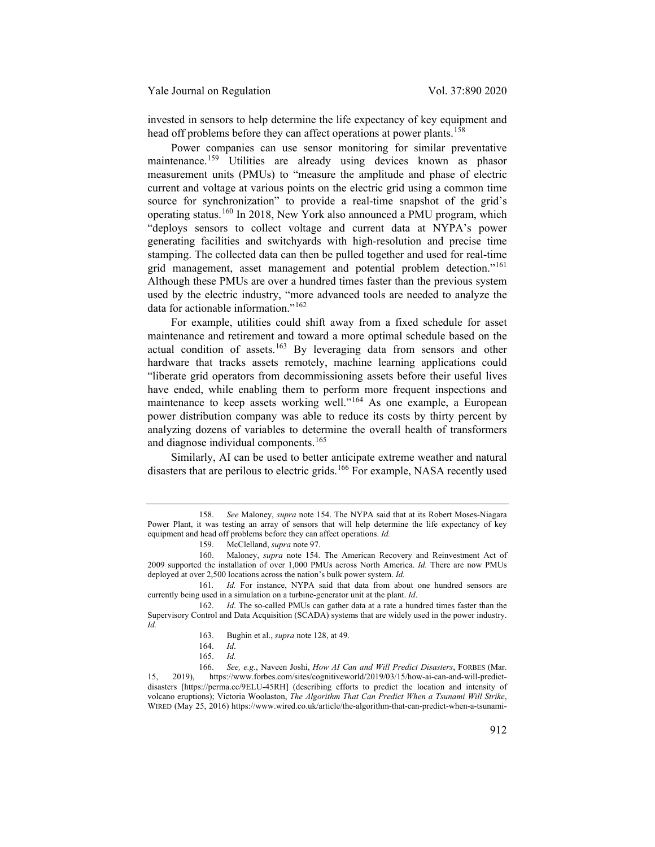invested in sensors to help determine the life expectancy of key equipment and head off problems before they can affect operations at power plants.<sup>[158](#page-22-0)</sup>

Power companies can use sensor monitoring for similar preventative maintenance.<sup>[159](#page-22-1)</sup> Utilities are already using devices known as phasor measurement units (PMUs) to "measure the amplitude and phase of electric current and voltage at various points on the electric grid using a common time source for synchronization" to provide a real-time snapshot of the grid's operating status.[160](#page-22-2) In 2018, New York also announced a PMU program, which "deploys sensors to collect voltage and current data at NYPA's power generating facilities and switchyards with high-resolution and precise time stamping. The collected data can then be pulled together and used for real-time grid management, asset management and potential problem detection."[161](#page-22-3) Although these PMUs are over a hundred times faster than the previous system used by the electric industry, "more advanced tools are needed to analyze the data for actionable information."<sup>[162](#page-22-4)</sup>

For example, utilities could shift away from a fixed schedule for asset maintenance and retirement and toward a more optimal schedule based on the actual condition of assets.<sup>[163](#page-22-5)</sup> By leveraging data from sensors and other hardware that tracks assets remotely, machine learning applications could "liberate grid operators from decommissioning assets before their useful lives have ended, while enabling them to perform more frequent inspections and maintenance to keep assets working well."[164](#page-22-6) As one example, a European power distribution company was able to reduce its costs by thirty percent by analyzing dozens of variables to determine the overall health of transformers and diagnose individual components.[165](#page-22-7)

Similarly, AI can be used to better anticipate extreme weather and natural disasters that are perilous to electric grids.<sup>[166](#page-22-8)</sup> For example, NASA recently used

<span id="page-22-0"></span><sup>158.</sup> *See* Maloney, *supra* note [154.](#page-21-7) The NYPA said that at its Robert Moses-Niagara Power Plant, it was testing an array of sensors that will help determine the life expectancy of key equipment and head off problems before they can affect operations. *Id.*

<sup>159.</sup> McClelland, *supra* note [97.](#page-13-7)

<span id="page-22-2"></span><span id="page-22-1"></span><sup>160.</sup> Maloney, *supra* note [154.](#page-21-7) The American Recovery and Reinvestment Act of 2009 supported the installation of over 1,000 PMUs across North America. *Id.* There are now PMUs deployed at over 2,500 locations across the nation's bulk power system. *Id.*

<span id="page-22-3"></span><sup>161</sup>*. Id.* For instance, NYPA said that data from about one hundred sensors are currently being used in a simulation on a turbine-generator unit at the plant. *Id*.

<span id="page-22-5"></span><span id="page-22-4"></span><sup>162.</sup> *Id*. The so-called PMUs can gather data at a rate a hundred times faster than the Supervisory Control and Data Acquisition (SCADA) systems that are widely used in the power industry. *Id.*

<sup>163.</sup> Bughin et al., *supra* not[e 128,](#page-17-10) at 49.

<sup>164.</sup> *Id*.

<sup>165.</sup> *Id.*

<span id="page-22-8"></span><span id="page-22-7"></span><span id="page-22-6"></span><sup>166.</sup> *See, e.g.*, Naveen Joshi, *How AI Can and Will Predict Disasters*, FORBES (Mar. 15, 2019), https://www.forbes.com/sites/cognitiveworld/2019/03/15/how-ai-can-and-will-predictdisasters [https://perma.cc/9ELU-45RH] (describing efforts to predict the location and intensity of volcano eruptions); Victoria Woolaston, *The Algorithm That Can Predict When a Tsunami Will Strike*, WIRED (May 25, 2016) https://www.wired.co.uk/article/the-algorithm-that-can-predict-when-a-tsunami-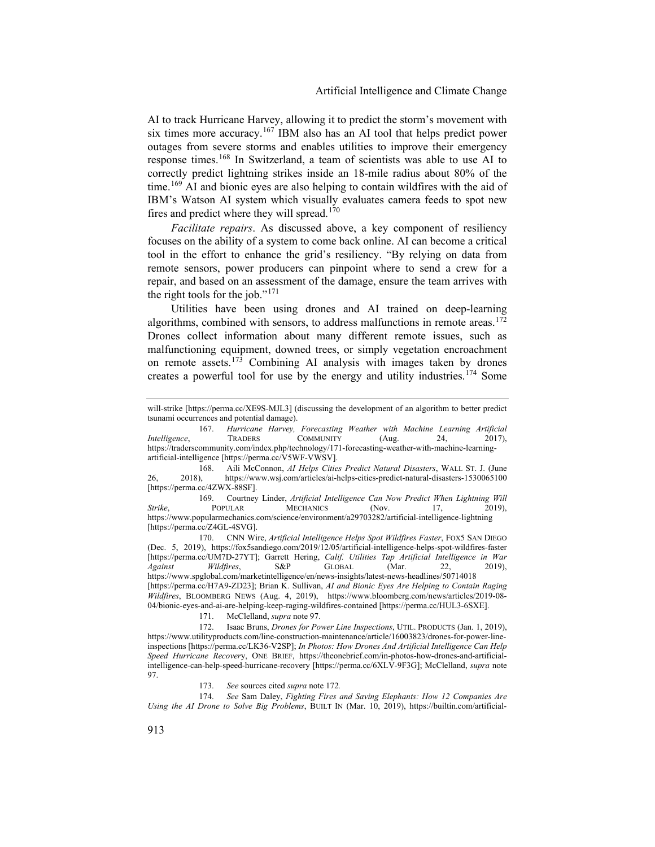AI to track Hurricane Harvey, allowing it to predict the storm's movement with six times more accuracy.[167](#page-23-1) IBM also has an AI tool that helps predict power outages from severe storms and enables utilities to improve their emergency response times.[168](#page-23-2) In Switzerland, a team of scientists was able to use AI to correctly predict lightning strikes inside an 18-mile radius about 80% of the time.<sup>[169](#page-23-3)</sup> AI and bionic eyes are also helping to contain wildfires with the aid of IBM's Watson AI system which visually evaluates camera feeds to spot new fires and predict where they will spread.<sup>[170](#page-23-4)</sup>

*Facilitate repairs*. As discussed above, a key component of resiliency focuses on the ability of a system to come back online. AI can become a critical tool in the effort to enhance the grid's resiliency. "By relying on data from remote sensors, power producers can pinpoint where to send a crew for a repair, and based on an assessment of the damage, ensure the team arrives with the right tools for the job." $171$ 

<span id="page-23-0"></span>Utilities have been using drones and AI trained on deep-learning algorithms, combined with sensors, to address malfunctions in remote areas.<sup>[172](#page-23-6)</sup> Drones collect information about many different remote issues, such as malfunctioning equipment, downed trees, or simply vegetation encroachment on remote assets.<sup>[173](#page-23-7)</sup> Combining AI analysis with images taken by drones creates a powerful tool for use by the energy and utility industries. [174](#page-23-8) Some

<span id="page-23-4"></span>170. CNN Wire, *Artificial Intelligence Helps Spot Wildfires Faster*, FOX5 SAN DIEGO (Dec. 5, 2019), https://fox5sandiego.com/2019/12/05/artificial-intelligence-helps-spot-wildfires-faster [https://perma.cc/UM7D-27YT]; Garrett Hering, *Calif. Utilities Tap Artificial Intelligence in War Against Wildfires*, S&P GLOBAL (Mar. 22, 2019), https://www.spglobal.com/marketintelligence/en/news-insights/latest-news-headlines/50714018 [https://perma.cc/H7A9-ZD23]; Brian K. Sullivan, *AI and Bionic Eyes Are Helping to Contain Raging Wildfires*, BLOOMBERG NEWS (Aug. 4, 2019), https://www.bloomberg.com/news/articles/2019-08- 04/bionic-eyes-and-ai-are-helping-keep-raging-wildfires-contained [https://perma.cc/HUL3-6SXE].

171. McClelland, *supra* note [97.](#page-13-7)

<span id="page-23-6"></span><span id="page-23-5"></span>172. Isaac Bruns, *Drones for Power Line Inspections*, UTIL. PRODUCTS (Jan. 1, 2019), https://www.utilityproducts.com/line-construction-maintenance/article/16003823/drones-for-power-lineinspections [https://perma.cc/LK36-V2SP]; *In Photos: How Drones And Artificial Intelligence Can Help Speed Hurricane Recover*y, ONE BRIEF, https://theonebrief.com/in-photos-how-drones-and-artificialintelligence-can-help-speed-hurricane-recovery [https://perma.cc/6XLV-9F3G]; McClelland, *supra* note [97.](#page-13-7)

173. *See* sources cited *supra* not[e 172](#page-23-0)*.*

<span id="page-23-8"></span><span id="page-23-7"></span>174. *See* Sam Daley, *Fighting Fires and Saving Elephants: How 12 Companies Are Using the AI Drone to Solve Big Problems*, BUILT IN (Mar. 10, 2019), https://builtin.com/artificial-

will-strike [https://perma.cc/XE9S-MJL3] (discussing the development of an algorithm to better predict tsunami occurrences and potential damage).

<span id="page-23-1"></span><sup>167.</sup> *Hurricane Harvey, Forecasting Weather with Machine Learning Artificial Intelligence*, TRADERS COMMUNITY (Aug. 24, 2017), https://traderscommunity.com/index.php/technology/171-forecasting-weather-with-machine-learningartificial-intelligence [https://perma.cc/V5WF-VWSV].

<span id="page-23-2"></span><sup>168.</sup> Aili McConnon, *AI Helps Cities Predict Natural Disasters*, WALL ST. J. (June 26, 2018), https://www.wsj.com/articles/ai-helps-cities-predict-natural-disasters-1530065100 [https://perma.cc/4ZWX-88SF].

<span id="page-23-3"></span><sup>169.</sup> Courtney Linder, *Artificial Intelligence Can Now Predict When Lightning Will Strike*, **POPULAR MECHANICS** (Nov. 17, 2019), https://www.popularmechanics.com/science/environment/a29703282/artificial-intelligence-lightning [https://perma.cc/Z4GL-4SVG].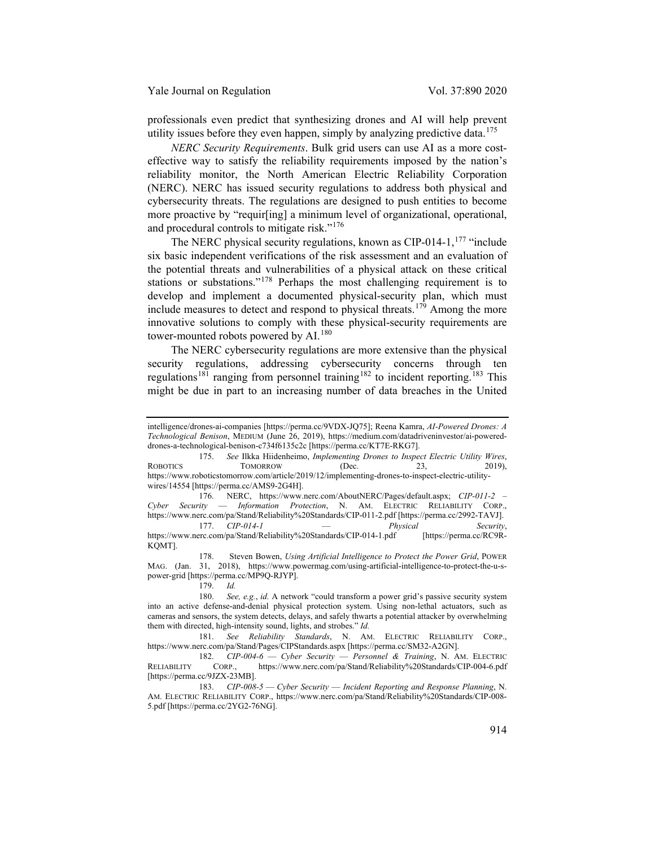professionals even predict that synthesizing drones and AI will help prevent utility issues before they even happen, simply by analyzing predictive data.<sup>[175](#page-24-0)</sup>

*NERC Security Requirements*. Bulk grid users can use AI as a more costeffective way to satisfy the reliability requirements imposed by the nation's reliability monitor, the North American Electric Reliability Corporation (NERC). NERC has issued security regulations to address both physical and cybersecurity threats. The regulations are designed to push entities to become more proactive by "requir[ing] a minimum level of organizational, operational, and procedural controls to mitigate risk."[176](#page-24-1)

The NERC physical security regulations, known as CIP-014-1,<sup>[177](#page-24-2)</sup> "include" six basic independent verifications of the risk assessment and an evaluation of the potential threats and vulnerabilities of a physical attack on these critical stations or substations."[178](#page-24-3) Perhaps the most challenging requirement is to develop and implement a documented physical-security plan, which must include measures to detect and respond to physical threats.<sup>[179](#page-24-4)</sup> Among the more innovative solutions to comply with these physical-security requirements are tower-mounted robots powered by AI.<sup>[180](#page-24-5)</sup>

The NERC cybersecurity regulations are more extensive than the physical security regulations, addressing cybersecurity concerns through ten regulations<sup>[181](#page-24-6)</sup> ranging from personnel training<sup>[182](#page-24-7)</sup> to incident reporting.<sup>[183](#page-24-8)</sup> This might be due in part to an increasing number of data breaches in the United

<span id="page-24-3"></span>178. Steven Bowen, *Using Artificial Intelligence to Protect the Power Grid*, POWER MAG. (Jan. 31, 2018), https://www.powermag.com/using-artificial-intelligence-to-protect-the-u-spower-grid [https://perma.cc/MP9Q-RJYP].

<span id="page-24-6"></span>181. *See Reliability Standards*, N. AM. ELECTRIC RELIABILITY CORP., https://www.nerc.com/pa/Stand/Pages/CIPStandards.aspx [https://perma.cc/SM32-A2GN].

<span id="page-24-7"></span>182. *CIP-004-6* — *Cyber Security* — *Personnel & Training*, N. AM. ELECTRIC RELIABILITY CORP., https://www.nerc.com/pa/Stand/Reliability%20Standards/CIP-004-6.pdf [https://perma.cc/9JZX-23MB].

<span id="page-24-8"></span>183. *CIP-008-5* — *Cyber Security* — *Incident Reporting and Response Planning*, N. AM. ELECTRIC RELIABILITY CORP., https://www.nerc.com/pa/Stand/Reliability%20Standards/CIP-008- 5.pdf [https://perma.cc/2YG2-76NG].

intelligence/drones-ai-companies [https://perma.cc/9VDX-JQ75]; Reena Kamra, *AI-Powered Drones: A Technological Benison*, MEDIUM (June 26, 2019), https://medium.com/datadriveninvestor/ai-powereddrones-a-technological-benison-c734f6135c2c [https://perma.cc/KT7E-RKG7].

<span id="page-24-0"></span><sup>175.</sup> *See* Ilkka Hiidenheimo, *Implementing Drones to Inspect Electric Utility Wires*, ROBOTICS TOMORROW (Dec. 23, 2019), https://www.roboticstomorrow.com/article/2019/12/implementing-drones-to-inspect-electric-utilitywires/14554 [https://perma.cc/AMS9-2G4H].

<span id="page-24-1"></span><sup>176.</sup> NERC, https://www.nerc.com/AboutNERC/Pages/default.aspx; *CIP-011-2 – Cyber Security* — *Information Protection*, N. AM. ELECTRIC RELIABILITY CORP., https://www.nerc.com/pa/Stand/Reliability%20Standards/CIP-011-2.pdf [https://perma.cc/2992-TAVJ].

<span id="page-24-2"></span><sup>177.</sup> *CIP-014-1* — *Physical Security*, https://www.nerc.com/pa/Stand/Reliability%20Standards/CIP-014-1.pdf KQMT].

<sup>179.</sup> *Id.*

<span id="page-24-5"></span><span id="page-24-4"></span><sup>180.</sup> *See, e.g.*, *id.* A network "could transform a power grid's passive security system into an active defense-and-denial physical protection system. Using non-lethal actuators, such as cameras and sensors, the system detects, delays, and safely thwarts a potential attacker by overwhelming them with directed, high-intensity sound, lights, and strobes." *Id.*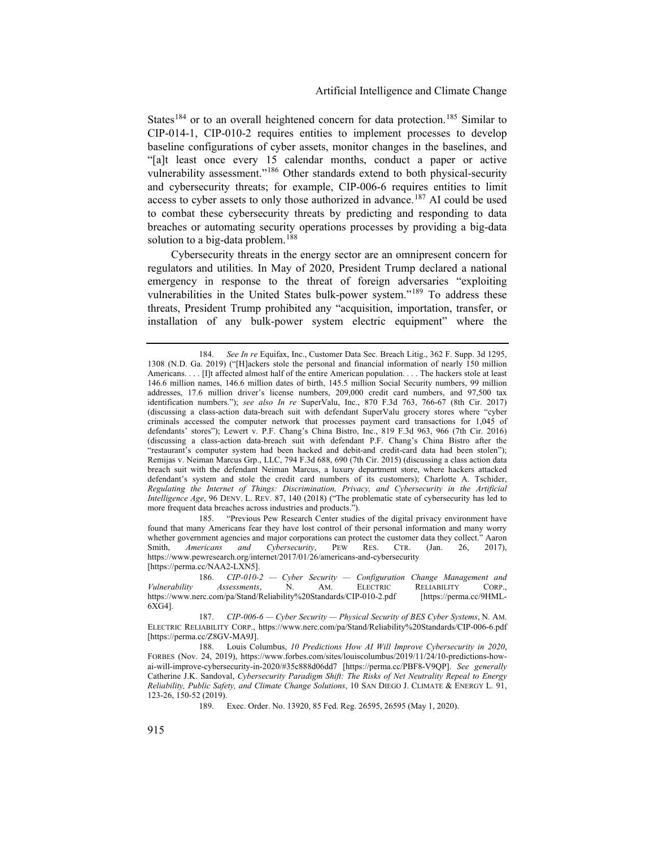States<sup>[184](#page-25-0)</sup> or to an overall heightened concern for data protection.<sup>[185](#page-25-1)</sup> Similar to CIP-014-1, CIP-010-2 requires entities to implement processes to develop baseline configurations of cyber assets, monitor changes in the baselines, and "[a]t least once every 15 calendar months, conduct a paper or active vulnerability assessment."<sup>[186](#page-25-2)</sup> Other standards extend to both physical-security and cybersecurity threats; for example, CIP-006-6 requires entities to limit access to cyber assets to only those authorized in advance.<sup>[187](#page-25-3)</sup> AI could be used to combat these cybersecurity threats by predicting and responding to data breaches or automating security operations processes by providing a big-data solution to a big-data problem.<sup>[188](#page-25-4)</sup>

Cybersecurity threats in the energy sector are an omnipresent concern for regulators and utilities. In May of 2020, President Trump declared a national emergency in response to the threat of foreign adversaries "exploiting vulnerabilities in the United States bulk-power system."<sup>[189](#page-25-5)</sup> To address these threats, President Trump prohibited any "acquisition, importation, transfer, or installation of any bulk-power system electric equipment" where the

<span id="page-25-1"></span>185. "Previous Pew Research Center studies of the digital privacy environment have found that many Americans fear they have lost control of their personal information and many worry whether government agencies and major corporations can protect the customer data they collect." Aaron Smith, *Americans and Cybersecurity*, PEW RES. CTR. (Jan. 26, 2017), Smith, *Americans and Cybersecurity*, PEW RES. CTR. (Jan. 26, 2017), https://www.pewresearch.org/internet/2017/01/26/americans-and-cybersecurity [https://perma.cc/NAA2-LXN5].

<span id="page-25-0"></span><sup>184.</sup> *See In re* Equifax, Inc., Customer Data Sec. Breach Litig., 362 F. Supp. 3d 1295, 1308 (N.D. Ga. 2019) ("[H]ackers stole the personal and financial information of nearly 150 million Americans. . . . [I]t affected almost half of the entire American population. . . . The hackers stole at least 146.6 million names, 146.6 million dates of birth, 145.5 million Social Security numbers, 99 million addresses, 17.6 million driver's license numbers, 209,000 credit card numbers, and 97,500 tax identification numbers."); *see also In re* SuperValu, Inc., 870 F.3d 763, 766-67 (8th Cir. 2017) (discussing a class-action data-breach suit with defendant SuperValu grocery stores where "cyber criminals accessed the computer network that processes payment card transactions for 1,045 of defendants' stores"); Lewert v. P.F. Chang's China Bistro, Inc., 819 F.3d 963, 966 (7th Cir. 2016) (discussing a class-action data-breach suit with defendant P.F. Chang's China Bistro after the "restaurant's computer system had been hacked and debit-and credit-card data had been stolen"); Remijas v. Neiman Marcus Grp., LLC, 794 F.3d 688, 690 (7th Cir. 2015) (discussing a class action data breach suit with the defendant Neiman Marcus, a luxury department store, where hackers attacked defendant's system and stole the credit card numbers of its customers); Charlotte A. Tschider, *Regulating the Internet of Things: Discrimination, Privacy, and Cybersecurity in the Artificial Intelligence Age*, 96 DENV. L. REV. 87, 140 (2018) ("The problematic state of cybersecurity has led to more frequent data breaches across industries and products.").

<span id="page-25-2"></span><sup>186.</sup> *CIP-010-2 — Cyber Security — Configuration Change Management and Vulnerability Assessments*, https://www.nerc.com/pa/Stand/Reliability%20Standards/CIP-010-2.pdf [https://perma.cc/9HML-6XG4].

<span id="page-25-3"></span><sup>187.</sup> *CIP-006-6 — Cyber Security — Physical Security of BES Cyber Systems*, N. AM. ELECTRIC RELIABILITY CORP., https://www.nerc.com/pa/Stand/Reliability%20Standards/CIP-006-6.pdf [https://perma.cc/Z8GV-MA9J].

<span id="page-25-5"></span><span id="page-25-4"></span><sup>188.</sup> Louis Columbus, *10 Predictions How AI Will Improve Cybersecurity in 2020*, FORBES (Nov. 24, 2019), https://www.forbes.com/sites/louiscolumbus/2019/11/24/10-predictions-howai-will-improve-cybersecurity-in-2020/#35c888d06dd7 [https://perma.cc/PBF8-V9QP]. *See generally* Catherine J.K. Sandoval, *Cybersecurity Paradigm Shift: The Risks of Net Neutrality Repeal to Energy Reliability, Public Safety, and Climate Change Solutions*, 10 SAN DIEGO J. CLIMATE & ENERGY L. 91, 123-26, 150-52 (2019).

<sup>189.</sup> Exec. Order. No. 13920, 85 Fed. Reg. 26595, 26595 (May 1, 2020).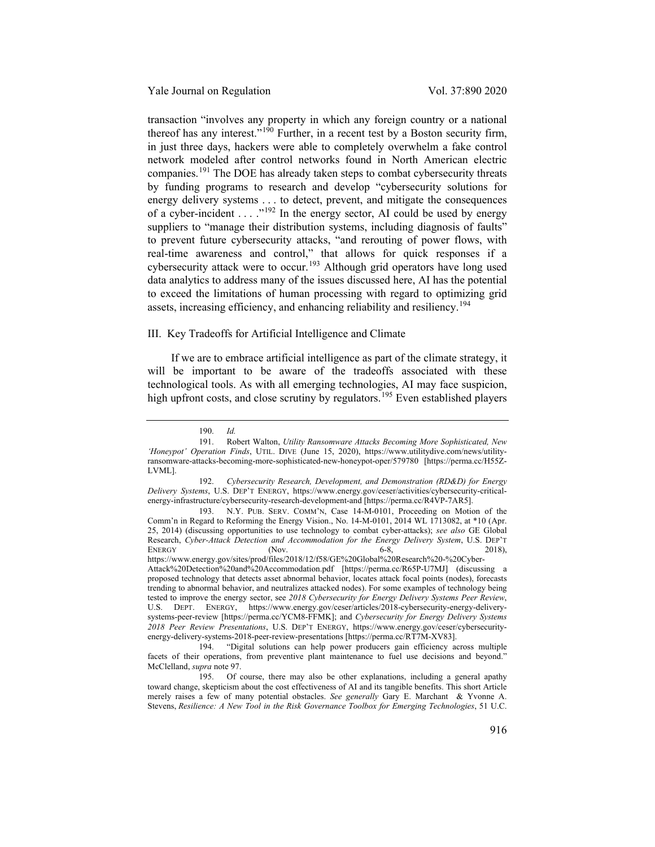transaction "involves any property in which any foreign country or a national thereof has any interest."[190](#page-26-0) Further, in a recent test by a Boston security firm, in just three days, hackers were able to completely overwhelm a fake control network modeled after control networks found in North American electric companies.[191](#page-26-1) The DOE has already taken steps to combat cybersecurity threats by funding programs to research and develop "cybersecurity solutions for energy delivery systems . . . to detect, prevent, and mitigate the consequences of a cyber-incident  $\dots$  ."<sup>[192](#page-26-2)</sup> In the energy sector, AI could be used by energy suppliers to "manage their distribution systems, including diagnosis of faults" to prevent future cybersecurity attacks, "and rerouting of power flows, with real-time awareness and control," that allows for quick responses if a cybersecurity attack were to occur.<sup>[193](#page-26-3)</sup> Although grid operators have long used data analytics to address many of the issues discussed here, AI has the potential to exceed the limitations of human processing with regard to optimizing grid assets, increasing efficiency, and enhancing reliability and resiliency.<sup>[194](#page-26-4)</sup>

# III. Key Tradeoffs for Artificial Intelligence and Climate

If we are to embrace artificial intelligence as part of the climate strategy, it will be important to be aware of the tradeoffs associated with these technological tools. As with all emerging technologies, AI may face suspicion, high upfront costs, and close scrutiny by regulators.<sup>[195](#page-26-5)</sup> Even established players

<sup>190.</sup> *Id.*

<span id="page-26-1"></span><span id="page-26-0"></span><sup>191.</sup> Robert Walton, *Utility Ransomware Attacks Becoming More Sophisticated, New 'Honeypot' Operation Finds*, UTIL. DIVE (June 15, 2020), https://www.utilitydive.com/news/utilityransomware-attacks-becoming-more-sophisticated-new-honeypot-oper/579780 [https://perma.cc/H55Z-LVML].

<span id="page-26-2"></span><sup>192.</sup> *Cybersecurity Research, Development, and Demonstration (RD&D) for Energy Delivery Systems*, U.S. DEP'T ENERGY, https://www.energy.gov/ceser/activities/cybersecurity-criticalenergy-infrastructure/cybersecurity-research-development-and [https://perma.cc/R4VP-7AR5].

<span id="page-26-3"></span><sup>193.</sup> N.Y. PUB. SERV. COMM'N, Case 14-M-0101, Proceeding on Motion of the Comm'n in Regard to Reforming the Energy Vision., No. 14-M-0101, 2014 WL 1713082, at \*10 (Apr. 25, 2014) (discussing opportunities to use technology to combat cyber-attacks); *see also* GE Global Research, *Cyber-Attack Detection and Accommodation for the Energy Delivery System*, U.S. DEP'T ENERGY (Nov. 68, 2018), ENERGY  $(Nov. 6-8, 2018)$ https://www.energy.gov/sites/prod/files/2018/12/f58/GE%20Global%20Research%20-%20Cyber-Attack%20Detection%20and%20Accommodation.pdf [https://perma.cc/R65P-U7MJ] (discussing a proposed technology that detects asset abnormal behavior, locates attack focal points (nodes), forecasts trending to abnormal behavior, and neutralizes attacked nodes). For some examples of technology being tested to improve the energy sector, see *2018 Cybersecurity for Energy Delivery Systems Peer Review*, U.S. DEPT. ENERGY, https://www.energy.gov/ceser/articles/2018-cybersecurity-energy-deliverysystems-peer-review [https://perma.cc/YCM8-FFMK]; and *Cybersecurity for Energy Delivery Systems 2018 Peer Review Presentations*, U.S. DEP'T ENERGY, https://www.energy.gov/ceser/cybersecurityenergy-delivery-systems-2018-peer-review-presentations [https://perma.cc/RT7M-XV83].

<span id="page-26-4"></span><sup>194.</sup> "Digital solutions can help power producers gain efficiency across multiple facets of their operations, from preventive plant maintenance to fuel use decisions and beyond." McClelland, *supra* note [97.](#page-13-7)

<span id="page-26-5"></span><sup>195.</sup> Of course, there may also be other explanations, including a general apathy toward change, skepticism about the cost effectiveness of AI and its tangible benefits. This short Article merely raises a few of many potential obstacles. *See generally* Gary E. Marchant & Yvonne A. Stevens, *Resilience: A New Tool in the Risk Governance Toolbox for Emerging Technologies*, 51 U.C.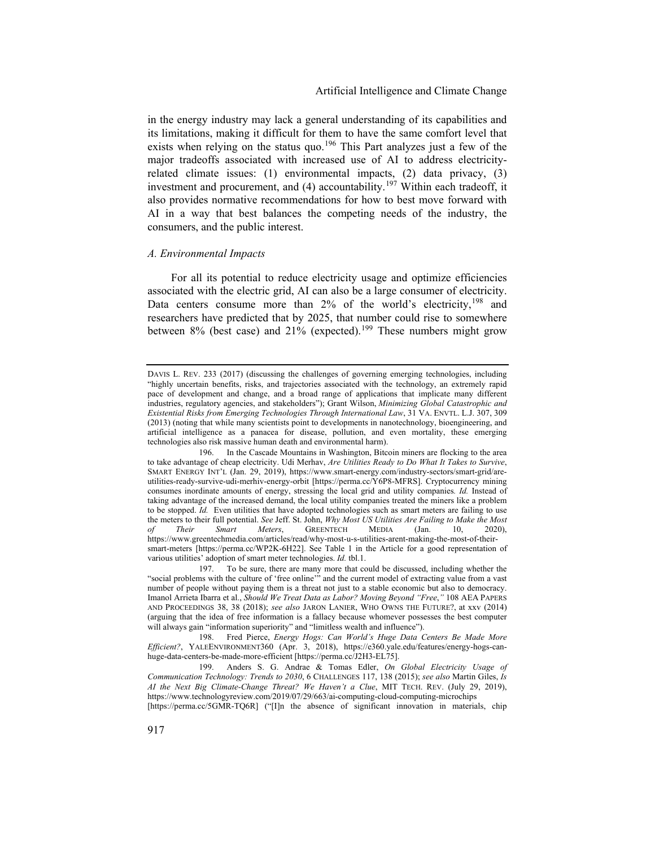in the energy industry may lack a general understanding of its capabilities and its limitations, making it difficult for them to have the same comfort level that exists when relying on the status quo.<sup>[196](#page-27-0)</sup> This Part analyzes just a few of the major tradeoffs associated with increased use of AI to address electricityrelated climate issues: (1) environmental impacts, (2) data privacy, (3) investment and procurement, and (4) accountability.[197](#page-27-1) Within each tradeoff, it also provides normative recommendations for how to best move forward with AI in a way that best balances the competing needs of the industry, the consumers, and the public interest.

#### *A. Environmental Impacts*

For all its potential to reduce electricity usage and optimize efficiencies associated with the electric grid, AI can also be a large consumer of electricity. Data centers consume more than  $2\%$  of the world's electricity,  $198$  and researchers have predicted that by 2025, that number could rise to somewhere between  $8\%$  (best case) and  $21\%$  (expected).<sup>[199](#page-27-3)</sup> These numbers might grow

DAVIS L. REV. 233 (2017) (discussing the challenges of governing emerging technologies, including "highly uncertain benefits, risks, and trajectories associated with the technology, an extremely rapid pace of development and change, and a broad range of applications that implicate many different industries, regulatory agencies, and stakeholders"); Grant Wilson, *Minimizing Global Catastrophic and Existential Risks from Emerging Technologies Through International Law*, 31 VA. ENVTL. L.J. 307, 309 (2013) (noting that while many scientists point to developments in nanotechnology, bioengineering, and artificial intelligence as a panacea for disease, pollution, and even mortality, these emerging technologies also risk massive human death and environmental harm).

<span id="page-27-0"></span><sup>196.</sup> In the Cascade Mountains in Washington, Bitcoin miners are flocking to the area to take advantage of cheap electricity. Udi Merhav, *Are Utilities Ready to Do What It Takes to Survive*, SMART ENERGY INT'L (Jan. 29, 2019), https://www.smart-energy.com/industry-sectors/smart-grid/areutilities-ready-survive-udi-merhiv-energy-orbit [https://perma.cc/Y6P8-MFRS]. Cryptocurrency mining consumes inordinate amounts of energy, stressing the local grid and utility companies*. Id.* Instead of taking advantage of the increased demand, the local utility companies treated the miners like a problem to be stopped. *Id.* Even utilities that have adopted technologies such as smart meters are failing to use the meters to their full potential. *See* Jeff. St. John, *Why Most US Utilities Are Failing to Make the Most of Their Smart Meters*, GREENTECH MEDIA (Jan. 10, https://www.greentechmedia.com/articles/read/why-most-u-s-utilities-arent-making-the-most-of-theirsmart-meters [https://perma.cc/WP2K-6H22]. See Table 1 in the Article for a good representation of various utilities' adoption of smart meter technologies. *Id.* tbl.1.

<span id="page-27-1"></span><sup>197.</sup> To be sure, there are many more that could be discussed, including whether the "social problems with the culture of 'free online'" and the current model of extracting value from a vast number of people without paying them is a threat not just to a stable economic but also to democracy. Imanol Arrieta Ibarra et al., *Should We Treat Data as Labor? Moving Beyond "Free*,*"* 108 AEA PAPERS AND PROCEEDINGS 38, 38 (2018); *see also* JARON LANIER, WHO OWNS THE FUTURE?, at xxv (2014) (arguing that the idea of free information is a fallacy because whomever possesses the best computer will always gain "information superiority" and "limitless wealth and influence").

<span id="page-27-2"></span><sup>198.</sup> Fred Pierce, *Energy Hogs: Can World's Huge Data Centers Be Made More Efficient?*, YALEENVIRONMENT360 (Apr. 3, 2018), https://e360.yale.edu/features/energy-hogs-canhuge-data-centers-be-made-more-efficient [https://perma.cc/J2H3-EL75].

<span id="page-27-3"></span><sup>199.</sup> Anders S. G. Andrae & Tomas Edler, *On Global Electricity Usage of Communication Technology: Trends to 2030*, 6 CHALLENGES 117, 138 (2015); *see also* Martin Giles, *Is AI the Next Big Climate-Change Threat? We Haven't a Clue*, MIT TECH. REV. (July 29, 2019), https://www.technologyreview.com/2019/07/29/663/ai-computing-cloud-computing-microchips

<sup>[</sup>https://perma.cc/5GMR-TQ6R] ("[I]n the absence of significant innovation in materials, chip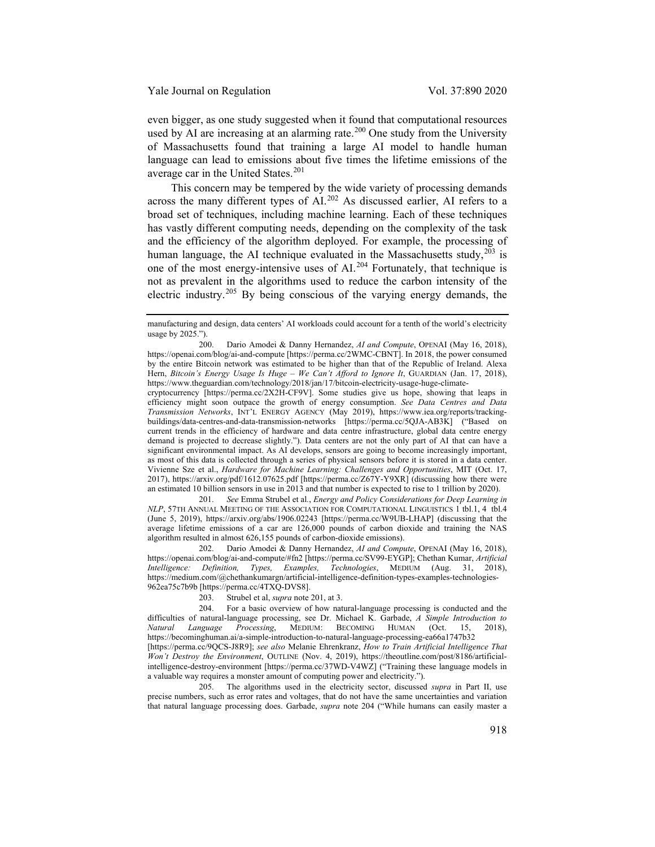even bigger, as one study suggested when it found that computational resources used by AI are increasing at an alarming rate.<sup>[200](#page-28-2)</sup> One study from the University of Massachusetts found that training a large AI model to handle human language can lead to emissions about five times the lifetime emissions of the average car in the United States.<sup>[201](#page-28-3)</sup>

<span id="page-28-0"></span>This concern may be tempered by the wide variety of processing demands across the many different types of AI.[202](#page-28-4) As discussed earlier, AI refers to a broad set of techniques, including machine learning. Each of these techniques has vastly different computing needs, depending on the complexity of the task and the efficiency of the algorithm deployed. For example, the processing of human language, the AI technique evaluated in the Massachusetts study, $^{203}$  $^{203}$  $^{203}$  is one of the most energy-intensive uses of AI.[204](#page-28-6) Fortunately, that technique is not as prevalent in the algorithms used to reduce the carbon intensity of the electric industry.[205](#page-28-7) By being conscious of the varying energy demands, the

<span id="page-28-3"></span>201. *See* Emma Strubel et al*.*, *Energy and Policy Considerations for Deep Learning in NLP*, 57TH ANNUAL MEETING OF THE ASSOCIATION FOR COMPUTATIONAL LINGUISTICS 1 tbl.1, 4 tbl.4 (June 5, 2019), https://arxiv.org/abs/1906.02243 [https://perma.cc/W9UB-LHAP] (discussing that the average lifetime emissions of a car are 126,000 pounds of carbon dioxide and training the NAS algorithm resulted in almost 626,155 pounds of carbon-dioxide emissions).

<span id="page-28-4"></span>202. Dario Amodei & Danny Hernandez, *AI and Compute*, OPENAI (May 16, 2018), https://openai.com/blog/ai-and-compute/#fn2 [https://perma.cc/SV99-EYGP]; Chethan Kumar, *Artificial Intelligence: Definition, Types, Examples, Technologies*, MEDIUM (Aug. 31, 2018), https://medium.com/@chethankumargn/artificial-intelligence-definition-types-examples-technologies-962ea75c7b9b [https://perma.cc/4TXQ-DVS8].

203. Strubel et al, *supra* not[e 201,](#page-28-0) at 3.

<span id="page-28-6"></span><span id="page-28-5"></span>204. For a basic overview of how natural-language processing is conducted and the difficulties of natural-language processing, see Dr. Michael K. Garbade, *A Simple Introduction to MEDIUM:* BECOMING HUMAN (Oct. 15, https://becominghuman.ai/a-simple-introduction-to-natural-language-processing-ea66a1747b32 [https://perma.cc/9QCS-J8R9]; *see also* Melanie Ehrenkranz, *How to Train Artificial Intelligence That Won't Destroy the Environment*, OUTLINE (Nov. 4, 2019), https://theoutline.com/post/8186/artificialintelligence-destroy-environment [https://perma.cc/37WD-V4WZ] ("Training these language models in a valuable way requires a monster amount of computing power and electricity.").

<span id="page-28-7"></span>205. The algorithms used in the electricity sector, discussed *supra* in Part II, use precise numbers, such as error rates and voltages, that do not have the same uncertainties and variation that natural language processing does. Garbade, *supra* note [204](#page-28-1) ("While humans can easily master a

<span id="page-28-1"></span>manufacturing and design, data centers' AI workloads could account for a tenth of the world's electricity usage by 2025.").

<span id="page-28-2"></span><sup>200.</sup> Dario Amodei & Danny Hernandez, *AI and Compute*, OPENAI (May 16, 2018), https://openai.com/blog/ai-and-compute [https://perma.cc/2WMC-CBNT]. In 2018, the power consumed by the entire Bitcoin network was estimated to be higher than that of the Republic of Ireland. Alexa Hern, *Bitcoin's Energy Usage Is Huge – We Can't Afford to Ignore It*, GUARDIAN (Jan. 17, 2018), https://www.theguardian.com/technology/2018/jan/17/bitcoin-electricity-usage-huge-climate-

cryptocurrency [https://perma.cc/2X2H-CF9V]. Some studies give us hope, showing that leaps in efficiency might soon outpace the growth of energy consumption. *See Data Centres and Data Transmission Networks*, INT'L ENERGY AGENCY (May 2019), https://www.iea.org/reports/trackingbuildings/data-centres-and-data-transmission-networks [https://perma.cc/5QJA-AB3K] ("Based on current trends in the efficiency of hardware and data centre infrastructure, global data centre energy demand is projected to decrease slightly."). Data centers are not the only part of AI that can have a significant environmental impact. As AI develops, sensors are going to become increasingly important, as most of this data is collected through a series of physical sensors before it is stored in a data center. Vivienne Sze et al., *Hardware for Machine Learning: Challenges and Opportunities*, MIT (Oct. 17, 2017), https://arxiv.org/pdf/1612.07625.pdf [https://perma.cc/Z67Y-Y9XR] (discussing how there were an estimated 10 billion sensors in use in 2013 and that number is expected to rise to 1 trillion by 2020).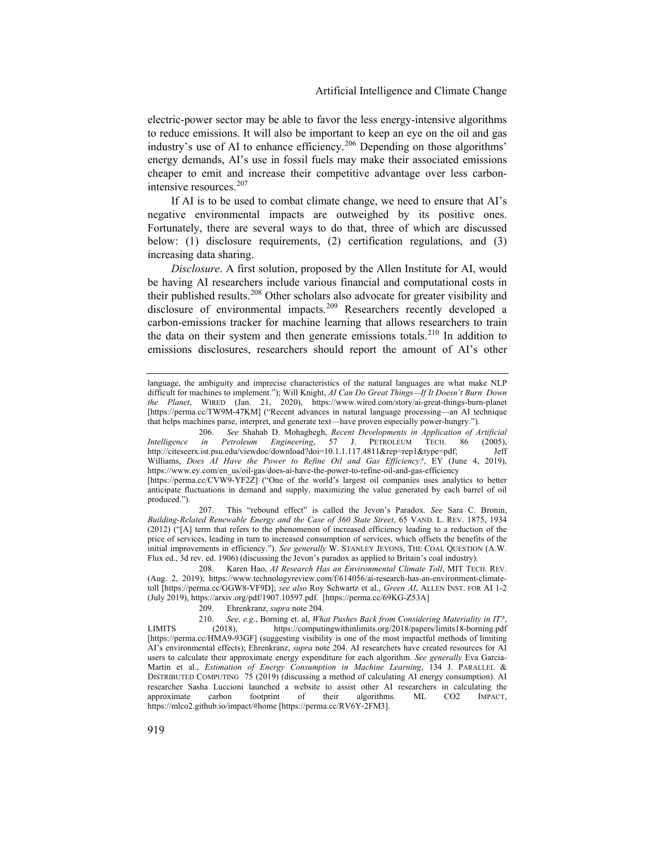electric-power sector may be able to favor the less energy-intensive algorithms to reduce emissions. It will also be important to keep an eye on the oil and gas industry's use of AI to enhance efficiency.<sup>[206](#page-29-0)</sup> Depending on those algorithms' energy demands, AI's use in fossil fuels may make their associated emissions cheaper to emit and increase their competitive advantage over less carbonintensive resources.[207](#page-29-1)

If AI is to be used to combat climate change, we need to ensure that AI's negative environmental impacts are outweighed by its positive ones. Fortunately, there are several ways to do that, three of which are discussed below: (1) disclosure requirements, (2) certification regulations, and (3) increasing data sharing.

<span id="page-29-6"></span>*Disclosure*. A first solution, proposed by the Allen Institute for AI, would be having AI researchers include various financial and computational costs in their published results.<sup>[208](#page-29-2)</sup> Other scholars also advocate for greater visibility and disclosure of environmental impacts.<sup>[209](#page-29-3)</sup> Researchers recently developed a carbon-emissions tracker for machine learning that allows researchers to train the data on their system and then generate emissions totals.<sup>[210](#page-29-4)</sup> In addition to emissions disclosures, researchers should report the amount of AI's other

<span id="page-29-1"></span>207. This "rebound effect" is called the Jevon's Paradox. *See* Sara C. Bronin, *Building-Related Renewable Energy and the Case of 360 State Street*, 65 VAND. L. REV. 1875, 1934 (2012) ("[A] term that refers to the phenomenon of increased efficiency leading to a reduction of the price of services, leading in turn to increased consumption of services, which offsets the benefits of the initial improvements in efficiency."). *See generally* W. STANLEY JEVONS, THE COAL QUESTION (A.W. Flux ed., 3d rev. ed. 1906) (discussing the Jevon's paradox as applied to Britain's coal industry).

<span id="page-29-2"></span>208. Karen Hao, *AI Research Has an Environmental Climate Toll*, MIT TECH. REV. (Aug. 2, 2019); https://www.technologyreview.com/f/614056/ai-research-has-an-environment-climatetoll [https://perma.cc/GGW8-VF9D]; *see also* Roy Schwartz et al., *Green AI*, ALLEN INST. FOR AI 1-2 (July 2019), https://arxiv.org/pdf/1907.10597.pdf. [https://perma.cc/69KG-Z53A]

209. Ehrenkranz, *supra* note [204.](#page-28-1)

<span id="page-29-4"></span><span id="page-29-3"></span>210. *See, e.g.*, Borning et. al, *What Pushes Back from Considering Materiality in IT?*, LIMITS (2018), https://computingwithinlimits.org/2018/papers/limits18-borning.pdf [https://perma.cc/HMA9-93GF] (suggesting visibility is one of the most impactful methods of limiting AI's environmental effects); Ehrenkranz, *supra* note [204.](#page-28-1) AI researchers have created resources for AI users to calculate their approximate energy expenditure for each algorithm. *See generally* Eva Garcia-Martin et al., *Estimation of Energy Consumption in Machine Learning*, 134 J. PARALLEL & DISTRIBUTED COMPUTING 75 (2019) (discussing a method of calculating AI energy consumption). AI researcher Sasha Luccioni launched a website to assist other AI researchers in calculating the approximate carbon footprint of their algorithms. ML CO2 IMPACT, https://mlco2.github.io/impact/#home [https://perma.cc/RV6Y-2FM3].

<span id="page-29-5"></span>language, the ambiguity and imprecise characteristics of the natural languages are what make NLP difficult for machines to implement."); Will Knight, *AI Can Do Great Things—If It Doesn't Burn Down the Planet*, WIRED (Jan. 21, 2020), https://www.wired.com/story/ai-great-things-burn-planet [https://perma.cc/TW9M-47KM] ("Recent advances in natural language processing—an AI technique that helps machines parse, interpret, and generate text—have proven especially power-hungry.").

<span id="page-29-0"></span><sup>206.</sup> *See* Shahab D. Mohaghegh, *Recent Developments in Application of Artificial Intelligence in Petroleum Engineering*, 57 J. PETROLEUM TECH. 86 (2005), http://citeseerx.ist.psu.edu/viewdoc/download?doi=10.1.1.117.4811&rep=rep1&type=pdf; Jeff http://citeseerx.ist.psu.edu/viewdoc/download?doi=10.1.1.117.4811&rep=rep1&type=pdf; Williams, *Does AI Have the Power to Refine Oil and Gas Efficiency?*, EY (June 4, 2019), https://www.ey.com/en\_us/oil-gas/does-ai-have-the-power-to-refine-oil-and-gas-efficiency [https://perma.cc/CVW9-YF2Z] ("One of the world's largest oil companies uses analytics to better

anticipate fluctuations in demand and supply, maximizing the value generated by each barrel of oil produced.").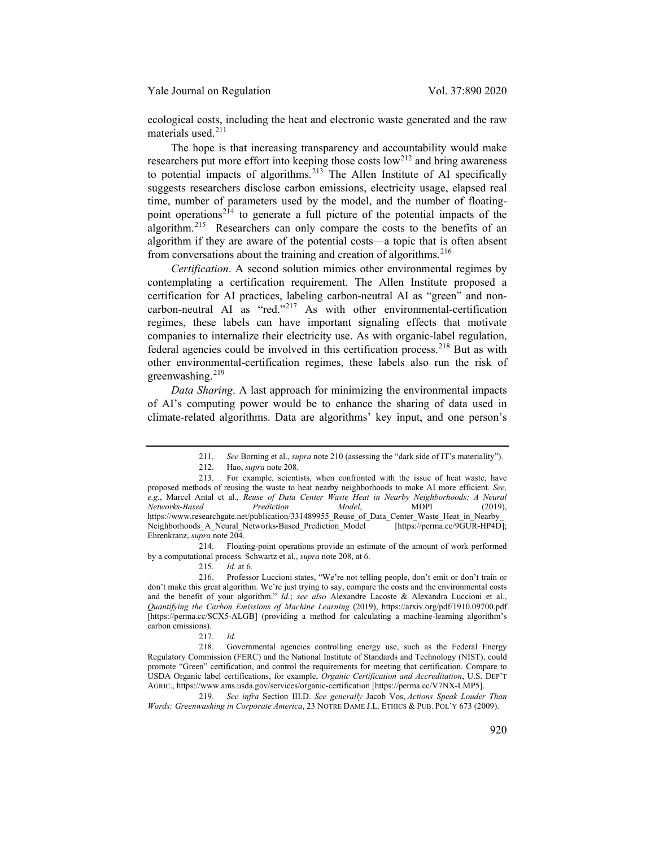ecological costs, including the heat and electronic waste generated and the raw materials used.[211](#page-30-0)

The hope is that increasing transparency and accountability would make researchers put more effort into keeping those costs  $\text{low}^{212}$  $\text{low}^{212}$  $\text{low}^{212}$  and bring awareness to potential impacts of algorithms.<sup>[213](#page-30-2)</sup> The Allen Institute of AI specifically suggests researchers disclose carbon emissions, electricity usage, elapsed real time, number of parameters used by the model, and the number of floating-point operations<sup>[214](#page-30-3)</sup> to generate a full picture of the potential impacts of the algorithm.[215](#page-30-4) Researchers can only compare the costs to the benefits of an algorithm if they are aware of the potential costs—a topic that is often absent from conversations about the training and creation of algorithms.  $216$ 

*Certification*. A second solution mimics other environmental regimes by contemplating a certification requirement. The Allen Institute proposed a certification for AI practices, labeling carbon-neutral AI as "green" and noncarbon-neutral AI as "red."[217](#page-30-6) As with other environmental-certification regimes, these labels can have important signaling effects that motivate companies to internalize their electricity use. As with organic-label regulation, federal agencies could be involved in this certification process.<sup>[218](#page-30-7)</sup> But as with other environmental-certification regimes, these labels also run the risk of greenwashing. $219$ 

*Data Sharing*. A last approach for minimizing the environmental impacts of AI's computing power would be to enhance the sharing of data used in climate-related algorithms. Data are algorithms' key input, and one person's

<span id="page-30-3"></span>214. Floating-point operations provide an estimate of the amount of work performed by a computational process. Schwartz et al., *supra* not[e 208,](#page-29-6) at 6.

215. *Id.* at 6.

<span id="page-30-8"></span>219. *See infra* Section III.D. *See generally* Jacob Vos, *Actions Speak Louder Than Words: Greenwashing in Corporate America*, 23 NOTRE DAME J.L. ETHICS & PUB. POL'Y 673 (2009).

<sup>211.</sup> *See* Borning et al., *supra* note [210](#page-29-5) (assessing the "dark side of IT's materiality").

<sup>212.</sup> Hao, *supra* not[e 208.](#page-29-6) 

<span id="page-30-2"></span><span id="page-30-1"></span><span id="page-30-0"></span><sup>213.</sup> For example, scientists, when confronted with the issue of heat waste, have proposed methods of reusing the waste to heat nearby neighborhoods to make AI more efficient. *See, e.g.*, Marcel Antal et al., *Reuse of Data Center Waste Heat in Nearby Neighborhoods: A Neural Networks-Based Prediction Model*, MDPI (2019), https://www.researchgate.net/publication/331489955\_Reuse\_of\_Data\_Center\_Waste\_Heat\_in\_Nearby\_<br>Neighborhoods\_A\_Neural\_Networks-Based\_Prediction\_Model [https://perma.cc/9GUR-HP4D]; Neighborhoods\_A\_Neural\_Networks-Based\_Prediction\_Model Ehrenkranz, *supra* note [204.](#page-28-1) 

<span id="page-30-5"></span><span id="page-30-4"></span><sup>216.</sup> Professor Luccioni states, "We're not telling people, don't emit or don't train or don't make this great algorithm. We're just trying to say, compare the costs and the environmental costs and the benefit of your algorithm." *Id.*; *see also* Alexandre Lacoste & Alexandra Luccioni et al., *Quantifying the Carbon Emissions of Machine Learning* (2019), https://arxiv.org/pdf/1910.09700.pdf [https://perma.cc/SCX5-ALGB] (providing a method for calculating a machine-learning algorithm's carbon emissions).

<sup>217.</sup> *Id.*

<span id="page-30-7"></span><span id="page-30-6"></span><sup>218.</sup> Governmental agencies controlling energy use, such as the Federal Energy Regulatory Commission (FERC) and the National Institute of Standards and Technology (NIST), could promote "Green" certification, and control the requirements for meeting that certification. Compare to USDA Organic label certifications, for example, *Organic Certification and Accreditation*, U.S. DEP'T AGRIC., https://www.ams.usda.gov/services/organic-certification [https://perma.cc/V7NX-LMP5].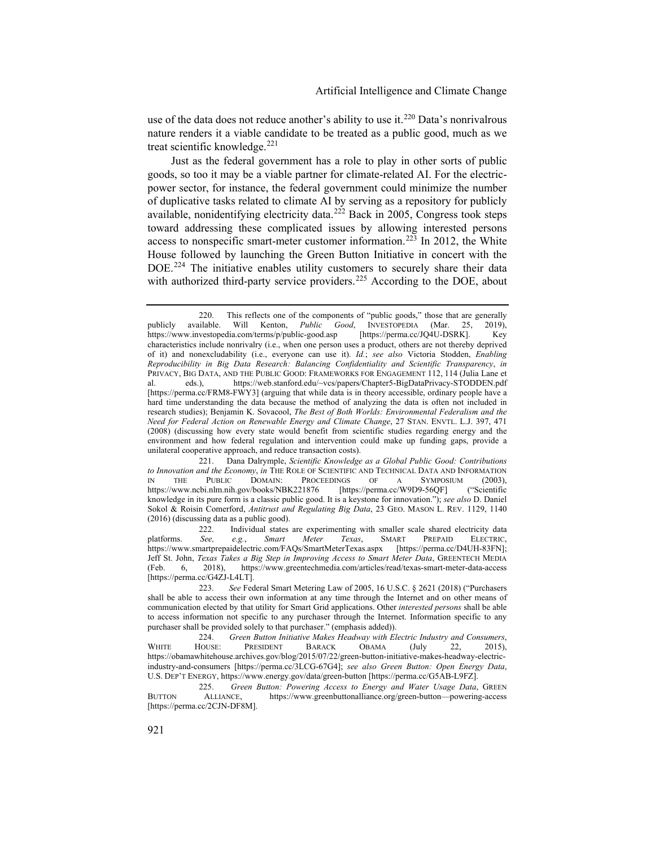use of the data does not reduce another's ability to use it.<sup>[220](#page-31-0)</sup> Data's nonrivalrous nature renders it a viable candidate to be treated as a public good, much as we treat scientific knowledge. $221$ 

Just as the federal government has a role to play in other sorts of public goods, so too it may be a viable partner for climate-related AI. For the electricpower sector, for instance, the federal government could minimize the number of duplicative tasks related to climate AI by serving as a repository for publicly available, nonidentifying electricity data.<sup>[222](#page-31-2)</sup> Back in 2005, Congress took steps toward addressing these complicated issues by allowing interested persons access to nonspecific smart-meter customer information.<sup>[223](#page-31-3)</sup> In 2012, the White House followed by launching the Green Button Initiative in concert with the DOE.<sup>[224](#page-31-4)</sup> The initiative enables utility customers to securely share their data with authorized third-party service providers.<sup>[225](#page-31-5)</sup> According to the DOE, about

<span id="page-31-6"></span><span id="page-31-0"></span><sup>220.</sup> This reflects one of the components of "public goods," those that are generally available. Will Kenton, *Public Good*, INVESTOPEDIA (Mar. 25, 2019), publicly available. Will Kenton, *Public Good*, INVESTOPEDIA (Mar. 25, 2019), https://www.investopedia.com/terms/p/public-good.asp [https://perma.cc/JQ4U-DSRK]. Key https://www.investopedia.com/terms/p/public-good.asp characteristics include nonrivalry (i.e., when one person uses a product, others are not thereby deprived of it) and nonexcludability (i.e., everyone can use it). *Id.*; *see also* Victoria Stodden, *Enabling Reproducibility in Big Data Research: Balancing Confidentiality and Scientific Transparency*, *in* PRIVACY, BIG DATA, AND THE PUBLIC GOOD: FRAMEWORKS FOR ENGAGEMENT 112, 114 (Julia Lane et al. ets.), https://web.stanford.edu/~vcs/papers/Chapter5-BigDataPrivacv-STODDFN.ndf eds.), https://web.stanford.edu/~vcs/papers/Chapter5-BigDataPrivacy-STODDEN.pdf [https://perma.cc/FRM8-FWY3] (arguing that while data is in theory accessible, ordinary people have a hard time understanding the data because the method of analyzing the data is often not included in research studies); Benjamin K. Sovacool, *The Best of Both Worlds: Environmental Federalism and the Need for Federal Action on Renewable Energy and Climate Change*, 27 STAN. ENVTL. L.J. 397, 471 (2008) (discussing how every state would benefit from scientific studies regarding energy and the environment and how federal regulation and intervention could make up funding gaps, provide a unilateral cooperative approach, and reduce transaction costs).

<span id="page-31-1"></span><sup>221.</sup> Dana Dalrymple, *Scientific Knowledge as a Global Public Good: Contributions to Innovation and the Economy*, *in* THE ROLE OF SCIENTIFIC AND TECHNICAL DATA AND INFORMATION IN THE PUBLIC DOMAIN: PROCEEDINGS OF A SYMPOSIUM (2003),<br>https://www.ncbi.nlm.nih.gov/books/NBK221876 [https://perma.cc/W9D9-56QF] ("Scientific https://www.ncbi.nlm.nih.gov/books/NBK221876 knowledge in its pure form is a classic public good. It is a keystone for innovation."); *see also* D. Daniel Sokol & Roisin Comerford, *Antitrust and Regulating Big Data*, 23 GEO. MASON L. REV. 1129, 1140 (2016) (discussing data as a public good).

<span id="page-31-2"></span><sup>222.</sup> Individual states are experimenting with smaller scale shared electricity data See, e.g., Smart Meter Texas, SMART PREPAID ELECTRIC, platforms. *See*, e.g., *Smart Meter Texas*, SMART PREPAID https://www.smartprepaidelectric.com/FAQs/SmartMeterTexas.aspx [https://perma.cc/D4UH-83FN]; Jeff St. John, *Texas Takes a Big Step in Improving Access to Smart Meter Data*, GREENTECH MEDIA (Feb. 6, 2018), https://www.greentechmedia.com/articles/read/texas-smart-meter-data-access [https://perma.cc/G4ZJ-L4LT].

<span id="page-31-3"></span><sup>223.</sup> *See* Federal Smart Metering Law of 2005, 16 U.S.C. § 2621 (2018) ("Purchasers shall be able to access their own information at any time through the Internet and on other means of communication elected by that utility for Smart Grid applications. Other *interested persons* shall be able to access information not specific to any purchaser through the Internet. Information specific to any purchaser shall be provided solely to that purchaser." (emphasis added)).

<span id="page-31-4"></span><sup>224.</sup> *Green Button Initiative Makes Headway with Electric Industry and Consumers*, WHITE HOUSE: PRESIDENT BARACK OBAMA (July 22, 2015), https://obamawhitehouse.archives.gov/blog/2015/07/22/green-button-initiative-makes-headway-electricindustry-and-consumers [https://perma.cc/3LCG-67G4]; *see also Green Button: Open Energy Data*, U.S. DEP'T ENERGY, https://www.energy.gov/data/green-button [https://perma.cc/G5AB-L9FZ].

<span id="page-31-5"></span><sup>225.</sup> *Green Button: Powering Access to Energy and Water Usage Data*, GREEN BUTTON ALLIANCE, https://www.greenbuttonalliance.org/green-button—powering-access [https://perma.cc/2CJN-DF8M].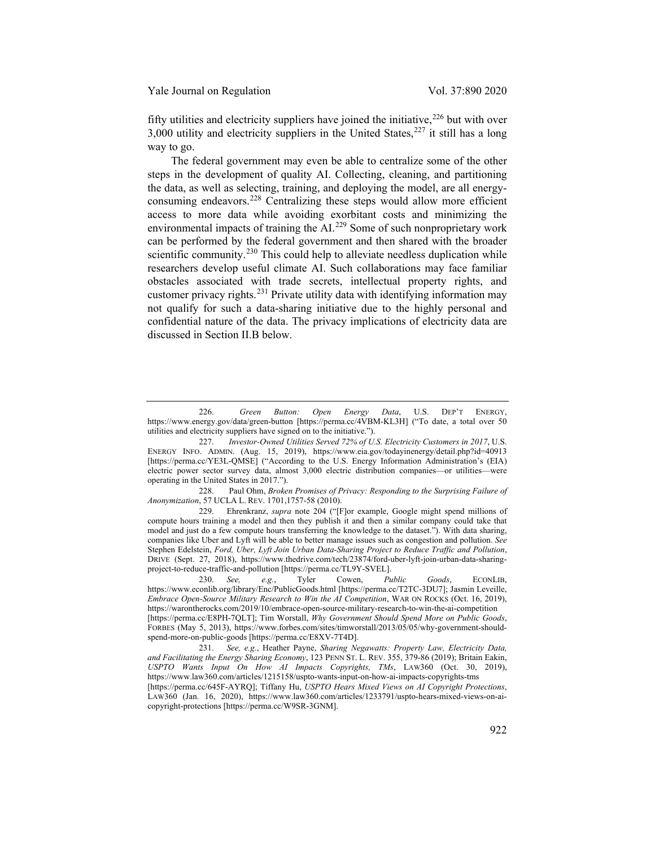<span id="page-32-8"></span>fifty utilities and electricity suppliers have joined the initiative,  $226$  but with over 3,000 utility and electricity suppliers in the United States, $227$  it still has a long way to go.

<span id="page-32-7"></span>The federal government may even be able to centralize some of the other steps in the development of quality AI. Collecting, cleaning, and partitioning the data, as well as selecting, training, and deploying the model, are all energy-consuming endeavors.<sup>[228](#page-32-2)</sup> Centralizing these steps would allow more efficient access to more data while avoiding exorbitant costs and minimizing the environmental impacts of training the AI.<sup>[229](#page-32-3)</sup> Some of such nonproprietary work can be performed by the federal government and then shared with the broader scientific community.<sup>[230](#page-32-4)</sup> This could help to alleviate needless duplication while researchers develop useful climate AI. Such collaborations may face familiar obstacles associated with trade secrets, intellectual property rights, and customer privacy rights. $^{231}$  $^{231}$  $^{231}$  Private utility data with identifying information may not qualify for such a data-sharing initiative due to the highly personal and confidential nature of the data. The privacy implications of electricity data are discussed in Section II.B below.

<span id="page-32-6"></span><span id="page-32-0"></span><sup>226.</sup> *Green Button: Open Energy Data*, U.S. DEP'T ENERGY, https://www.energy.gov/data/green-button [https://perma.cc/4VBM-KL3H] ("To date, a total over 50 utilities and electricity suppliers have signed on to the initiative.").

<span id="page-32-1"></span><sup>227.</sup> *Investor-Owned Utilities Served 72% of U.S. Electricity Customers in 2017*, U.S. ENERGY INFO. ADMIN. (Aug. 15, 2019), https://www.eia.gov/todayinenergy/detail.php?id=40913 [https://perma.cc/YE3L-QMSE] ("According to the U.S. Energy Information Administration's (EIA) electric power sector survey data, almost 3,000 electric distribution companies—or utilities—were operating in the United States in 2017.").

<span id="page-32-2"></span><sup>228.</sup> Paul Ohm, *Broken Promises of Privacy: Responding to the Surprising Failure of Anonymization*, 57 UCLA L. REV. 1701,1757-58 (2010).

<span id="page-32-3"></span><sup>229.</sup> Ehrenkranz, *supra* note [204](#page-28-1) ("[F]or example, Google might spend millions of compute hours training a model and then they publish it and then a similar company could take that model and just do a few compute hours transferring the knowledge to the dataset."). With data sharing, companies like Uber and Lyft will be able to better manage issues such as congestion and pollution. *See* Stephen Edelstein, *Ford, Uber, Lyft Join Urban Data-Sharing Project to Reduce Traffic and Pollution*, DRIVE (Sept. 27, 2018), https://www.thedrive.com/tech/23874/ford-uber-lyft-join-urban-data-sharingproject-to-reduce-traffic-and-pollution [https://perma.cc/TL9Y-SVEL].

<span id="page-32-4"></span><sup>230.</sup> *See, e.g.*, Tyler Cowen, *Public Goods*, ECONLIB, https://www.econlib.org/library/Enc/PublicGoods.html [https://perma.cc/T2TC-3DU7]; Jasmin Leveille, *Embrace Open-Source Military Research to Win the AI Competition*, WAR ON ROCKS (Oct. 16, 2019), https://warontherocks.com/2019/10/embrace-open-source-military-research-to-win-the-ai-competition [https://perma.cc/E8PH-7QLT]; Tim Worstall, *Why Government Should Spend More on Public Goods*, FORBES (May 5, 2013), https://www.forbes.com/sites/timworstall/2013/05/05/why-government-shouldspend-more-on-public-goods [https://perma.cc/E8XV-7T4D].

<span id="page-32-5"></span><sup>231.</sup> *See, e.g.*, Heather Payne, *Sharing Negawatts: Property Law, Electricity Data, and Facilitating the Energy Sharing Economy*, 123 PENN ST. L. REV. 355, 379-86 (2019); Britain Eakin, *USPTO Wants Input On How AI Impacts Copyrights, TMs*, LAW360 (Oct. 30, 2019), https://www.law360.com/articles/1215158/uspto-wants-input-on-how-ai-impacts-copyrights-tms

<sup>[</sup>https://perma.cc/645F-AYRQ]; Tiffany Hu, *USPTO Hears Mixed Views on AI Copyright Protections*, LAW360 (Jan. 16, 2020), https://www.law360.com/articles/1233791/uspto-hears-mixed-views-on-aicopyright-protections [https://perma.cc/W9SR-3GNM].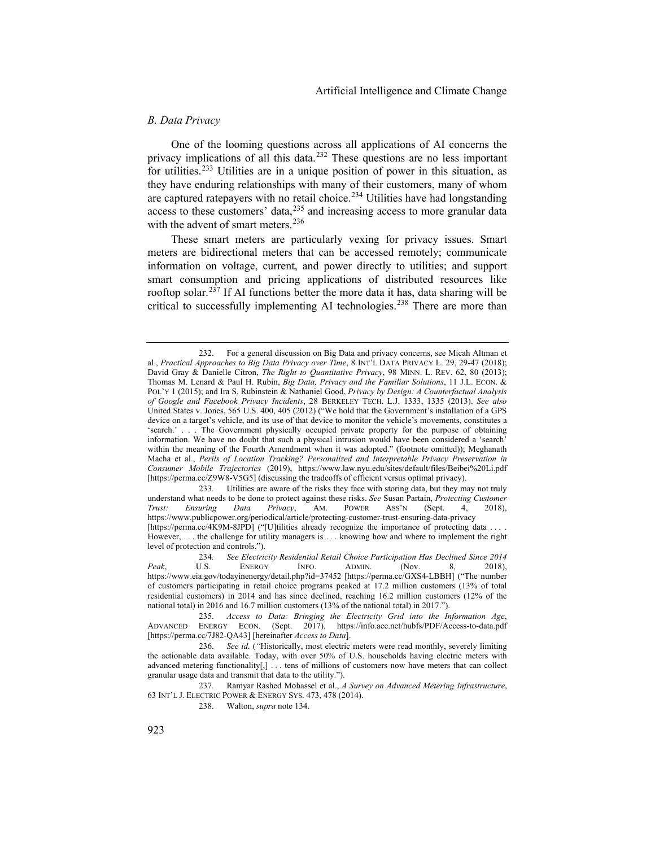## *B. Data Privacy*

One of the looming questions across all applications of AI concerns the privacy implications of all this data.<sup>[232](#page-33-0)</sup> These questions are no less important for utilities.[233](#page-33-1) Utilities are in a unique position of power in this situation, as they have enduring relationships with many of their customers, many of whom are captured ratepayers with no retail choice.<sup>[234](#page-33-2)</sup> Utilities have had longstanding access to these customers' data,  $235$  and increasing access to more granular data with the advent of smart meters.<sup>[236](#page-33-4)</sup>

<span id="page-33-8"></span><span id="page-33-7"></span>These smart meters are particularly vexing for privacy issues. Smart meters are bidirectional meters that can be accessed remotely; communicate information on voltage, current, and power directly to utilities; and support smart consumption and pricing applications of distributed resources like rooftop solar.<sup>[237](#page-33-5)</sup> If AI functions better the more data it has, data sharing will be critical to successfully implementing AI technologies.<sup>[238](#page-33-6)</sup> There are more than

<span id="page-33-1"></span>233. Utilities are aware of the risks they face with storing data, but they may not truly understand what needs to be done to protect against these risks. *See* Susan Partain, *Protecting Customer Trust: Ensuring Data Privacy*, AM. POWER ASS'N (Sept. 4, 2018), https://www.publicpower.org/periodical/article/protecting-customer-trust-ensuring-data-privacy [https://perma.cc/4K9M-8JPD] ("[U]tilities already recognize the importance of protecting data . However, . . . the challenge for utility managers is . . . knowing how and where to implement the right level of protection and controls.").

<span id="page-33-6"></span><span id="page-33-5"></span>237. Ramyar Rashed Mohassel et al., *A Survey on Advanced Metering Infrastructure*, 63 INT'L J. ELECTRIC POWER & ENERGY SYS. 473, 478 (2014).

238. Walton, *supra* not[e 134.](#page-18-8)

<span id="page-33-0"></span><sup>232.</sup> For a general discussion on Big Data and privacy concerns, see Micah Altman et al., *Practical Approaches to Big Data Privacy over Time*, 8 INT'L DATA PRIVACY L. 29, 29-47 (2018); David Gray & Danielle Citron, *The Right to Quantitative Privacy*, 98 MINN. L. REV. 62, 80 (2013); Thomas M. Lenard & Paul H. Rubin, *Big Data, Privacy and the Familiar Solutions*, 11 J.L. ECON. & POL'Y 1 (2015); and Ira S. Rubinstein & Nathaniel Good, *Privacy by Design: A Counterfactual Analysis of Google and Facebook Privacy Incidents*, 28 BERKELEY TECH. L.J. 1333, 1335 (2013). *See also* United States v. Jones, 565 U.S. 400, 405 (2012) ("We hold that the Government's installation of a GPS device on a target's vehicle, and its use of that device to monitor the vehicle's movements, constitutes a 'search.' . . . The Government physically occupied private property for the purpose of obtaining information. We have no doubt that such a physical intrusion would have been considered a 'search' within the meaning of the Fourth Amendment when it was adopted." (footnote omitted)); Meghanath Macha et al., *Perils of Location Tracking? Personalized and Interpretable Privacy Preservation in Consumer Mobile Trajectories* (2019), https://www.law.nyu.edu/sites/default/files/Beibei%20Li.pdf [https://perma.cc/Z9W8-V5G5] (discussing the tradeoffs of efficient versus optimal privacy).

<span id="page-33-2"></span><sup>234</sup>*. See Electricity Residential Retail Choice Participation Has Declined Since 2014 Peak*, U.S. ENERGY INFO. ADMIN. (Nov. 8, 2018), https://www.eia.gov/todayinenergy/detail.php?id=37452 [https://perma.cc/GXS4-LBBH] ("The number of customers participating in retail choice programs peaked at 17.2 million customers (13% of total residential customers) in 2014 and has since declined, reaching 16.2 million customers (12% of the national total) in 2016 and 16.7 million customers (13% of the national total) in 2017.").

<span id="page-33-3"></span><sup>235.</sup> *Access to Data: Bringing the Electricity Grid into the Information Age*, ADVANCED ENERGY ECON. (Sept. 2017), https://info.aee.net/hubfs/PDF/Access-to-data.pdf [https://perma.cc/7J82-QA43] [hereinafter *Access to Data*].

<span id="page-33-4"></span><sup>236.</sup> *See id.* (*"*Historically, most electric meters were read monthly, severely limiting the actionable data available. Today, with over 50% of U.S. households having electric meters with advanced metering functionality[,] . . . tens of millions of customers now have meters that can collect granular usage data and transmit that data to the utility.").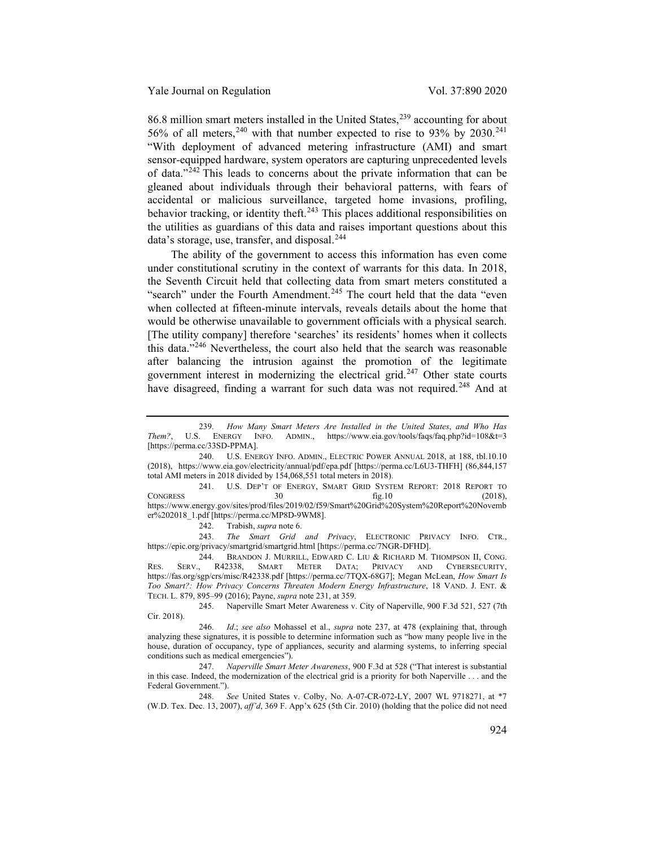86.8 million smart meters installed in the United States, $^{239}$  $^{239}$  $^{239}$  accounting for about 56% of all meters,  $240$  with that number expected to rise to 93% by 2030.<sup>[241](#page-34-2)</sup> "With deployment of advanced metering infrastructure (AMI) and smart sensor-equipped hardware, system operators are capturing unprecedented levels of data."[242](#page-34-3) This leads to concerns about the private information that can be gleaned about individuals through their behavioral patterns, with fears of accidental or malicious surveillance, targeted home invasions, profiling, behavior tracking, or identity theft.<sup>[243](#page-34-4)</sup> This places additional responsibilities on the utilities as guardians of this data and raises important questions about this data's storage, use, transfer, and disposal.<sup>[244](#page-34-5)</sup>

The ability of the government to access this information has even come under constitutional scrutiny in the context of warrants for this data. In 2018, the Seventh Circuit held that collecting data from smart meters constituted a "search" under the Fourth Amendment.<sup>[245](#page-34-6)</sup> The court held that the data "even when collected at fifteen-minute intervals, reveals details about the home that would be otherwise unavailable to government officials with a physical search. [The utility company] therefore 'searches' its residents' homes when it collects this data."[246](#page-34-7) Nevertheless, the court also held that the search was reasonable after balancing the intrusion against the promotion of the legitimate government interest in modernizing the electrical grid.<sup>[247](#page-34-8)</sup> Other state courts have disagreed, finding a warrant for such data was not required.<sup>[248](#page-34-9)</sup> And at

<span id="page-34-2"></span>241. U.S. DEP'T OF ENERGY, SMART GRID SYSTEM REPORT: 2018 REPORT TO  $\text{ConGRESS}$  30 fig.10 (2018), https://www.energy.gov/sites/prod/files/2019/02/f59/Smart%20Grid%20System%20Report%20Novemb er%202018\_1.pdf [https://perma.cc/MP8D-9WM8].

242. Trabish, *supra* not[e 6.](#page-1-7)

<span id="page-34-4"></span><span id="page-34-3"></span>243. *The Smart Grid and Privacy*, ELECTRONIC PRIVACY INFO. CTR., https://epic.org/privacy/smartgrid/smartgrid.html [https://perma.cc/7NGR-DFHD].

<span id="page-34-5"></span>244. BRANDON J. MURRILL, EDWARD C. LIU & RICHARD M. THOMPSON II, CONG.<br>
SERV., R42338, SMART METER DATA; PRIVACY AND CYBERSECURITY, RES. SERV., R42338, SMART METER DATA; PRIVACY AND CYBERSECURITY, https://fas.org/sgp/crs/misc/R42338.pdf [https://perma.cc/7TQX-68G7]; Megan McLean, *How Smart Is Too Smart?: How Privacy Concerns Threaten Modern Energy Infrastructure*, 18 VAND. J. ENT. & TECH. L. 879, 895–99 (2016); Payne, *supra* not[e 231,](#page-32-6) at 359.

<span id="page-34-6"></span>245. Naperville Smart Meter Awareness v. City of Naperville, 900 F.3d 521, 527 (7th Cir. 2018).

<span id="page-34-7"></span>246. *Id*.; *see also* Mohassel et al., *supra* note [237,](#page-33-7) at 478 (explaining that, through analyzing these signatures, it is possible to determine information such as "how many people live in the house, duration of occupancy, type of appliances, security and alarming systems, to inferring special conditions such as medical emergencies").

<span id="page-34-8"></span>247. *Naperville Smart Meter Awareness*, 900 F.3d at 528 ("That interest is substantial in this case. Indeed, the modernization of the electrical grid is a priority for both Naperville . . . and the Federal Government.").

<span id="page-34-9"></span>248. *See* United States v. Colby, No. A-07-CR-072-LY, 2007 WL 9718271, at \*7 (W.D. Tex. Dec. 13, 2007), *aff'd*, 369 F. App'x 625 (5th Cir. 2010) (holding that the police did not need

<span id="page-34-0"></span><sup>239.</sup> *How Many Smart Meters Are Installed in the United States*, *and Who Has Them?*, U.S. ENERGY INFO. ADMIN., https://www.eia.gov/tools/faqs/faq.php?id=108&t=3 [https://perma.cc/33SD-PPMA].

<span id="page-34-1"></span><sup>240.</sup> U.S. ENERGY INFO. ADMIN., ELECTRIC POWER ANNUAL 2018, at 188, tbl.10.10 (2018), https://www.eia.gov/electricity/annual/pdf/epa.pdf [https://perma.cc/L6U3-THFH] (86,844,157 total AMI meters in 2018 divided by 154,068,551 total meters in 2018).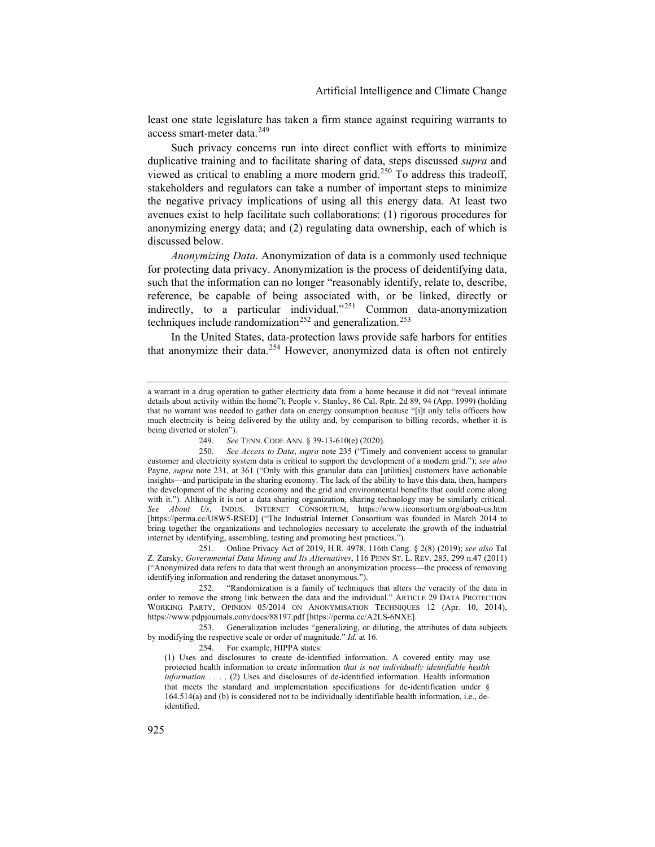least one state legislature has taken a firm stance against requiring warrants to access smart-meter data.[249](#page-35-0)

Such privacy concerns run into direct conflict with efforts to minimize duplicative training and to facilitate sharing of data, steps discussed *supra* and viewed as critical to enabling a more modern grid.<sup>[250](#page-35-1)</sup> To address this tradeoff, stakeholders and regulators can take a number of important steps to minimize the negative privacy implications of using all this energy data. At least two avenues exist to help facilitate such collaborations: (1) rigorous procedures for anonymizing energy data; and (2) regulating data ownership, each of which is discussed below.

*Anonymizing Data*. Anonymization of data is a commonly used technique for protecting data privacy. Anonymization is the process of deidentifying data, such that the information can no longer "reasonably identify, relate to, describe, reference, be capable of being associated with, or be linked, directly or indirectly, to a particular individual."[251](#page-35-2) Common data-anonymization techniques include randomization<sup>[252](#page-35-3)</sup> and generalization.<sup>[253](#page-35-4)</sup>

In the United States, data-protection laws provide safe harbors for entities that anonymize their data.[254](#page-35-5) However, anonymized data is often not entirely

254. For example, HIPPA states:

(1) Uses and disclosures to create de-identified information. A covered entity may use protected health information to create information *that is not individually identifiable health information* . . . . (2) Uses and disclosures of de-identified information. Health information that meets the standard and implementation specifications for de-identification under § 164.514(a) and (b) is considered not to be individually identifiable health information, i.e., deidentified.

a warrant in a drug operation to gather electricity data from a home because it did not "reveal intimate details about activity within the home"); People v. Stanley, 86 Cal. Rptr. 2d 89, 94 (App. 1999) (holding that no warrant was needed to gather data on energy consumption because "[i]t only tells officers how much electricity is being delivered by the utility and, by comparison to billing records, whether it is being diverted or stolen").

<sup>249.</sup> *See* TENN. CODE ANN. § 39-13-610(e) (2020).

<span id="page-35-1"></span><span id="page-35-0"></span><sup>250.</sup> *See Access to Data*, *supra* note [235](#page-33-8) ("Timely and convenient access to granular customer and electricity system data is critical to support the development of a modern grid."); *see also* Payne, *supra* note [231,](#page-32-6) at 361 ("Only with this granular data can [utilities] customers have actionable insights—and participate in the sharing economy. The lack of the ability to have this data, then, hampers the development of the sharing economy and the grid and environmental benefits that could come along with it."). Although it is not a data sharing organization, sharing technology may be similarly critical. *See About Us*, INDUS. INTERNET CONSORTIUM, https://www.iiconsortium.org/about-us.htm [https://perma.cc/U8W5-RSED] ("The Industrial Internet Consortium was founded in March 2014 to bring together the organizations and technologies necessary to accelerate the growth of the industrial internet by identifying, assembling, testing and promoting best practices.").

<span id="page-35-2"></span><sup>251.</sup> Online Privacy Act of 2019, H.R. 4978, 116th Cong. § 2(8) (2019); *see also* Tal Z. Zarsky, *Governmental Data Mining and Its Alternatives*, 116 PENN ST. L. REV. 285, 299 n.47 (2011) ("Anonymized data refers to data that went through an anonymization process—the process of removing identifying information and rendering the dataset anonymous.").

<span id="page-35-3"></span><sup>252.</sup> "Randomization is a family of techniques that alters the veracity of the data in order to remove the strong link between the data and the individual." ARTICLE 29 DATA PROTECTION WORKING PARTY, OPINION 05/2014 ON ANONYMISATION TECHNIQUES 12 (Apr. 10, 2014), https://www.pdpjournals.com/docs/88197.pdf [https://perma.cc/A2LS-6NXE].

<span id="page-35-5"></span><span id="page-35-4"></span><sup>253.</sup> Generalization includes "generalizing, or diluting, the attributes of data subjects by modifying the respective scale or order of magnitude." *Id.* at 16.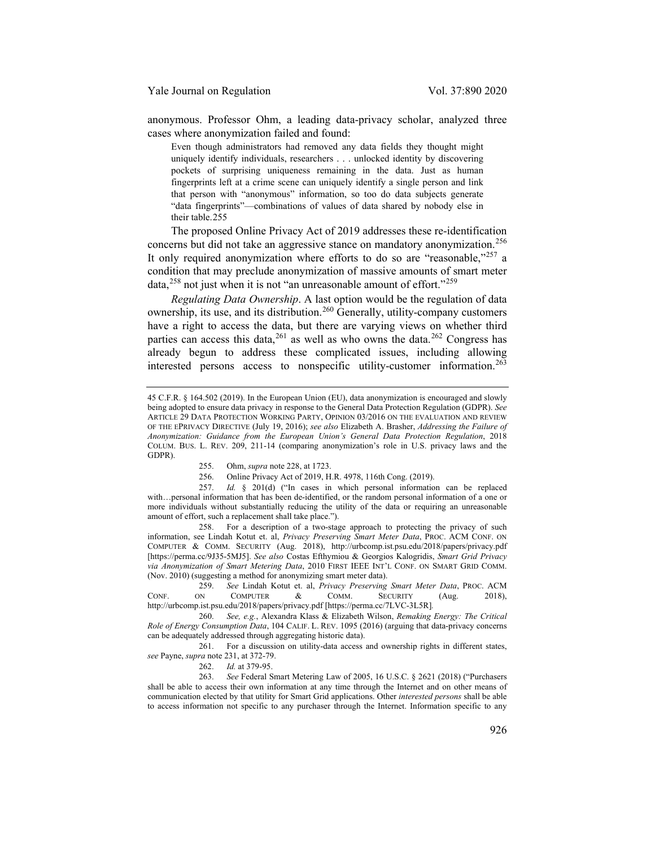anonymous. Professor Ohm, a leading data-privacy scholar, analyzed three cases where anonymization failed and found:

Even though administrators had removed any data fields they thought might uniquely identify individuals, researchers . . . unlocked identity by discovering pockets of surprising uniqueness remaining in the data. Just as human fingerprints left at a crime scene can uniquely identify a single person and link that person with "anonymous" information, so too do data subjects generate "data fingerprints"—combinations of values of data shared by nobody else in their table.[255](#page-36-0)

The proposed Online Privacy Act of 2019 addresses these re-identification concerns but did not take an aggressive stance on mandatory anonymization.<sup>[256](#page-36-1)</sup> It only required anonymization where efforts to do so are "reasonable,"<sup>[257](#page-36-2)</sup> a condition that may preclude anonymization of massive amounts of smart meter data,<sup>[258](#page-36-3)</sup> not just when it is not "an unreasonable amount of effort."<sup>[259](#page-36-4)</sup>

*Regulating Data Ownership*. A last option would be the regulation of data ownership, its use, and its distribution.<sup>[260](#page-36-5)</sup> Generally, utility-company customers have a right to access the data, but there are varying views on whether third parties can access this data,  $261$  as well as who owns the data.  $262$  Congress has already begun to address these complicated issues, including allowing interested persons access to nonspecific utility-customer information.[263](#page-36-8)

256. Online Privacy Act of 2019, H.R. 4978, 116th Cong. (2019).

<span id="page-36-2"></span><span id="page-36-1"></span><span id="page-36-0"></span>257. *Id.* § 201(d) ("In cases in which personal information can be replaced with…personal information that has been de-identified, or the random personal information of a one or more individuals without substantially reducing the utility of the data or requiring an unreasonable amount of effort, such a replacement shall take place.").

<span id="page-36-3"></span>258. For a description of a two-stage approach to protecting the privacy of such information, see Lindah Kotut et. al, *Privacy Preserving Smart Meter Data*, PROC. ACM CONF. ON COMPUTER & COMM. SECURITY (Aug. 2018), http://urbcomp.ist.psu.edu/2018/papers/privacy.pdf [https://perma.cc/9J35-5MJ5]. *See also* Costas Efthymiou & Georgios Kalogridis, *Smart Grid Privacy via Anonymization of Smart Metering Data*, 2010 FIRST IEEE INT'L CONF. ON SMART GRID COMM. (Nov. 2010) (suggesting a method for anonymizing smart meter data).

<span id="page-36-4"></span>259. *See* Lindah Kotut et. al, *Privacy Preserving Smart Meter Data*, PROC. ACM CONF. ON COMPUTER & COMM. SECURITY (Aug. 2018), http://urbcomp.ist.psu.edu/2018/papers/privacy.pdf [https://perma.cc/7LVC-3L5R]*.*

<span id="page-36-5"></span>260. *See, e.g.*, Alexandra Klass & Elizabeth Wilson, *Remaking Energy: The Critical Role of Energy Consumption Data*, 104 CALIF. L. REV. 1095 (2016) (arguing that data-privacy concerns can be adequately addressed through aggregating historic data).

<span id="page-36-6"></span>261. For a discussion on utility-data access and ownership rights in different states, *see* Payne, *supra* note [231,](#page-32-6) at 372-79.

262. *Id.* at 379-95.

<span id="page-36-8"></span><span id="page-36-7"></span>263. *See* Federal Smart Metering Law of 2005, 16 U.S.C. § 2621 (2018) ("Purchasers shall be able to access their own information at any time through the Internet and on other means of communication elected by that utility for Smart Grid applications. Other *interested persons* shall be able to access information not specific to any purchaser through the Internet. Information specific to any

<sup>45</sup> C.F.R. § 164.502 (2019). In the European Union (EU), data anonymization is encouraged and slowly being adopted to ensure data privacy in response to the General Data Protection Regulation (GDPR). *See* ARTICLE 29 DATA PROTECTION WORKING PARTY, OPINION 03/2016 ON THE EVALUATION AND REVIEW OF THE EPRIVACY DIRECTIVE (July 19, 2016); *see also* Elizabeth A. Brasher, *Addressing the Failure of Anonymization: Guidance from the European Union's General Data Protection Regulation*, 2018 COLUM. BUS. L. REV. 209, 211-14 (comparing anonymization's role in U.S. privacy laws and the GDPR).

<sup>255.</sup> Ohm, *supra* not[e 228,](#page-32-7) at 1723.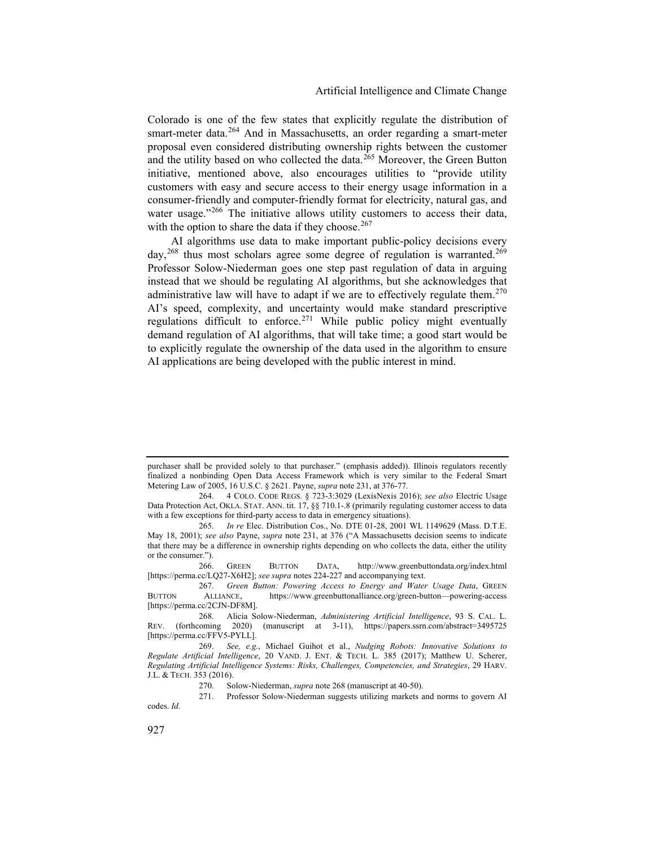Colorado is one of the few states that explicitly regulate the distribution of smart-meter data.<sup>[264](#page-37-1)</sup> And in Massachusetts, an order regarding a smart-meter proposal even considered distributing ownership rights between the customer and the utility based on who collected the data.<sup>[265](#page-37-2)</sup> Moreover, the Green Button initiative, mentioned above, also encourages utilities to "provide utility customers with easy and secure access to their energy usage information in a consumer-friendly and computer-friendly format for electricity, natural gas, and water usage."<sup>[266](#page-37-3)</sup> The initiative allows utility customers to access their data, with the option to share the data if they choose.  $267$ 

<span id="page-37-0"></span>AI algorithms use data to make important public-policy decisions every day,  $^{268}$  $^{268}$  $^{268}$  thus most scholars agree some degree of regulation is warranted.<sup>[269](#page-37-6)</sup> Professor Solow-Niederman goes one step past regulation of data in arguing instead that we should be regulating AI algorithms, but she acknowledges that administrative law will have to adapt if we are to effectively regulate them.<sup>[270](#page-37-7)</sup> AI's speed, complexity, and uncertainty would make standard prescriptive regulations difficult to enforce.<sup>[271](#page-37-8)</sup> While public policy might eventually demand regulation of AI algorithms, that will take time; a good start would be to explicitly regulate the ownership of the data used in the algorithm to ensure AI applications are being developed with the public interest in mind.

purchaser shall be provided solely to that purchaser." (emphasis added)). Illinois regulators recently finalized a nonbinding Open Data Access Framework which is very similar to the Federal Smart Metering Law of 2005, 16 U.S.C. § 2621. Payne, *supra* not[e 231,](#page-32-6) at 376-77.

<span id="page-37-1"></span><sup>264.</sup> 4 COLO. CODE REGS. § 723-3:3029 (LexisNexis 2016); *see also* Electric Usage Data Protection Act, OKLA. STAT. ANN. tit. 17, §§ 710.1-.8 (primarily regulating customer access to data with a few exceptions for third-party access to data in emergency situations).

<span id="page-37-2"></span><sup>265.</sup> *In re* Elec. Distribution Cos., No. DTE 01-28, 2001 WL 1149629 (Mass. D.T.E. May 18, 2001); *see also* Payne, *supra* note [231,](#page-32-6) at 376 ("A Massachusetts decision seems to indicate that there may be a difference in ownership rights depending on who collects the data, either the utility or the consumer.").

<span id="page-37-3"></span><sup>266.</sup> GREEN BUTTON DATA, http://www.greenbuttondata.org/index.html [https://perma.cc/LQ27-X6H2]; *see supra* note[s 224-](#page-31-6)[227](#page-32-8) and accompanying text.

<span id="page-37-4"></span><sup>267.</sup> *Green Button: Powering Access to Energy and Water Usage Data*, GREEN BUTTON ALLIANCE, https://www.greenbuttonalliance.org/green-button—powering-access [https://perma.cc/2CJN-DF8M].

<span id="page-37-5"></span><sup>268.</sup> Alicia Solow-Niederman, *Administering Artificial Intelligence*, 93 S. CAL. L. REV. (forthcoming 2020) (manuscript at 3-11), https://papers.ssrn.com/abstract=3495725 [https://perma.cc/FFV5-PYLL].

<span id="page-37-6"></span><sup>269.</sup> *See, e.g.*, Michael Guihot et al., *Nudging Robots: Innovative Solutions to Regulate Artificial Intelligence*, 20 VAND. J. ENT. & TECH. L. 385 (2017); Matthew U. Scherer, *Regulating Artificial Intelligence Systems: Risks, Challenges, Competencies, and Strategies*, 29 HARV. J.L. & TECH. 353 (2016).

<sup>270.</sup> Solow-Niederman, *supra* not[e 268](#page-37-0) (manuscript at 40-50).

<span id="page-37-8"></span><span id="page-37-7"></span><sup>271.</sup> Professor Solow-Niederman suggests utilizing markets and norms to govern AI codes. *Id.*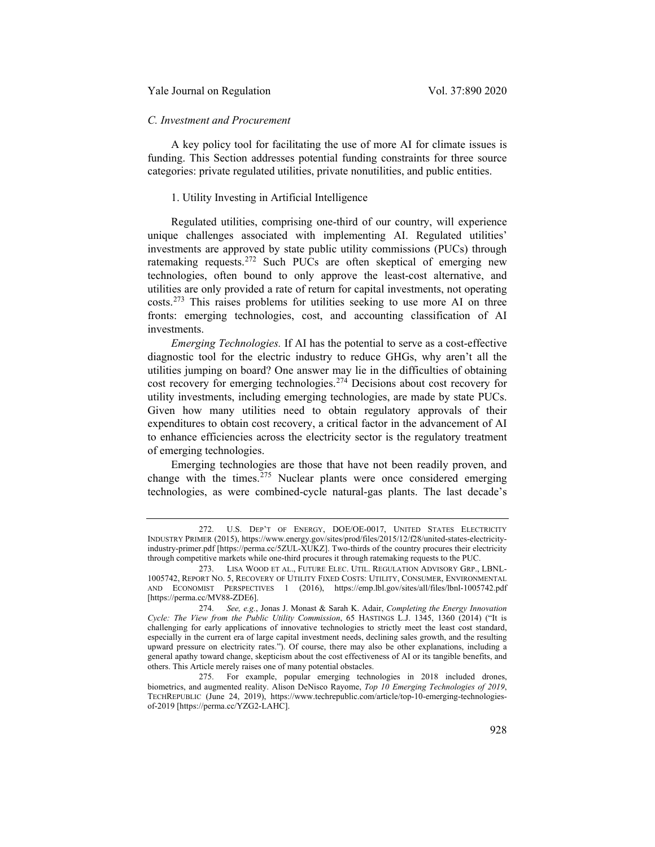# *C. Investment and Procurement*

A key policy tool for facilitating the use of more AI for climate issues is funding. This Section addresses potential funding constraints for three source categories: private regulated utilities, private nonutilities, and public entities.

#### 1. Utility Investing in Artificial Intelligence

Regulated utilities, comprising one-third of our country, will experience unique challenges associated with implementing AI. Regulated utilities' investments are approved by state public utility commissions (PUCs) through ratemaking requests.<sup>[272](#page-38-0)</sup> Such PUCs are often skeptical of emerging new technologies, often bound to only approve the least-cost alternative, and utilities are only provided a rate of return for capital investments, not operating costs.[273](#page-38-1) This raises problems for utilities seeking to use more AI on three fronts: emerging technologies, cost, and accounting classification of AI investments.

*Emerging Technologies.* If AI has the potential to serve as a cost-effective diagnostic tool for the electric industry to reduce GHGs, why aren't all the utilities jumping on board? One answer may lie in the difficulties of obtaining cost recovery for emerging technologies.[274](#page-38-2) Decisions about cost recovery for utility investments, including emerging technologies, are made by state PUCs. Given how many utilities need to obtain regulatory approvals of their expenditures to obtain cost recovery, a critical factor in the advancement of AI to enhance efficiencies across the electricity sector is the regulatory treatment of emerging technologies.

Emerging technologies are those that have not been readily proven, and change with the times. $275$  Nuclear plants were once considered emerging technologies, as were combined-cycle natural-gas plants. The last decade's

<span id="page-38-0"></span><sup>272.</sup> U.S. DEP'T OF ENERGY, DOE/OE-0017, UNITED STATES ELECTRICITY INDUSTRY PRIMER (2015), https://www.energy.gov/sites/prod/files/2015/12/f28/united-states-electricityindustry-primer.pdf [https://perma.cc/5ZUL-XUKZ]. Two-thirds of the country procures their electricity through competitive markets while one-third procures it through ratemaking requests to the PUC.

<span id="page-38-1"></span><sup>273.</sup> LISA WOOD ET AL., FUTURE ELEC. UTIL. REGULATION ADVISORY GRP., LBNL-1005742, REPORT NO. 5, RECOVERY OF UTILITY FIXED COSTS: UTILITY, CONSUMER, ENVIRONMENTAL AND ECONOMIST PERSPECTIVES 1 (2016), https://emp.lbl.gov/sites/all/files/lbnl-1005742.pdf [https://perma.cc/MV88-ZDE6].

<span id="page-38-2"></span><sup>274.</sup> *See, e.g.*, Jonas J. Monast & Sarah K. Adair, *Completing the Energy Innovation Cycle: The View from the Public Utility Commission*, 65 HASTINGS L.J. 1345, 1360 (2014) ("It is challenging for early applications of innovative technologies to strictly meet the least cost standard, especially in the current era of large capital investment needs, declining sales growth, and the resulting upward pressure on electricity rates."). Of course, there may also be other explanations, including a general apathy toward change, skepticism about the cost effectiveness of AI or its tangible benefits, and others. This Article merely raises one of many potential obstacles.

<span id="page-38-3"></span><sup>275.</sup> For example, popular emerging technologies in 2018 included drones, biometrics, and augmented reality. Alison DeNisco Rayome, *Top 10 Emerging Technologies of 2019*, TECHREPUBLIC (June 24, 2019), https://www.techrepublic.com/article/top-10-emerging-technologiesof-2019 [https://perma.cc/YZG2-LAHC].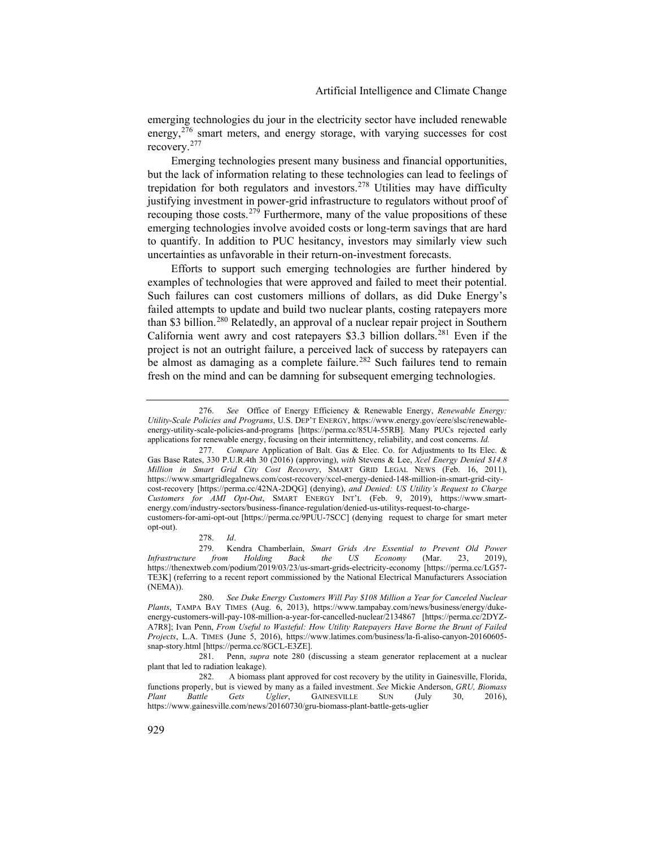emerging technologies du jour in the electricity sector have included renewable energy,<sup>[276](#page-39-1)</sup> smart meters, and energy storage, with varying successes for cost recovery.[277](#page-39-2)

Emerging technologies present many business and financial opportunities, but the lack of information relating to these technologies can lead to feelings of trepidation for both regulators and investors.[278](#page-39-3) Utilities may have difficulty justifying investment in power-grid infrastructure to regulators without proof of recouping those costs.<sup>[279](#page-39-4)</sup> Furthermore, many of the value propositions of these emerging technologies involve avoided costs or long-term savings that are hard to quantify. In addition to PUC hesitancy, investors may similarly view such uncertainties as unfavorable in their return-on-investment forecasts.

<span id="page-39-0"></span>Efforts to support such emerging technologies are further hindered by examples of technologies that were approved and failed to meet their potential. Such failures can cost customers millions of dollars, as did Duke Energy's failed attempts to update and build two nuclear plants, costing ratepayers more than \$3 billion.<sup>[280](#page-39-5)</sup> Relatedly, an approval of a nuclear repair project in Southern California went awry and cost ratepayers \$3.3 billion dollars.[281](#page-39-6) Even if the project is not an outright failure, a perceived lack of success by ratepayers can be almost as damaging as a complete failure.<sup>[282](#page-39-7)</sup> Such failures tend to remain fresh on the mind and can be damning for subsequent emerging technologies.

<span id="page-39-1"></span><sup>276.</sup> *See* Office of Energy Efficiency & Renewable Energy, *Renewable Energy: Utility-Scale Policies and Programs*, U.S. DEP'T ENERGY, https://www.energy.gov/eere/slsc/renewableenergy-utility-scale-policies-and-programs [https://perma.cc/85U4-55RB]. Many PUCs rejected early applications for renewable energy, focusing on their intermittency, reliability, and cost concerns. *Id.*

<span id="page-39-2"></span><sup>277.</sup> *Compare* Application of Balt. Gas & Elec. Co. for Adjustments to Its Elec. & Gas Base Rates, 330 P.U.R.4th 30 (2016) (approving), *with* Stevens & Lee, *Xcel Energy Denied \$14.8 Million in Smart Grid City Cost Recovery*, SMART GRID LEGAL NEWS (Feb. 16, 2011), https://www.smartgridlegalnews.com/cost-recovery/xcel-energy-denied-148-million-in-smart-grid-citycost-recovery [https://perma.cc/42NA-2DQG] (denying), *and Denied: US Utility's Request to Charge Customers for AMI Opt-Out*, SMART ENERGY INT'L (Feb. 9, 2019), https://www.smartenergy.com/industry-sectors/business-finance-regulation/denied-us-utilitys-request-to-chargecustomers-for-ami-opt-out [https://perma.cc/9PUU-7SCC] (denying request to charge for smart meter opt-out).

<sup>278.</sup> *Id*.

<span id="page-39-4"></span><span id="page-39-3"></span><sup>279.</sup> Kendra Chamberlain, *Smart Grids Are Essential to Prevent Old Power Infrastructure from Holding Back the US Economy* (Mar. 23, https://thenextweb.com/podium/2019/03/23/us-smart-grids-electricity-economy [https://perma.cc/LG57- TE3K] (referring to a recent report commissioned by the National Electrical Manufacturers Association (NEMA)).

<span id="page-39-5"></span><sup>280.</sup> *See Duke Energy Customers Will Pay \$108 Million a Year for Canceled Nuclear Plants*, TAMPA BAY TIMES (Aug. 6, 2013), https://www.tampabay.com/news/business/energy/dukeenergy-customers-will-pay-108-million-a-year-for-cancelled-nuclear/2134867 [https://perma.cc/2DYZ-A7R8]; Ivan Penn, *From Useful to Wasteful: How Utility Ratepayers Have Borne the Brunt of Failed Projects*, L.A. TIMES (June 5, 2016), https://www.latimes.com/business/la-fi-aliso-canyon-20160605 snap-story.html [https://perma.cc/8GCL-E3ZE].

<span id="page-39-6"></span><sup>281.</sup> Penn, *supra* note [280](#page-39-0) (discussing a steam generator replacement at a nuclear plant that led to radiation leakage).

<span id="page-39-7"></span><sup>282.</sup> A biomass plant approved for cost recovery by the utility in Gainesville, Florida, functions properly, but is viewed by many as a failed investment. *See* Mickie Anderson, *GRU, Biomass Plant Battle Gets Uglier*, GAINESVILLE SUN (July 30, 2016), https://www.gainesville.com/news/20160730/gru-biomass-plant-battle-gets-uglier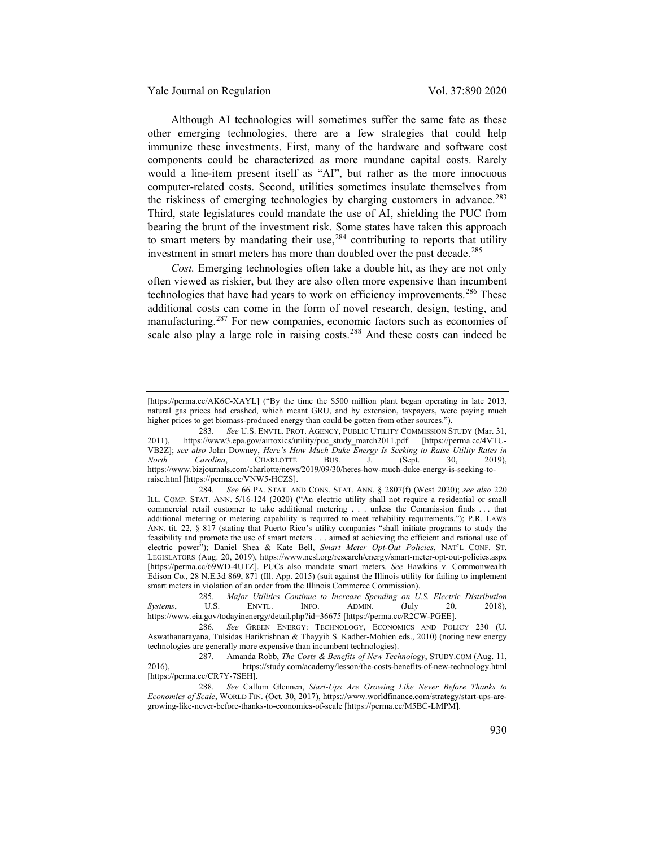Although AI technologies will sometimes suffer the same fate as these other emerging technologies, there are a few strategies that could help immunize these investments. First, many of the hardware and software cost components could be characterized as more mundane capital costs. Rarely would a line-item present itself as "AI", but rather as the more innocuous computer-related costs. Second, utilities sometimes insulate themselves from the riskiness of emerging technologies by charging customers in advance.<sup>[283](#page-40-0)</sup> Third, state legislatures could mandate the use of AI, shielding the PUC from bearing the brunt of the investment risk. Some states have taken this approach to smart meters by mandating their use, $284$  contributing to reports that utility investment in smart meters has more than doubled over the past decade.<sup>[285](#page-40-2)</sup>

*Cost.* Emerging technologies often take a double hit, as they are not only often viewed as riskier, but they are also often more expensive than incumbent technologies that have had years to work on efficiency improvements.<sup>[286](#page-40-3)</sup> These additional costs can come in the form of novel research, design, testing, and manufacturing.[287](#page-40-4) For new companies, economic factors such as economies of scale also play a large role in raising costs.<sup>[288](#page-40-5)</sup> And these costs can indeed be

<sup>[</sup>https://perma.cc/AK6C-XAYL] ("By the time the \$500 million plant began operating in late 2013, natural gas prices had crashed, which meant GRU, and by extension, taxpayers, were paying much higher prices to get biomass-produced energy than could be gotten from other sources.").

<span id="page-40-0"></span><sup>283.</sup> *See* U.S. ENVTL. PROT. AGENCY, PUBLIC UTILITY COMMISSION STUDY (Mar. 31, 2011), https://www3.epa.gov/airtoxics/utility/puc\_study\_march2011.pdf [https://perma.cc/4VTU-VB2Z]; *see also* John Downey, *Here's How Much Duke Energy Is Seeking to Raise Utility Rates in North Carolina*, CHARLOTTE BUS. J. (Sept. 30, 2019), https://www.bizjournals.com/charlotte/news/2019/09/30/heres-how-much-duke-energy-is-seeking-toraise.html [https://perma.cc/VNW5-HCZS].

<span id="page-40-1"></span><sup>284.</sup> *See* 66 PA. STAT. AND CONS. STAT. ANN. § 2807(f) (West 2020); *see also* 220 ILL. COMP. STAT. ANN. 5/16-124 (2020) ("An electric utility shall not require a residential or small commercial retail customer to take additional metering . . . unless the Commission finds . . . that additional metering or metering capability is required to meet reliability requirements."); P.R. LAWS ANN. tit. 22, § 817 (stating that Puerto Rico's utility companies "shall initiate programs to study the feasibility and promote the use of smart meters . . . aimed at achieving the efficient and rational use of electric power"); Daniel Shea & Kate Bell, *Smart Meter Opt-Out Policies*, NAT'L CONF. ST. LEGISLATORS (Aug. 20, 2019), https://www.ncsl.org/research/energy/smart-meter-opt-out-policies.aspx [https://perma.cc/69WD-4UTZ]. PUCs also mandate smart meters. *See* Hawkins v. Commonwealth Edison Co., 28 N.E.3d 869, 871 (Ill. App. 2015) (suit against the Illinois utility for failing to implement smart meters in violation of an order from the Illinois Commerce Commission).

<span id="page-40-2"></span><sup>285.</sup> *Major Utilities Continue to Increase Spending on U.S. Electric Distribution Systems*, U.S. ENVTL. INFO. ADMIN. (July 20, 2018), https://www.eia.gov/todayinenergy/detail.php?id=36675 [https://perma.cc/R2CW-PGEE].

<span id="page-40-3"></span><sup>286.</sup> *See* GREEN ENERGY: TECHNOLOGY, ECONOMICS AND POLICY 230 (U. Aswathanarayana, Tulsidas Harikrishnan & Thayyib S. Kadher-Mohien eds., 2010) (noting new energy technologies are generally more expensive than incumbent technologies).

<span id="page-40-4"></span><sup>287.</sup> Amanda Robb, *The Costs & Benefits of New Technology*, STUDY.COM (Aug. 11, 2016), https://study.com/academy/lesson/the-costs-benefits-of-new-technology.html [https://perma.cc/CR7Y-7SEH].

<span id="page-40-5"></span><sup>288.</sup> *See* Callum Glennen, *Start-Ups Are Growing Like Never Before Thanks to Economies of Scale*, WORLD FIN. (Oct. 30, 2017), https://www.worldfinance.com/strategy/start-ups-aregrowing-like-never-before-thanks-to-economies-of-scale [https://perma.cc/M5BC-LMPM].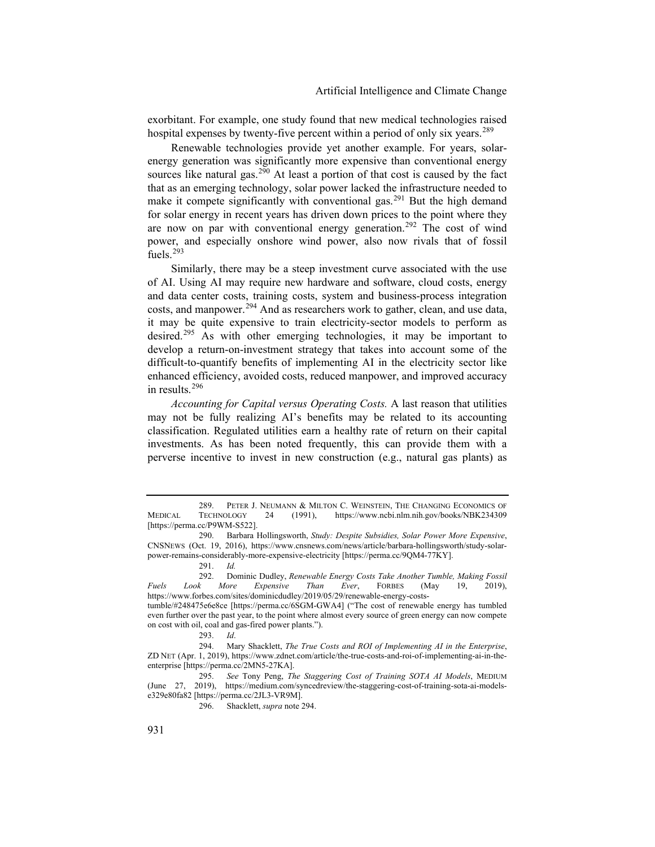exorbitant. For example, one study found that new medical technologies raised hospital expenses by twenty-five percent within a period of only six years.<sup>[289](#page-41-1)</sup>

Renewable technologies provide yet another example. For years, solarenergy generation was significantly more expensive than conventional energy sources like natural gas.<sup>[290](#page-41-2)</sup> At least a portion of that cost is caused by the fact that as an emerging technology, solar power lacked the infrastructure needed to make it compete significantly with conventional gas.<sup>[291](#page-41-3)</sup> But the high demand for solar energy in recent years has driven down prices to the point where they are now on par with conventional energy generation.<sup>[292](#page-41-4)</sup> The cost of wind power, and especially onshore wind power, also now rivals that of fossil fuels.<sup>[293](#page-41-5)</sup>

<span id="page-41-0"></span>Similarly, there may be a steep investment curve associated with the use of AI. Using AI may require new hardware and software, cloud costs, energy and data center costs, training costs, system and business-process integration costs, and manpower.<sup>[294](#page-41-6)</sup> And as researchers work to gather, clean, and use data, it may be quite expensive to train electricity-sector models to perform as desired.[295](#page-41-7) As with other emerging technologies, it may be important to develop a return-on-investment strategy that takes into account some of the difficult-to-quantify benefits of implementing AI in the electricity sector like enhanced efficiency, avoided costs, reduced manpower, and improved accuracy in results.[296](#page-41-8)

*Accounting for Capital versus Operating Costs.* A last reason that utilities may not be fully realizing AI's benefits may be related to its accounting classification. Regulated utilities earn a healthy rate of return on their capital investments. As has been noted frequently, this can provide them with a perverse incentive to invest in new construction (e.g., natural gas plants) as

<span id="page-41-1"></span><sup>289.</sup> PETER J. NEUMANN & MILTON C. WEINSTEIN, THE CHANGING ECONOMICS OF MEDICAL TECHNOLOGY 24 (1991), https://www.ncbi.nlm.nih.gov/books/NBK234309 [https://perma.cc/P9WM-S522].

<span id="page-41-2"></span><sup>290.</sup> Barbara Hollingsworth, *Study: Despite Subsidies, Solar Power More Expensive*, CNSNEWS (Oct. 19, 2016), https://www.cnsnews.com/news/article/barbara-hollingsworth/study-solarpower-remains-considerably-more-expensive-electricity [https://perma.cc/9QM4-77KY].

<sup>291.</sup> *Id.*

<span id="page-41-4"></span><span id="page-41-3"></span><sup>292.</sup> Dominic Dudley, *Renewable Energy Costs Take Another Tumble, Making Fossil Fuels Look More Expensive Than Ever*, FORBES (May 19, 2019), https://www.forbes.com/sites/dominicdudley/2019/05/29/renewable-energy-costs-

tumble/#248475e6e8ce [https://perma.cc/6SGM-GWA4] ("The cost of renewable energy has tumbled even further over the past year, to the point where almost every source of green energy can now compete on cost with oil, coal and gas-fired power plants.").

<sup>293.</sup> *Id*.

<span id="page-41-6"></span><span id="page-41-5"></span><sup>294.</sup> Mary Shacklett, *The True Costs and ROI of Implementing AI in the Enterprise*, ZD NET (Apr. 1, 2019), https://www.zdnet.com/article/the-true-costs-and-roi-of-implementing-ai-in-theenterprise [https://perma.cc/2MN5-27KA].

<span id="page-41-8"></span><span id="page-41-7"></span><sup>295.</sup> *See* Tony Peng, *The Staggering Cost of Training SOTA AI Models*, MEDIUM (June 27, 2019), https://medium.com/syncedreview/the-staggering-cost-of-training-sota-ai-modelse329e80fa82 [https://perma.cc/2JL3-VR9M].

<sup>296.</sup> Shacklett, *supra* note [294.](#page-41-0)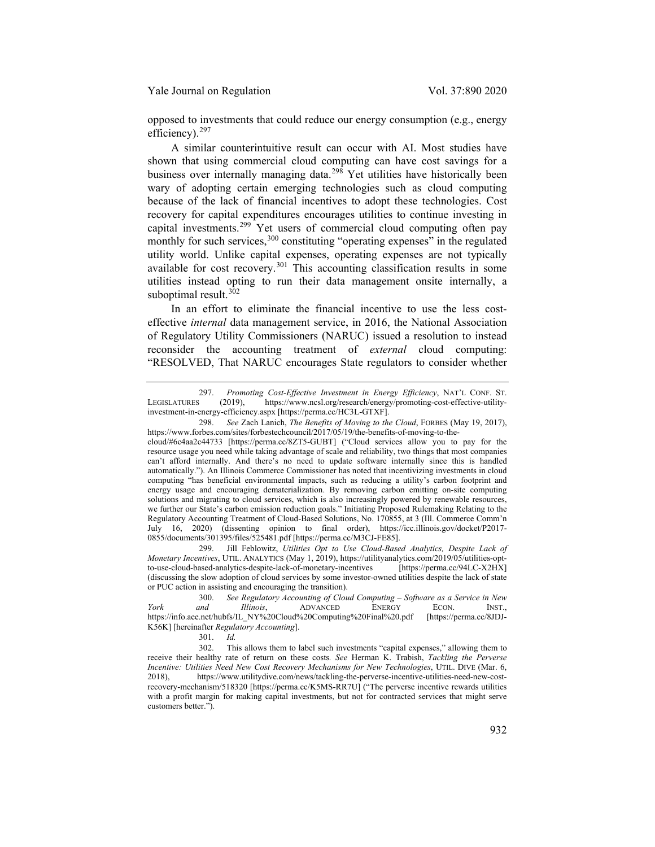opposed to investments that could reduce our energy consumption (e.g., energy efficiency).<sup>[297](#page-42-0)</sup>

A similar counterintuitive result can occur with AI. Most studies have shown that using commercial cloud computing can have cost savings for a business over internally managing data.<sup>[298](#page-42-1)</sup> Yet utilities have historically been wary of adopting certain emerging technologies such as cloud computing because of the lack of financial incentives to adopt these technologies. Cost recovery for capital expenditures encourages utilities to continue investing in capital investments.[299](#page-42-2) Yet users of commercial cloud computing often pay monthly for such services,<sup>[300](#page-42-3)</sup> constituting "operating expenses" in the regulated utility world. Unlike capital expenses, operating expenses are not typically available for cost recovery.<sup>[301](#page-42-4)</sup> This accounting classification results in some utilities instead opting to run their data management onsite internally, a suboptimal result.<sup>[302](#page-42-5)</sup>

<span id="page-42-6"></span>In an effort to eliminate the financial incentive to use the less costeffective *internal* data management service, in 2016, the National Association of Regulatory Utility Commissioners (NARUC) issued a resolution to instead reconsider the accounting treatment of *external* cloud computing: "RESOLVED, That NARUC encourages State regulators to consider whether

<span id="page-42-2"></span>299. Jill Feblowitz, *Utilities Opt to Use Cloud-Based Analytics, Despite Lack of Monetary Incentives*, UTIL. ANALYTICS (May 1, 2019), https://utilityanalytics.com/2019/05/utilities-optto-use-cloud-based-analytics-despite-lack-of-monetary-incentives [https://perma.cc/94LC-X2HX] (discussing the slow adoption of cloud services by some investor-owned utilities despite the lack of state or PUC action in assisting and encouraging the transition).

<span id="page-42-0"></span><sup>297.</sup> *Promoting Cost-Effective Investment in Energy Efficiency*, NAT'L CONF. ST. LEGISLATURES (2019), https://www.ncsl.org/research/energy/promoting-cost-effective-utilityinvestment-in-energy-efficiency.aspx [https://perma.cc/HC3L-GTXF].

<span id="page-42-1"></span><sup>298.</sup> *See* Zach Lanich, *The Benefits of Moving to the Cloud*, FORBES (May 19, 2017), https://www.forbes.com/sites/forbestechcouncil/2017/05/19/the-benefits-of-moving-to-the-

cloud/#6c4aa2c44733 [https://perma.cc/8ZT5-GUBT] ("Cloud services allow you to pay for the resource usage you need while taking advantage of scale and reliability, two things that most companies can't afford internally. And there's no need to update software internally since this is handled automatically."). An Illinois Commerce Commissioner has noted that incentivizing investments in cloud computing "has beneficial environmental impacts, such as reducing a utility's carbon footprint and energy usage and encouraging dematerialization. By removing carbon emitting on-site computing solutions and migrating to cloud services, which is also increasingly powered by renewable resources, we further our State's carbon emission reduction goals." Initiating Proposed Rulemaking Relating to the Regulatory Accounting Treatment of Cloud-Based Solutions, No. 170855, at 3 (Ill. Commerce Comm'n July 16, 2020) (dissenting opinion to final order), https://icc.illinois.gov/docket/P2017- 0855/documents/301395/files/525481.pdf [https://perma.cc/M3CJ-FE85].

<span id="page-42-3"></span><sup>300.</sup> *See Regulatory Accounting of Cloud Computing – Software as a Service in New York and Illinois*, ADVANCED ENERGY ECON. INST., https://info.aee.net/hubfs/IL\_NY%20Cloud%20Computing%20Final%20.pdf [https://perma.cc/8JDJ-K56K] [hereinafter *Regulatory Accounting*].

<sup>301.</sup> *Id.*

<span id="page-42-5"></span><span id="page-42-4"></span><sup>302.</sup> This allows them to label such investments "capital expenses," allowing them to receive their healthy rate of return on these costs*. See* Herman K. Trabish, *Tackling the Perverse Incentive: Utilities Need New Cost Recovery Mechanisms for New Technologies*, UTIL. DIVE (Mar. 6, 2018), https://www.utilitydive.com/news/tackling-the-perverse-incentive-utilities-need-new-costrecovery-mechanism/518320 [https://perma.cc/K5MS-RR7U] ("The perverse incentive rewards utilities with a profit margin for making capital investments, but not for contracted services that might serve customers better.").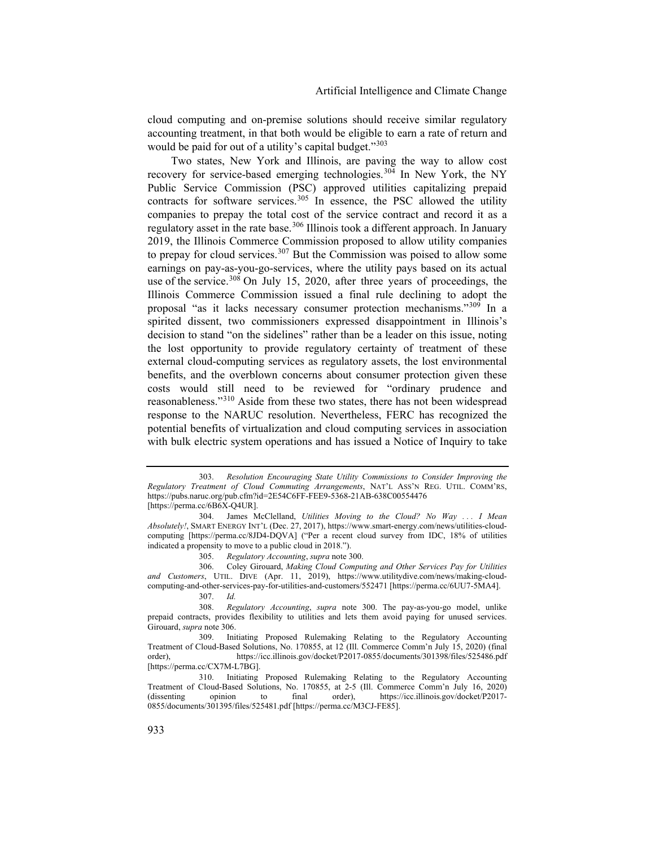cloud computing and on-premise solutions should receive similar regulatory accounting treatment, in that both would be eligible to earn a rate of return and would be paid for out of a utility's capital budget."<sup>[303](#page-43-1)</sup>

<span id="page-43-0"></span>Two states, New York and Illinois, are paving the way to allow cost recovery for service-based emerging technologies.<sup>[304](#page-43-2)</sup> In New York, the NY Public Service Commission (PSC) approved utilities capitalizing prepaid contracts for software services.<sup>[305](#page-43-3)</sup> In essence, the PSC allowed the utility companies to prepay the total cost of the service contract and record it as a regulatory asset in the rate base.<sup>[306](#page-43-4)</sup> Illinois took a different approach. In January 2019, the Illinois Commerce Commission proposed to allow utility companies to prepay for cloud services.<sup>[307](#page-43-5)</sup> But the Commission was poised to allow some earnings on pay-as-you-go-services, where the utility pays based on its actual use of the service.<sup>[308](#page-43-6)</sup> On July 15, 2020, after three years of proceedings, the Illinois Commerce Commission issued a final rule declining to adopt the proposal "as it lacks necessary consumer protection mechanisms."<sup>[309](#page-43-7)</sup> In a spirited dissent, two commissioners expressed disappointment in Illinois's decision to stand "on the sidelines" rather than be a leader on this issue, noting the lost opportunity to provide regulatory certainty of treatment of these external cloud-computing services as regulatory assets, the lost environmental benefits, and the overblown concerns about consumer protection given these costs would still need to be reviewed for "ordinary prudence and reasonableness."[310](#page-43-8) Aside from these two states, there has not been widespread response to the NARUC resolution. Nevertheless, FERC has recognized the potential benefits of virtualization and cloud computing services in association with bulk electric system operations and has issued a Notice of Inquiry to take

305. *Regulatory Accounting*, *supra* not[e 300.](#page-42-6)

<span id="page-43-1"></span><sup>303.</sup> *Resolution Encouraging State Utility Commissions to Consider Improving the Regulatory Treatment of Cloud Commuting Arrangements*, NAT'L ASS'N REG. UTIL. COMM'RS, https://pubs.naruc.org/pub.cfm?id=2E54C6FF-FEE9-5368-21AB-638C00554476 [https://perma.cc/6B6X-Q4UR].

<span id="page-43-2"></span><sup>304.</sup> James McClelland, *Utilities Moving to the Cloud? No Way . . . I Mean Absolutely!*, SMART ENERGY INT'L (Dec. 27, 2017), https://www.smart-energy.com/news/utilities-cloudcomputing [https://perma.cc/8JD4-DQVA] ("Per a recent cloud survey from IDC, 18% of utilities indicated a propensity to move to a public cloud in 2018.").

<span id="page-43-4"></span><span id="page-43-3"></span><sup>306.</sup> Coley Girouard, *Making Cloud Computing and Other Services Pay for Utilities and Customers*, UTIL. DIVE (Apr. 11, 2019), https://www.utilitydive.com/news/making-cloudcomputing-and-other-services-pay-for-utilities-and-customers/552471 [https://perma.cc/6UU7-5MA4].

<sup>307.</sup> *Id.*

<span id="page-43-6"></span><span id="page-43-5"></span><sup>308.</sup> *Regulatory Accounting*, *supra* note [300.](#page-42-6) The pay-as-you-go model, unlike prepaid contracts, provides flexibility to utilities and lets them avoid paying for unused services. Girouard, *supra* note [306.](#page-43-0)

<span id="page-43-7"></span><sup>309.</sup> Initiating Proposed Rulemaking Relating to the Regulatory Accounting Treatment of Cloud-Based Solutions, No. 170855, at 12 (Ill. Commerce Comm'n July 15, 2020) (final order), https://icc.illinois.gov/docket/P2017-0855/documents/301398/files/525486.pdf [https://perma.cc/CX7M-L7BG].

<span id="page-43-8"></span><sup>310.</sup> Initiating Proposed Rulemaking Relating to the Regulatory Accounting Treatment of Cloud-Based Solutions, No. 170855, at 2-5 (Ill. Commerce Comm'n July 16, 2020) (dissenting opinion to final order), https://icc.illinois.gov/docket/P2017- 0855/documents/301395/files/525481.pdf [https://perma.cc/M3CJ-FE85].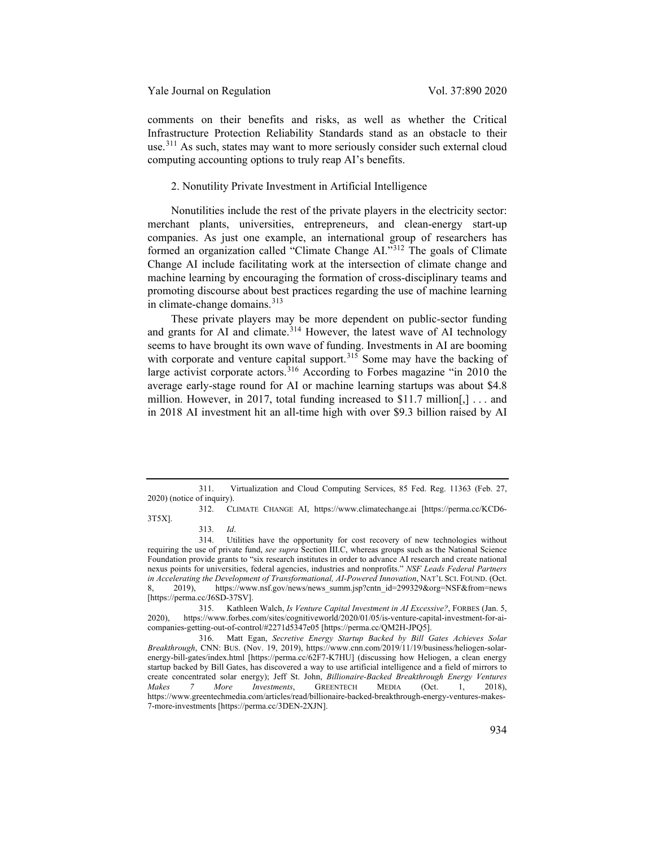comments on their benefits and risks, as well as whether the Critical Infrastructure Protection Reliability Standards stand as an obstacle to their use.<sup>[311](#page-44-0)</sup> As such, states may want to more seriously consider such external cloud computing accounting options to truly reap AI's benefits.

#### 2. Nonutility Private Investment in Artificial Intelligence

Nonutilities include the rest of the private players in the electricity sector: merchant plants, universities, entrepreneurs, and clean-energy start-up companies. As just one example, an international group of researchers has formed an organization called "Climate Change AI."[312](#page-44-1) The goals of Climate Change AI include facilitating work at the intersection of climate change and machine learning by encouraging the formation of cross-disciplinary teams and promoting discourse about best practices regarding the use of machine learning in climate-change domains.<sup>[313](#page-44-2)</sup>

<span id="page-44-7"></span><span id="page-44-6"></span>These private players may be more dependent on public-sector funding and grants for AI and climate.<sup>[314](#page-44-3)</sup> However, the latest wave of AI technology seems to have brought its own wave of funding. Investments in AI are booming with corporate and venture capital support.<sup>[315](#page-44-4)</sup> Some may have the backing of large activist corporate actors.<sup>[316](#page-44-5)</sup> According to Forbes magazine "in 2010 the average early-stage round for AI or machine learning startups was about \$4.8 million. However, in 2017, total funding increased to \$11.7 million[,] . . . and in 2018 AI investment hit an all-time high with over \$9.3 billion raised by AI

<span id="page-44-0"></span><sup>311.</sup> Virtualization and Cloud Computing Services, 85 Fed. Reg. 11363 (Feb. 27,  $2020$ ) (notice of inquiry).<br>312. CI

<span id="page-44-1"></span><sup>312.</sup> CLIMATE CHANGE AI, https://www.climatechange.ai [https://perma.cc/KCD6- 3T5X].

<sup>313.</sup> *Id*.

<span id="page-44-3"></span><span id="page-44-2"></span><sup>314.</sup> Utilities have the opportunity for cost recovery of new technologies without requiring the use of private fund, *see supra* Section III.C, whereas groups such as the National Science Foundation provide grants to "six research institutes in order to advance AI research and create national nexus points for universities, federal agencies, industries and nonprofits." *NSF Leads Federal Partners in Accelerating the Development of Transformational, AI-Powered Innovation*, NAT'L SCI. FOUND. (Oct. 8, 2019), https://www.nsf.gov/news/news summ.jsp?cntn id=299329&org=NSF&from=news 8, 2019), https://www.nsf.gov/news/news\_summ.jsp?cntn\_id=299329&org=NSF&from=news [https://perma.cc/J6SD-37SV].

<span id="page-44-4"></span><sup>315.</sup> Kathleen Walch, *Is Venture Capital Investment in AI Excessive?*, FORBES (Jan. 5, 2020), https://www.forbes.com/sites/cognitiveworld/2020/01/05/is-venture-capital-investment-for-aicompanies-getting-out-of-control/#2271d5347e05 [https://perma.cc/QM2H-JPQ5].

<span id="page-44-5"></span><sup>316.</sup> Matt Egan, *Secretive Energy Startup Backed by Bill Gates Achieves Solar Breakthrough*, CNN: BUS. (Nov. 19, 2019), https://www.cnn.com/2019/11/19/business/heliogen-solarenergy-bill-gates/index.html [https://perma.cc/62F7-K7HU] (discussing how Heliogen, a clean energy startup backed by Bill Gates, has discovered a way to use artificial intelligence and a field of mirrors to create concentrated solar energy); Jeff St. John, *Billionaire-Backed Breakthrough Energy Ventures Makes 7 More Investments*, GREENTECH MEDIA (Oct. 1, 2018), https://www.greentechmedia.com/articles/read/billionaire-backed-breakthrough-energy-ventures-makes-7-more-investments [https://perma.cc/3DEN-2XJN].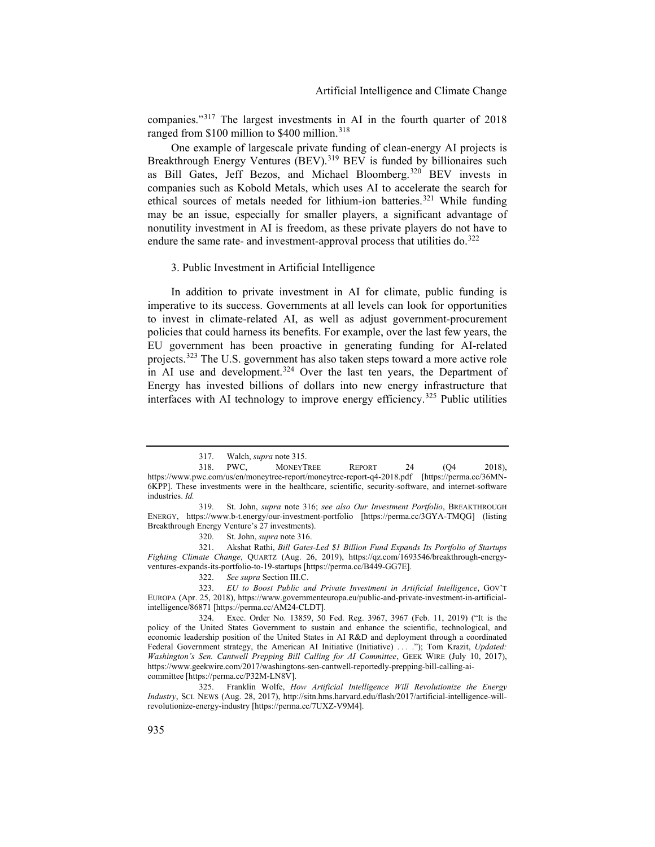companies."[317](#page-45-0) The largest investments in AI in the fourth quarter of 2018 ranged from \$100 million to \$400 million.<sup>[318](#page-45-1)</sup>

One example of largescale private funding of clean-energy AI projects is Breakthrough Energy Ventures (BEV).<sup>[319](#page-45-2)</sup> BEV is funded by billionaires such as Bill Gates, Jeff Bezos, and Michael Bloomberg.<sup>[320](#page-45-3)</sup> BEV invests in companies such as Kobold Metals, which uses AI to accelerate the search for ethical sources of metals needed for lithium-ion batteries.<sup>[321](#page-45-4)</sup> While funding may be an issue, especially for smaller players, a significant advantage of nonutility investment in AI is freedom, as these private players do not have to endure the same rate- and investment-approval process that utilities do. $322$ 

#### 3. Public Investment in Artificial Intelligence

In addition to private investment in AI for climate, public funding is imperative to its success. Governments at all levels can look for opportunities to invest in climate-related AI, as well as adjust government-procurement policies that could harness its benefits. For example, over the last few years, the EU government has been proactive in generating funding for AI-related projects.[323](#page-45-6) The U.S. government has also taken steps toward a more active role in AI use and development.<sup>[324](#page-45-7)</sup> Over the last ten years, the Department of Energy has invested billions of dollars into new energy infrastructure that interfaces with AI technology to improve energy efficiency.<sup>[325](#page-45-8)</sup> Public utilities

<span id="page-45-4"></span><span id="page-45-3"></span>321. Akshat Rathi, *Bill Gates-Led \$1 Billion Fund Expands Its Portfolio of Startups Fighting Climate Change*, QUARTZ (Aug. 26, 2019), https://qz.com/1693546/breakthrough-energyventures-expands-its-portfolio-to-19-startups [https://perma.cc/B449-GG7E].

<span id="page-45-6"></span><span id="page-45-5"></span>323. *EU to Boost Public and Private Investment in Artificial Intelligence*, GOV'T EUROPA (Apr. 25, 2018), https://www.governmenteuropa.eu/public-and-private-investment-in-artificialintelligence/86871 [https://perma.cc/AM24-CLDT].

<span id="page-45-8"></span>325. Franklin Wolfe, *How Artificial Intelligence Will Revolutionize the Energy Industry*, SCI. NEWS (Aug. 28, 2017), http://sitn.hms.harvard.edu/flash/2017/artificial-intelligence-willrevolutionize-energy-industry [https://perma.cc/7UXZ-V9M4].

<sup>317.</sup> Walch, *supra* note [315.](#page-44-6)

<span id="page-45-1"></span><span id="page-45-0"></span><sup>318.</sup> PWC, MONEYTREE REPORT 24 (Q4 2018), https://www.pwc.com/us/en/moneytree-report/moneytree-report-q4-2018.pdf [https://perma.cc/36MN-6KPP]. These investments were in the healthcare, scientific, security-software, and internet-software industries. *Id.*

<span id="page-45-2"></span><sup>319.</sup> St. John, *supra* note [316;](#page-44-7) *see also Our Investment Portfolio*, BREAKTHROUGH ENERGY, https://www.b-t.energy/our-investment-portfolio [https://perma.cc/3GYA-TMQG] (listing Breakthrough Energy Venture's 27 investments).

<sup>320.</sup> St. John, *supra* note [316.](#page-44-7)

<sup>322.</sup> *See supra* Section III.C.

<span id="page-45-7"></span><sup>324.</sup> Exec. Order No. 13859, 50 Fed. Reg. 3967, 3967 (Feb. 11, 2019) ("It is the policy of the United States Government to sustain and enhance the scientific, technological, and economic leadership position of the United States in AI R&D and deployment through a coordinated Federal Government strategy, the American AI Initiative (Initiative) ...."); Tom Krazit, *Updated: Washington's Sen. Cantwell Prepping Bill Calling for AI Committee*, GEEK WIRE (July 10, 2017), https://www.geekwire.com/2017/washingtons-sen-cantwell-reportedly-prepping-bill-calling-aicommittee [https://perma.cc/P32M-LN8V].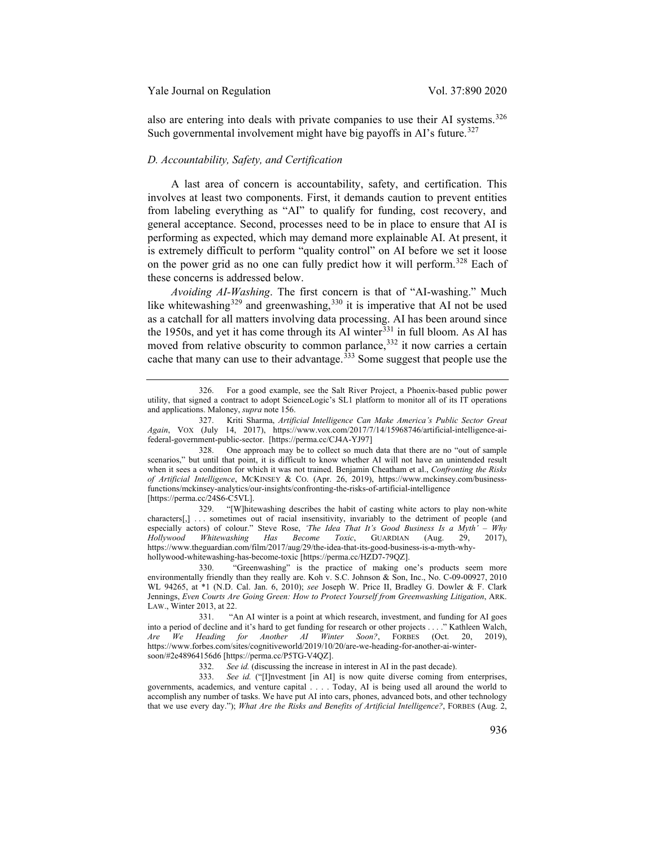also are entering into deals with private companies to use their AI systems.<sup>[326](#page-46-0)</sup> Such governmental involvement might have big payoffs in AI's future.<sup>[327](#page-46-1)</sup>

# *D. Accountability, Safety, and Certification*

A last area of concern is accountability, safety, and certification. This involves at least two components. First, it demands caution to prevent entities from labeling everything as "AI" to qualify for funding, cost recovery, and general acceptance. Second, processes need to be in place to ensure that AI is performing as expected, which may demand more explainable AI. At present, it is extremely difficult to perform "quality control" on AI before we set it loose on the power grid as no one can fully predict how it will perform.<sup>[328](#page-46-2)</sup> Each of these concerns is addressed below.

*Avoiding AI-Washing*. The first concern is that of "AI-washing." Much like whitewashing<sup>[329](#page-46-3)</sup> and greenwashing,<sup>[330](#page-46-4)</sup> it is imperative that AI not be used as a catchall for all matters involving data processing. AI has been around since the 1950s, and yet it has come through its AI winter<sup>[331](#page-46-5)</sup> in full bloom. As AI has moved from relative obscurity to common parlance,<sup>[332](#page-46-6)</sup> it now carries a certain cache that many can use to their advantage.<sup>[333](#page-46-7)</sup> Some suggest that people use the

<span id="page-46-3"></span>329. "[W]hitewashing describes the habit of casting white actors to play non-white characters[,] . . . sometimes out of racial insensitivity, invariably to the detriment of people (and especially actors) of colour." Steve Rose, *'The Idea That It's Good Business Is a Myth' – Why Hollywood Whitewashing Has Become Toxic*, GUARDIAN (Aug. 29, 2017), https://www.theguardian.com/film/2017/aug/29/the-idea-that-its-good-business-is-a-myth-whyhollywood-whitewashing-has-become-toxic [https://perma.cc/HZD7-79QZ].

<span id="page-46-4"></span>330. "Greenwashing" is the practice of making one's products seem more environmentally friendly than they really are. Koh v. S.C. Johnson & Son, Inc., No. C-09-00927, 2010 WL 94265, at \*1 (N.D. Cal. Jan. 6, 2010); *see* Joseph W. Price II, Bradley G. Dowler & F. Clark Jennings, *Even Courts Are Going Green: How to Protect Yourself from Greenwashing Litigation*, ARK. LAW., Winter 2013, at 22.

<span id="page-46-0"></span><sup>326.</sup> For a good example, see the Salt River Project, a Phoenix-based public power utility, that signed a contract to adopt ScienceLogic's SL1 platform to monitor all of its IT operations and applications. Maloney, *supra* not[e 156.](#page-21-8)

<span id="page-46-1"></span><sup>327.</sup> Kriti Sharma, *Artificial Intelligence Can Make America's Public Sector Great Again*, VOX (July 14, 2017), https://www.vox.com/2017/7/14/15968746/artificial-intelligence-aifederal-government-public-sector. [https://perma.cc/CJ4A-YJ97]

<span id="page-46-2"></span><sup>328.</sup> One approach may be to collect so much data that there are no "out of sample scenarios," but until that point, it is difficult to know whether AI will not have an unintended result when it sees a condition for which it was not trained. Benjamin Cheatham et al., *Confronting the Risks of Artificial Intelligence*, MCKINSEY & CO. (Apr. 26, 2019), https://www.mckinsey.com/businessfunctions/mckinsey-analytics/our-insights/confronting-the-risks-of-artificial-intelligence [https://perma.cc/24S6-C5VL].

<span id="page-46-5"></span><sup>331.</sup> "An AI winter is a point at which research, investment, and funding for AI goes into a period of decline and it's hard to get funding for research or other projects . . . ." Kathleen Walch, *Are We Heading for Another AI Winter Soon?*, FORBES (Oct. 20, 2019), https://www.forbes.com/sites/cognitiveworld/2019/10/20/are-we-heading-for-another-ai-wintersoon/#2e48964156d6 [https://perma.cc/P5TG-V4QZ].

<sup>332.</sup> *See id.* (discussing the increase in interest in AI in the past decade).

<span id="page-46-7"></span><span id="page-46-6"></span><sup>333.</sup> *See id.* ("[I]nvestment [in AI] is now quite diverse coming from enterprises, governments, academics, and venture capital . . . . Today, AI is being used all around the world to accomplish any number of tasks. We have put AI into cars, phones, advanced bots, and other technology that we use every day."); *What Are the Risks and Benefits of Artificial Intelligence?*, FORBES (Aug. 2,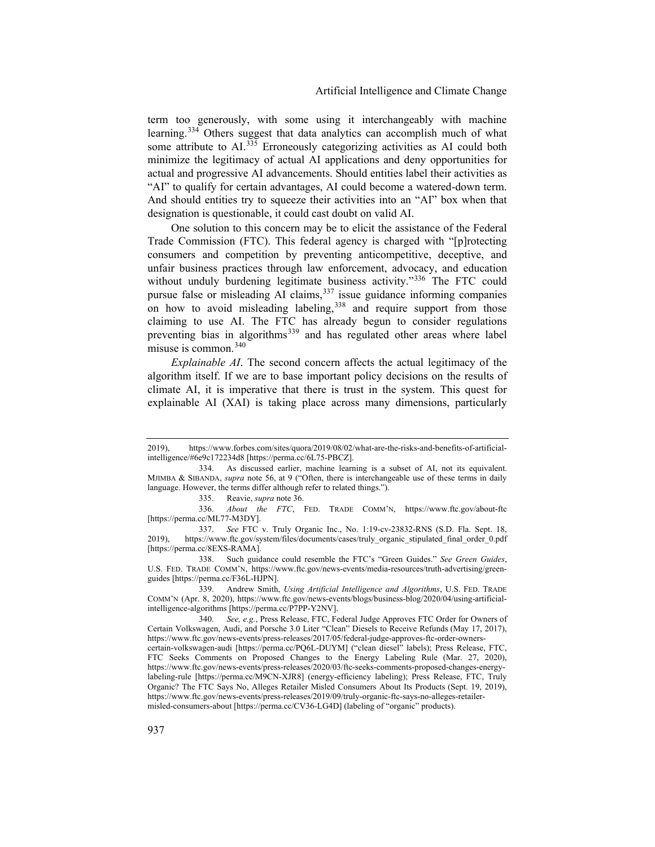term too generously, with some using it interchangeably with machine learning.[334](#page-47-0) Others suggest that data analytics can accomplish much of what some attribute to AI.<sup>[335](#page-47-1)</sup> Erroneously categorizing activities as AI could both minimize the legitimacy of actual AI applications and deny opportunities for actual and progressive AI advancements. Should entities label their activities as "AI" to qualify for certain advantages, AI could become a watered-down term. And should entities try to squeeze their activities into an "AI" box when that designation is questionable, it could cast doubt on valid AI.

One solution to this concern may be to elicit the assistance of the Federal Trade Commission (FTC). This federal agency is charged with "[p]rotecting consumers and competition by preventing anticompetitive, deceptive, and unfair business practices through law enforcement, advocacy, and education without unduly burdening legitimate business activity."<sup>[336](#page-47-2)</sup> The FTC could pursue false or misleading AI claims,  $337$  issue guidance informing companies on how to avoid misleading labeling,<sup>[338](#page-47-4)</sup> and require support from those claiming to use AI. The FTC has already begun to consider regulations preventing bias in algorithms<sup>[339](#page-47-5)</sup> and has regulated other areas where label misuse is common.[340](#page-47-6)

*Explainable AI*. The second concern affects the actual legitimacy of the algorithm itself. If we are to base important policy decisions on the results of climate AI, it is imperative that there is trust in the system. This quest for explainable AI (XAI) is taking place across many dimensions, particularly

335. Reavie, *supra* not[e 36.](#page-7-0)

<span id="page-47-2"></span><span id="page-47-1"></span>336. *About the FTC*, FED. TRADE COMM'N, https://www.ftc.gov/about-ftc [https://perma.cc/ML77-M3DY].

<span id="page-47-4"></span>338. Such guidance could resemble the FTC's "Green Guides." *See Green Guides*, U.S. FED. TRADE COMM'N, https://www.ftc.gov/news-events/media-resources/truth-advertising/greenguides [https://perma.cc/F36L-HJPN].

<span id="page-47-5"></span>339. Andrew Smith, *Using Artificial Intelligence and Algorithms*, U.S. FED. TRADE COMM'N (Apr. 8, 2020), https://www.ftc.gov/news-events/blogs/business-blog/2020/04/using-artificialintelligence-algorithms [https://perma.cc/P7PP-Y2NV].

<span id="page-47-6"></span>340. *See, e.g.*, Press Release, FTC, Federal Judge Approves FTC Order for Owners of Certain Volkswagen, Audi, and Porsche 3.0 Liter "Clean" Diesels to Receive Refunds (May 17, 2017), https://www.ftc.gov/news-events/press-releases/2017/05/federal-judge-approves-ftc-order-ownerscertain-volkswagen-audi [https://perma.cc/PQ6L-DUYM] ("clean diesel" labels); Press Release, FTC, FTC Seeks Comments on Proposed Changes to the Energy Labeling Rule (Mar. 27, 2020), https://www.ftc.gov/news-events/press-releases/2020/03/ftc-seeks-comments-proposed-changes-energylabeling-rule [https://perma.cc/M9CN-XJR8] (energy-efficiency labeling); Press Release, FTC, Truly Organic? The FTC Says No, Alleges Retailer Misled Consumers About Its Products (Sept. 19, 2019), https://www.ftc.gov/news-events/press-releases/2019/09/truly-organic-ftc-says-no-alleges-retailermisled-consumers-about [https://perma.cc/CV36-LG4D] (labeling of "organic" products).

<sup>2019),</sup> https://www.forbes.com/sites/quora/2019/08/02/what-are-the-risks-and-benefits-of-artificialintelligence/#6e9c172234d8 [https://perma.cc/6L75-PBCZ].

<span id="page-47-0"></span><sup>334.</sup> As discussed earlier, machine learning is a subset of AI, not its equivalent. MJIMBA & SIBANDA, *supra* note [56,](#page-9-9) at 9 ("Often, there is interchangeable use of these terms in daily language. However, the terms differ although refer to related things.").

<span id="page-47-3"></span><sup>337.</sup> *See* FTC v. Truly Organic Inc., No. 1:19-cv-23832-RNS (S.D. Fla. Sept. 18, 2019), https://www.ftc.gov/system/files/documents/cases/truly\_organic\_stipulated\_final\_order\_0.pdf [https://perma.cc/8EXS-RAMA].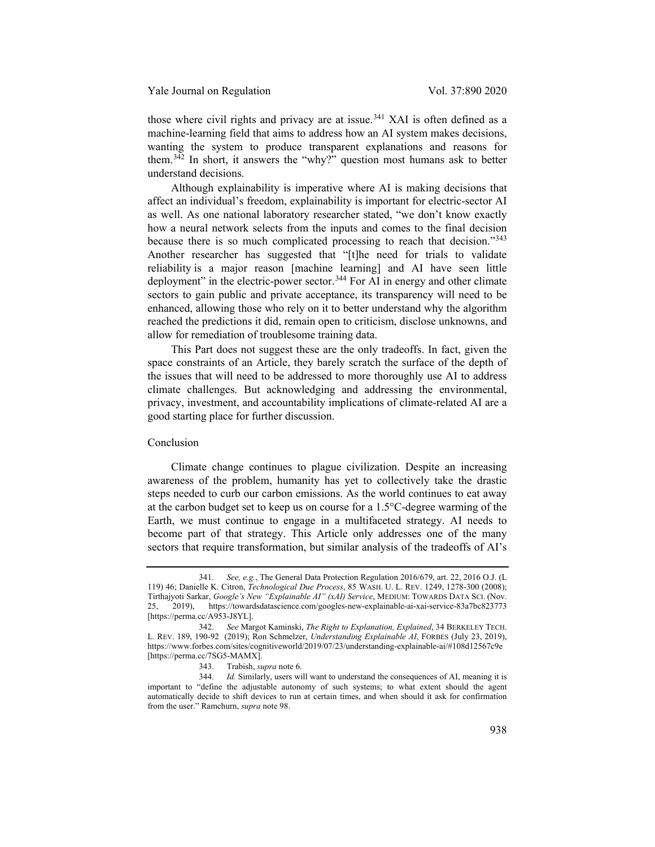those where civil rights and privacy are at issue.<sup>[341](#page-48-0)</sup> XAI is often defined as a machine-learning field that aims to address how an AI system makes decisions, wanting the system to produce transparent explanations and reasons for them.<sup>[342](#page-48-1)</sup> In short, it answers the "why?" question most humans ask to better understand decisions.

Although explainability is imperative where AI is making decisions that affect an individual's freedom, explainability is important for electric-sector AI as well. As one national laboratory researcher stated, "we don't know exactly how a neural network selects from the inputs and comes to the final decision because there is so much complicated processing to reach that decision."[343](#page-48-2) Another researcher has suggested that "[t]he need for trials to validate reliability is a major reason [machine learning] and AI have seen little deployment" in the electric-power sector.<sup>[344](#page-48-3)</sup> For AI in energy and other climate sectors to gain public and private acceptance, its transparency will need to be enhanced, allowing those who rely on it to better understand why the algorithm reached the predictions it did, remain open to criticism, disclose unknowns, and allow for remediation of troublesome training data.

This Part does not suggest these are the only tradeoffs. In fact, given the space constraints of an Article, they barely scratch the surface of the depth of the issues that will need to be addressed to more thoroughly use AI to address climate challenges. But acknowledging and addressing the environmental, privacy, investment, and accountability implications of climate-related AI are a good starting place for further discussion.

# Conclusion

Climate change continues to plague civilization. Despite an increasing awareness of the problem, humanity has yet to collectively take the drastic steps needed to curb our carbon emissions. As the world continues to eat away at the carbon budget set to keep us on course for a 1.5°C-degree warming of the Earth, we must continue to engage in a multifaceted strategy. AI needs to become part of that strategy. This Article only addresses one of the many sectors that require transformation, but similar analysis of the tradeoffs of AI's

<span id="page-48-0"></span><sup>341.</sup> *See, e.g.*, The General Data Protection Regulation 2016/679, art. 22, 2016 O.J. (L 119) 46; Danielle K. Citron, *Technological Due Process*, 85 WASH. U. L. REV. 1249, 1278-300 (2008); Tirthajyoti Sarkar, *Google's New "Explainable AI" (xAI) Service*, MEDIUM: TOWARDS DATA SCI. (Nov. 2019), https://towardsdatascience.com/googles-new-explainable-ai-xai-service-83a7bc823773 [https://perma.cc/A953-J8YL].

<span id="page-48-1"></span><sup>342.</sup> *See* Margot Kaminski, *The Right to Explanation, Explained*, 34 BERKELEY TECH. L. REV. 189, 190-92 (2019); Ron Schmelzer, *Understanding Explainable AI*, FORBES (July 23, 2019), https://www.forbes.com/sites/cognitiveworld/2019/07/23/understanding-explainable-ai/#108d12567c9e [https://perma.cc/7SG5-MAMX].

<sup>343.</sup> Trabish, *supra* not[e 6.](#page-1-7)

<span id="page-48-3"></span><span id="page-48-2"></span><sup>344.</sup> *Id.* Similarly, users will want to understand the consequences of AI, meaning it is important to "define the adjustable autonomy of such systems; to what extent should the agent automatically decide to shift devices to run at certain times, and when should it ask for confirmation from the user." Ramchurn, *supra* not[e 98.](#page-14-7)